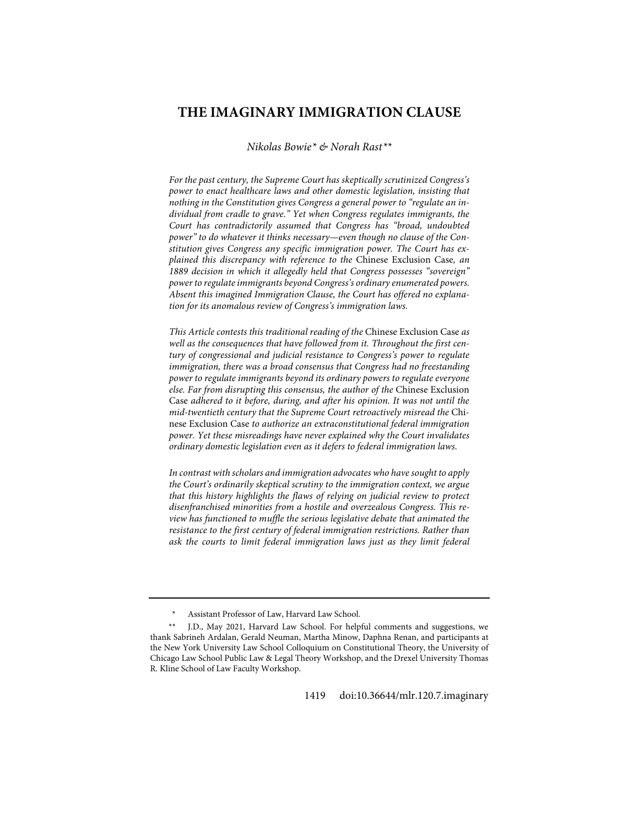# **THE IMAGINARY IMMIGRATION CLAUSE**

*Nikolas Bowie[\\*](#page-0-0) & Norah Rast[\\*\\*](#page-0-1)*

*For the past century, the Supreme Court has skeptically scrutinized Congress's power to enact healthcare laws and other domestic legislation, insisting that nothing in the Constitution gives Congress a general power to "regulate an individual from cradle to grave." Yet when Congress regulates immigrants, the Court has contradictorily assumed that Congress has "broad, undoubted power" to do whatever it thinks necessary—even though no clause of the Constitution gives Congress any specific immigration power. The Court has explained this discrepancy with reference to the* Chinese Exclusion Case*, an 1889 decision in which it allegedly held that Congress possesses "sovereign" power to regulate immigrants beyond Congress's ordinary enumerated powers. Absent this imagined Immigration Clause, the Court has offered no explanation for its anomalous review of Congress's immigration laws.*

*This Article contests this traditional reading of the* Chinese Exclusion Case *as well as the consequences that have followed from it. Throughout the first century of congressional and judicial resistance to Congress's power to regulate immigration, there was a broad consensus that Congress had no freestanding power to regulate immigrants beyond its ordinary powers to regulate everyone else. Far from disrupting this consensus, the author of the* Chinese Exclusion Case *adhered to it before, during, and after his opinion. It was not until the mid-twentieth century that the Supreme Court retroactively misread the* Chinese Exclusion Case *to authorize an extraconstitutional federal immigration power. Yet these misreadings have never explained why the Court invalidates ordinary domestic legislation even as it defers to federal immigration laws.*

*In contrast with scholars and immigration advocates who have sought to apply the Court's ordinarily skeptical scrutiny to the immigration context, we argue that this history highlights the flaws of relying on judicial review to protect disenfranchised minorities from a hostile and overzealous Congress. This review has functioned to muffle the serious legislative debate that animated the resistance to the first century of federal immigration restrictions. Rather than ask the courts to limit federal immigration laws just as they limit federal* 

*<sup>\*</sup>* Assistant Professor of Law, Harvard Law School.

<span id="page-0-1"></span><span id="page-0-0"></span>*<sup>\*\*</sup>* J.D., May 2021, Harvard Law School. For helpful comments and suggestions, we thank Sabrineh Ardalan, Gerald Neuman, Martha Minow, Daphna Renan, and participants at the New York University Law School Colloquium on Constitutional Theory, the University of Chicago Law School Public Law & Legal Theory Workshop, and the Drexel University Thomas R. Kline School of Law Faculty Workshop.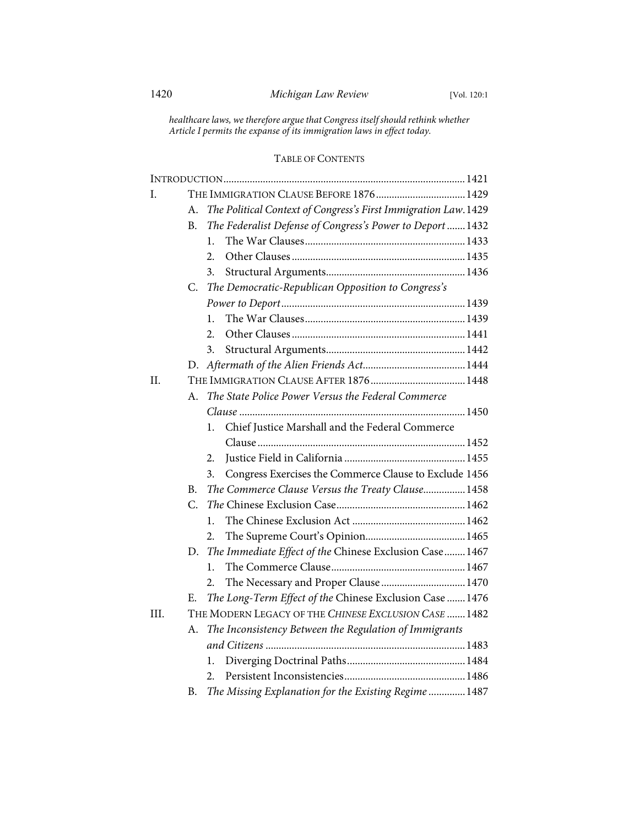*healthcare laws, we therefore argue that Congress itself should rethink whether Article I permits the expanse of its immigration laws in effect today.*

## TABLE OF CONTENTS

| I.   |         | THE IMMIGRATION CLAUSE BEFORE 1876 1429                        |
|------|---------|----------------------------------------------------------------|
|      | А.      | The Political Context of Congress's First Immigration Law.1429 |
|      | B.      | The Federalist Defense of Congress's Power to Deport  1432     |
|      |         | 1.                                                             |
|      |         | 2.                                                             |
|      |         | 3.                                                             |
|      | C.      | The Democratic-Republican Opposition to Congress's             |
|      |         |                                                                |
|      |         | 1.                                                             |
|      |         | 2.                                                             |
|      |         | 3.                                                             |
|      |         |                                                                |
| II.  |         |                                                                |
|      | $A_{-}$ | The State Police Power Versus the Federal Commerce             |
|      |         |                                                                |
|      |         | Chief Justice Marshall and the Federal Commerce<br>1.          |
|      |         |                                                                |
|      |         | 2.                                                             |
|      |         | Congress Exercises the Commerce Clause to Exclude 1456<br>3.   |
|      | B.      | The Commerce Clause Versus the Treaty Clause 1458              |
|      | C.      |                                                                |
|      |         | 1.                                                             |
|      |         | 2.                                                             |
|      | D.      | The Immediate Effect of the Chinese Exclusion Case 1467        |
|      |         | 1.                                                             |
|      |         | The Necessary and Proper Clause  1470<br>2.                    |
|      | Е.      | The Long-Term Effect of the Chinese Exclusion Case  1476       |
| III. |         | THE MODERN LEGACY OF THE CHINESE EXCLUSION CASE  1482          |
|      | А.      | The Inconsistency Between the Regulation of Immigrants         |
|      |         |                                                                |
|      |         | 1.                                                             |
|      |         | 2.                                                             |
|      | В.      | The Missing Explanation for the Existing Regime  1487          |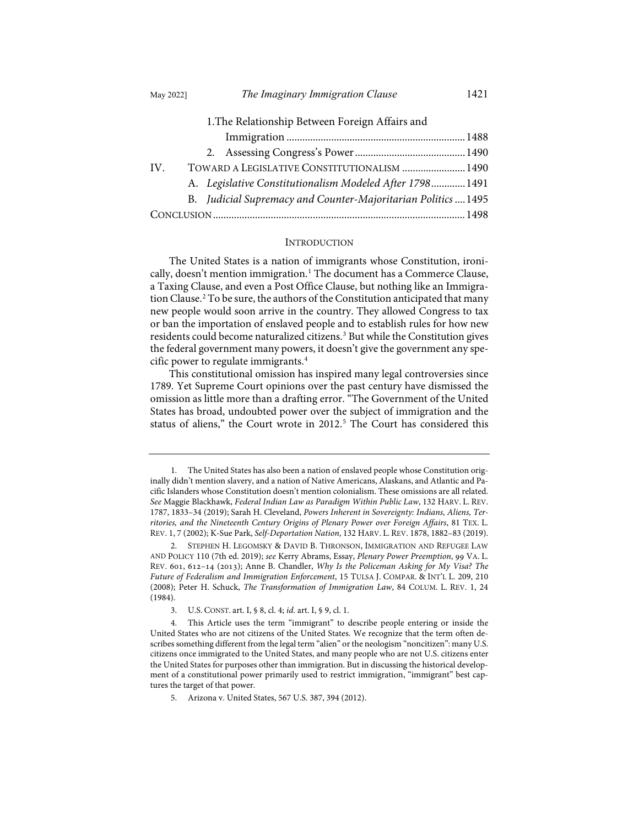| 1. The Relationship Between Foreign Affairs and               |  |  |
|---------------------------------------------------------------|--|--|
|                                                               |  |  |
|                                                               |  |  |
| TOWARD A LEGISLATIVE CONSTITUTIONALISM  1490<br>IV.           |  |  |
| A. Legislative Constitutionalism Modeled After 1798 1491      |  |  |
| B. Judicial Supremacy and Counter-Majoritarian Politics  1495 |  |  |
|                                                               |  |  |

#### <span id="page-2-5"></span>INTRODUCTION

<span id="page-2-6"></span>The United States is a nation of immigrants whose Constitution, ironi-cally, doesn't mention immigration.<sup>[1](#page-2-0)</sup> The document has a Commerce Clause, a Taxing Clause, and even a Post Office Clause, but nothing like an Immigration Clause.[2](#page-2-1) To be sure, the authors of the Constitution anticipated that many new people would soon arrive in the country. They allowed Congress to tax or ban the importation of enslaved people and to establish rules for how new residents could become naturalized citizens.[3](#page-2-2) But while the Constitution gives the federal government many powers, it doesn't give the government any specific power to regulate immigrants.[4](#page-2-3)

This constitutional omission has inspired many legal controversies since 1789. Yet Supreme Court opinions over the past century have dismissed the omission as little more than a drafting error. "The Government of the United States has broad, undoubted power over the subject of immigration and the status of aliens," the Court wrote in 2012.<sup>[5](#page-2-4)</sup> The Court has considered this

<span id="page-2-0"></span> <sup>1.</sup> The United States has also been a nation of enslaved people whose Constitution originally didn't mention slavery, and a nation of Native Americans, Alaskans, and Atlantic and Pacific Islanders whose Constitution doesn't mention colonialism. These omissions are all related. *See* Maggie Blackhawk, *Federal Indian Law as Paradigm Within Public Law*, 132 HARV. L. REV. 1787, 1833–34 (2019); Sarah H. Cleveland, *Powers Inherent in Sovereignty: Indians, Aliens, Territories, and the Nineteenth Century Origins of Plenary Power over Foreign Affairs*, 81 TEX. L. REV. 1, 7 (2002); K-Sue Park, *Self-Deportation Nation*, 132 HARV. L. REV. 1878, 1882–83 (2019).

<span id="page-2-1"></span> <sup>2.</sup> STEPHEN H. LEGOMSKY & DAVID B. THRONSON, IMMIGRATION AND REFUGEE LAW AND POLICY 110 (7th ed. 2019); see Kerry Abrams, Essay, Plenary Power Preemption, 99 VA. L. REV. 601, 612-14 (2013); Anne B. Chandler, *Why Is the Policeman Asking for My Visa? The Future of Federalism and Immigration Enforcement*, 15 TULSA J. COMPAR. & INT'L L. 209, 210 (2008); Peter H. Schuck, *The Transformation of Immigration Law*, 84 COLUM. L. REV. 1, 24 (1984).

 <sup>3.</sup> U.S. CONST. art. I, § 8, cl. 4; *id.* art. I, § 9, cl. 1.

<span id="page-2-4"></span><span id="page-2-3"></span><span id="page-2-2"></span> <sup>4.</sup> This Article uses the term "immigrant" to describe people entering or inside the United States who are not citizens of the United States. We recognize that the term often describes something different from the legal term "alien" or the neologism "noncitizen": many U.S. citizens once immigrated to the United States, and many people who are not U.S. citizens enter the United States for purposes other than immigration. But in discussing the historical development of a constitutional power primarily used to restrict immigration, "immigrant" best captures the target of that power.

 <sup>5.</sup> Arizona v. United States, 567 U.S. 387, 394 (2012).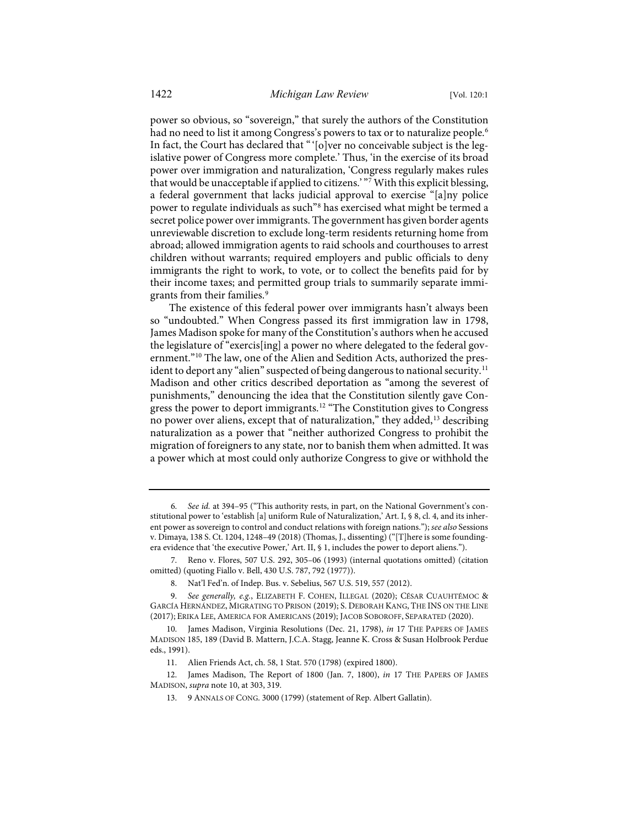power so obvious, so "sovereign," that surely the authors of the Constitution had no need to list it among Congress's powers to tax or to naturalize people.<sup>[6](#page-3-1)</sup> In fact, the Court has declared that "'[o]ver no conceivable subject is the legislative power of Congress more complete.' Thus, 'in the exercise of its broad power over immigration and naturalization, 'Congress regularly makes rules that would be unacceptable if applied to citizens.' "[7](#page-3-2) With this explicit blessing, a federal government that lacks judicial approval to exercise "[a]ny police power to regulate individuals as such"<sup>8</sup> has exercised what might be termed a secret police power over immigrants. The government has given border agents unreviewable discretion to exclude long-term residents returning home from abroad; allowed immigration agents to raid schools and courthouses to arrest children without warrants; required employers and public officials to deny immigrants the right to work, to vote, or to collect the benefits paid for by their income taxes; and permitted group trials to summarily separate immi-grants from their families.<sup>[9](#page-3-4)</sup>

<span id="page-3-10"></span><span id="page-3-9"></span><span id="page-3-0"></span>The existence of this federal power over immigrants hasn't always been so "undoubted." When Congress passed its first immigration law in 1798, James Madison spoke for many of the Constitution's authors when he accused the legislature of "exercis[ing] a power no where delegated to the federal government."[10](#page-3-5) The law, one of the Alien and Sedition Acts, authorized the pres-ident to deport any "alien" suspected of being dangerous to national security.<sup>[11](#page-3-6)</sup> Madison and other critics described deportation as "among the severest of punishments," denouncing the idea that the Constitution silently gave Congress the power to deport immigrants.[12](#page-3-7) "The Constitution gives to Congress no power over aliens, except that of naturalization," they added,[13](#page-3-8) describing naturalization as a power that "neither authorized Congress to prohibit the migration of foreigners to any state, nor to banish them when admitted. It was a power which at most could only authorize Congress to give or withhold the

<span id="page-3-2"></span> 7. Reno v. Flores, 507 U.S. 292, 305–06 (1993) (internal quotations omitted) (citation omitted) (quoting Fiallo v. Bell, 430 U.S. 787, 792 (1977)).

<span id="page-3-8"></span><span id="page-3-7"></span><span id="page-3-6"></span>12. James Madison, The Report of 1800 (Jan. 7, 1800), *in* 17 THE PAPERS OF JAMES MADISON, *supra* not[e 10,](#page-3-0) at 303, 319.

<span id="page-3-1"></span> <sup>6.</sup> *See id.* at 394–95 ("This authority rests, in part, on the National Government's constitutional power to 'establish [a] uniform Rule of Naturalization,' Art. I, § 8, cl. 4, and its inherent power as sovereign to control and conduct relations with foreign nations."); *see also* Sessions v. Dimaya, 138 S. Ct. 1204, 1248–49 (2018) (Thomas, J., dissenting) ("[T]here is some foundingera evidence that 'the executive Power,' Art. II, § 1, includes the power to deport aliens.").

 <sup>8.</sup> Nat'l Fed'n. of Indep. Bus. v. Sebelius, 567 U.S. 519, 557 (2012).

<span id="page-3-4"></span><span id="page-3-3"></span> <sup>9.</sup> *See generally, e.g.*, ELIZABETH F. COHEN, ILLEGAL (2020); CÉSAR CUAUHTÉMOC & GARCÍA HERNÁNDEZ, MIGRATING TO PRISON (2019); S. DEBORAH KANG, THE INS ON THE LINE (2017); ERIKA LEE, AMERICA FOR AMERICANS (2019); JACOB SOBOROFF, SEPARATED (2020).

<span id="page-3-5"></span><sup>10.</sup> James Madison, Virginia Resolutions (Dec. 21, 1798), *in* 17 THE PAPERS OF JAMES MADISON 185, 189 (David B. Mattern, J.C.A. Stagg, Jeanne K. Cross & Susan Holbrook Perdue eds., 1991).

<sup>11.</sup> Alien Friends Act, ch. 58, 1 Stat. 570 (1798) (expired 1800).

<sup>13. 9</sup> ANNALS OF CONG. 3000 (1799) (statement of Rep. Albert Gallatin).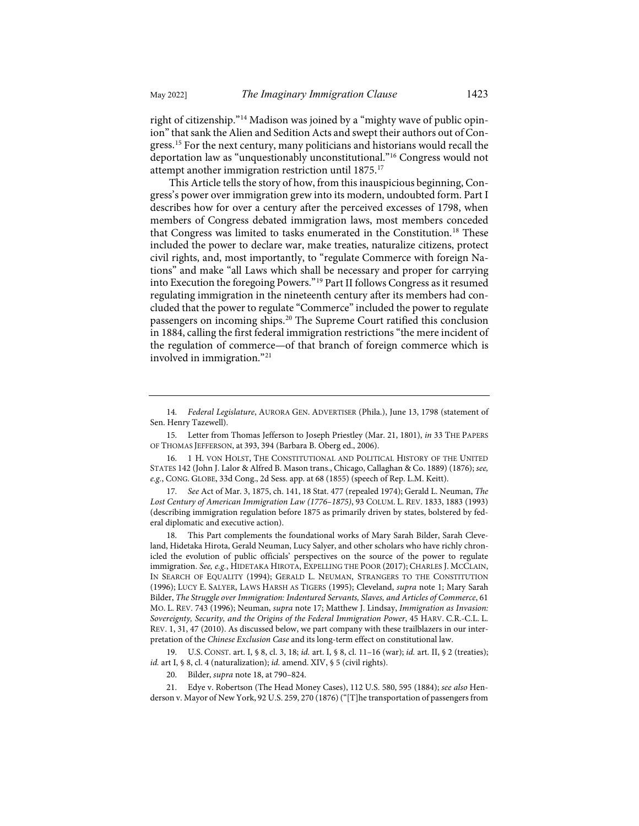<span id="page-4-11"></span><span id="page-4-10"></span>right of citizenship.["14](#page-4-2) Madison was joined by a "mighty wave of public opinion" that sank the Alien and Sedition Acts and swept their authors out of Congress.[15](#page-4-3) For the next century, many politicians and historians would recall the deportation law as "unquestionably unconstitutional."[16](#page-4-4) Congress would not attempt another immigration restriction until 1875.[17](#page-4-5)

<span id="page-4-12"></span><span id="page-4-1"></span><span id="page-4-0"></span>This Article tells the story of how, from this inauspicious beginning, Congress's power over immigration grew into its modern, undoubted form. Part I describes how for over a century after the perceived excesses of 1798, when members of Congress debated immigration laws, most members conceded that Congress was limited to tasks enumerated in the Constitution.[18](#page-4-6) These included the power to declare war, make treaties, naturalize citizens, protect civil rights, and, most importantly, to "regulate Commerce with foreign Nations" and make "all Laws which shall be necessary and proper for carrying into Execution the foregoing Powers."[19](#page-4-7) Part II follows Congress as it resumed regulating immigration in the nineteenth century after its members had concluded that the power to regulate "Commerce" included the power to regulate passengers on incoming ships.<sup>[20](#page-4-8)</sup> The Supreme Court ratified this conclusion in 1884, calling the first federal immigration restrictions "the mere incident of the regulation of commerce—of that branch of foreign commerce which is involved in immigration."[21](#page-4-9)

<span id="page-4-3"></span>15. Letter from Thomas Jefferson to Joseph Priestley (Mar. 21, 1801), *in* 33 THE PAPERS OF THOMAS JEFFERSON, at 393, 394 (Barbara B. Oberg ed., 2006).

<span id="page-4-4"></span>16. 1 H. VON HOLST, THE CONSTITUTIONAL AND POLITICAL HISTORY OF THE UNITED STATES 142 (John J. Lalor & Alfred B. Mason trans., Chicago, Callaghan & Co. 1889) (1876); *see, e.g.*, CONG. GLOBE, 33d Cong., 2d Sess. app. at 68 (1855) (speech of Rep. L.M. Keitt).

<span id="page-4-5"></span>17. *See* Act of Mar. 3, 1875, ch. 141, 18 Stat. 477 (repealed 1974); Gerald L. Neuman, *The Lost Century of American Immigration Law (1776–1875)*, 93 COLUM. L. REV. 1833, 1883 (1993) (describing immigration regulation before 1875 as primarily driven by states, bolstered by federal diplomatic and executive action).

<span id="page-4-6"></span>18. This Part complements the foundational works of Mary Sarah Bilder, Sarah Cleveland, Hidetaka Hirota, Gerald Neuman, Lucy Salyer, and other scholars who have richly chronicled the evolution of public officials' perspectives on the source of the power to regulate immigration. *See, e.g.*, HIDETAKA HIROTA, EXPELLING THE POOR (2017); CHARLES J. MCCLAIN, IN SEARCH OF EQUALITY (1994); GERALD L. NEUMAN, STRANGERS TO THE CONSTITUTION (1996); LUCY E. SALYER, LAWS HARSH AS TIGERS (1995); Cleveland, *supra* not[e 1;](#page-2-5) Mary Sarah Bilder, *The Struggle over Immigration: Indentured Servants, Slaves, and Articles of Commerce*, 61 MO. L. REV. 743 (1996); Neuman, *supra* note [17;](#page-4-0) Matthew J. Lindsay, *Immigration as Invasion: Sovereignty, Security, and the Origins of the Federal Immigration Power*, 45 HARV. C.R.-C.L. L. REV. 1, 31, 47 (2010). As discussed below, we part company with these trailblazers in our interpretation of the *Chinese Exclusion Case* and its long-term effect on constitutional law.

<span id="page-4-7"></span>19. U.S. CONST. art. I, § 8, cl. 3, 18; *id.* art. I, § 8, cl. 11–16 (war); *id.* art. II, § 2 (treaties); *id.* art I, § 8, cl. 4 (naturalization); *id.* amend. XIV, § 5 (civil rights).

20. Bilder, *supra* not[e 18,](#page-4-1) at 790–824.

<span id="page-4-9"></span><span id="page-4-8"></span>21. Edye v. Robertson (The Head Money Cases), 112 U.S. 580, 595 (1884); *see also* Henderson v. Mayor of New York, 92 U.S. 259, 270 (1876) ("[T]he transportation of passengers from

<span id="page-4-2"></span><sup>14.</sup> *Federal Legislature*, AURORA GEN. ADVERTISER (Phila.), June 13, 1798 (statement of Sen. Henry Tazewell).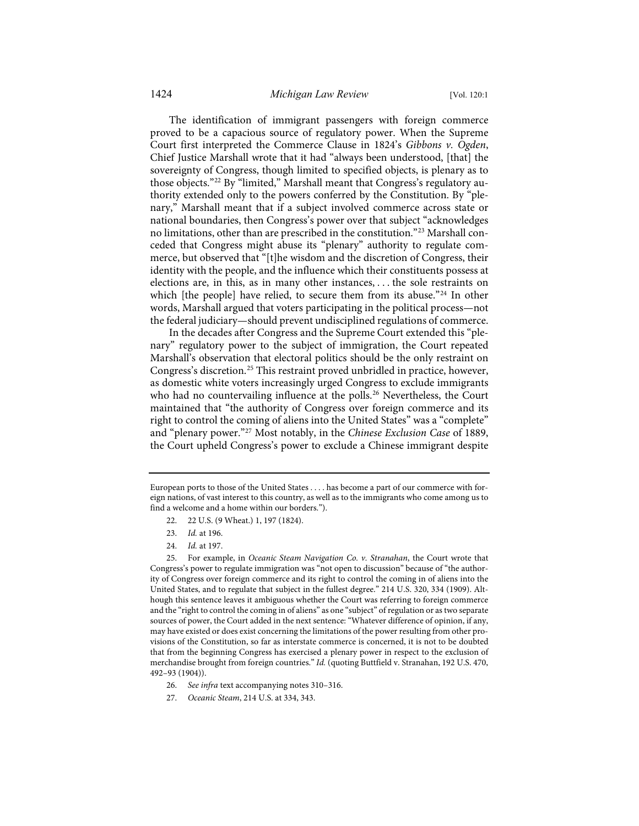The identification of immigrant passengers with foreign commerce proved to be a capacious source of regulatory power. When the Supreme Court first interpreted the Commerce Clause in 1824's *Gibbons v. Ogden*, Chief Justice Marshall wrote that it had "always been understood, [that] the sovereignty of Congress, though limited to specified objects, is plenary as to those objects."[22](#page-5-0) By "limited," Marshall meant that Congress's regulatory authority extended only to the powers conferred by the Constitution. By "plenary," Marshall meant that if a subject involved commerce across state or national boundaries, then Congress's power over that subject "acknowledges no limitations, other than are prescribed in the constitution."[23](#page-5-1) Marshall conceded that Congress might abuse its "plenary" authority to regulate commerce, but observed that "[t]he wisdom and the discretion of Congress, their identity with the people, and the influence which their constituents possess at elections are, in this, as in many other instances, . . . the sole restraints on which [the people] have relied, to secure them from its abuse."<sup>[24](#page-5-2)</sup> In other words, Marshall argued that voters participating in the political process—not the federal judiciary—should prevent undisciplined regulations of commerce.

In the decades after Congress and the Supreme Court extended this "plenary" regulatory power to the subject of immigration, the Court repeated Marshall's observation that electoral politics should be the only restraint on Congress's discretion.[25](#page-5-3) This restraint proved unbridled in practice, however, as domestic white voters increasingly urged Congress to exclude immigrants who had no countervailing influence at the polls.<sup>[26](#page-5-4)</sup> Nevertheless, the Court maintained that "the authority of Congress over foreign commerce and its right to control the coming of aliens into the United States" was a "complete" and "plenary power."[27](#page-5-5) Most notably, in the *Chinese Exclusion Case* of 1889, the Court upheld Congress's power to exclude a Chinese immigrant despite

- 22. 22 U.S. (9 Wheat.) 1, 197 (1824).
- 23. *Id.* at 196.
- 24. *Id.* at 197.

<span id="page-5-5"></span>27. *Oceanic Steam*, 214 U.S. at 334, 343.

<span id="page-5-0"></span>European ports to those of the United States . . . . has become a part of our commerce with foreign nations, of vast interest to this country, as well as to the immigrants who come among us to find a welcome and a home within our borders.").

<span id="page-5-3"></span><span id="page-5-2"></span><span id="page-5-1"></span><sup>25.</sup> For example, in *Oceanic Steam Navigation Co. v. Stranahan*, the Court wrote that Congress's power to regulate immigration was "not open to discussion" because of "the authority of Congress over foreign commerce and its right to control the coming in of aliens into the United States, and to regulate that subject in the fullest degree." 214 U.S. 320, 334 (1909). Although this sentence leaves it ambiguous whether the Court was referring to foreign commerce and the "right to control the coming in of aliens" as one "subject" of regulation or as two separate sources of power, the Court added in the next sentence: "Whatever difference of opinion, if any, may have existed or does exist concerning the limitations of the power resulting from other provisions of the Constitution, so far as interstate commerce is concerned, it is not to be doubted that from the beginning Congress has exercised a plenary power in respect to the exclusion of merchandise brought from foreign countries." *Id.* (quoting Buttfield v. Stranahan, 192 U.S. 470, 492–93 (1904)).

<span id="page-5-4"></span><sup>26.</sup> *See infra* text accompanying note[s 310](#page-38-0)[–316.](#page-38-1)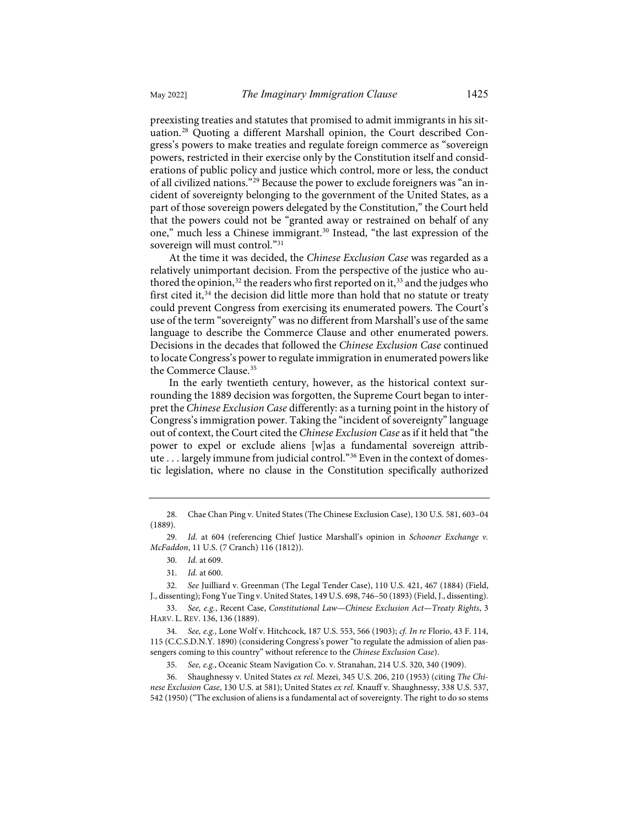preexisting treaties and statutes that promised to admit immigrants in his situation.[28](#page-6-0) Quoting a different Marshall opinion, the Court described Congress's powers to make treaties and regulate foreign commerce as "sovereign powers, restricted in their exercise only by the Constitution itself and considerations of public policy and justice which control, more or less, the conduct of all civilized nations.["29](#page-6-1) Because the power to exclude foreigners was "an incident of sovereignty belonging to the government of the United States, as a part of those sovereign powers delegated by the Constitution," the Court held that the powers could not be "granted away or restrained on behalf of any one," much less a Chinese immigrant.<sup>[30](#page-6-2)</sup> Instead, "the last expression of the sovereign will must control."<sup>[31](#page-6-3)</sup>

<span id="page-6-9"></span>At the time it was decided, the *Chinese Exclusion Case* was regarded as a relatively unimportant decision. From the perspective of the justice who au-thored the opinion,<sup>[32](#page-6-4)</sup> the readers who first reported on it,<sup>[33](#page-6-5)</sup> and the judges who first cited it,<sup>[34](#page-6-6)</sup> the decision did little more than hold that no statute or treaty could prevent Congress from exercising its enumerated powers. The Court's use of the term "sovereignty" was no different from Marshall's use of the same language to describe the Commerce Clause and other enumerated powers. Decisions in the decades that followed the *Chinese Exclusion Case* continued to locate Congress's power to regulate immigration in enumerated powers like the Commerce Clause.[35](#page-6-7)

In the early twentieth century, however, as the historical context surrounding the 1889 decision was forgotten, the Supreme Court began to interpret the *Chinese Exclusion Case* differently: as a turning point in the history of Congress's immigration power. Taking the "incident of sovereignty" language out of context, the Court cited the *Chinese Exclusion Case* as if it held that "the power to expel or exclude aliens [w]as a fundamental sovereign attribute . . . largely immune from judicial control."[36](#page-6-8) Even in the context of domestic legislation, where no clause in the Constitution specifically authorized

<span id="page-6-0"></span><sup>28.</sup> Chae Chan Ping v. United States (The Chinese Exclusion Case), 130 U.S. 581, 603–04 (1889).

<span id="page-6-1"></span><sup>29.</sup> *Id.* at 604 (referencing Chief Justice Marshall's opinion in *Schooner Exchange v. McFaddon*, 11 U.S. (7 Cranch) 116 (1812)).

<sup>30.</sup> *Id.* at 609.

<sup>31.</sup> *Id.* at 600.

<span id="page-6-4"></span><span id="page-6-3"></span><span id="page-6-2"></span><sup>32.</sup> *See* Juilliard v. Greenman (The Legal Tender Case), 110 U.S. 421, 467 (1884) (Field, J., dissenting); Fong Yue Ting v. United States, 149 U.S. 698, 746–50 (1893) (Field, J., dissenting).

<span id="page-6-5"></span><sup>33.</sup> *See, e.g.*, Recent Case, *Constitutional Law—Chinese Exclusion Act—Treaty Rights*, 3 HARV. L. REV. 136, 136 (1889).

<span id="page-6-6"></span><sup>34.</sup> *See, e.g.*, Lone Wolf v. Hitchcock, 187 U.S. 553, 566 (1903); *cf. In re* Florio, 43 F. 114, 115 (C.C.S.D.N.Y. 1890) (considering Congress's power "to regulate the admission of alien passengers coming to this country" without reference to the *Chinese Exclusion Case*).

<sup>35.</sup> *See, e.g.*, Oceanic Steam Navigation Co. v. Stranahan, 214 U.S. 320, 340 (1909).

<span id="page-6-8"></span><span id="page-6-7"></span><sup>36.</sup> Shaughnessy v. United States *ex rel.* Mezei, 345 U.S. 206, 210 (1953) (citing *The Chinese Exclusion Case*, 130 U.S. at 581); United States *ex rel.* Knauff v. Shaughnessy, 338 U.S. 537, 542 (1950) ("The exclusion of aliens is a fundamental act of sovereignty. The right to do so stems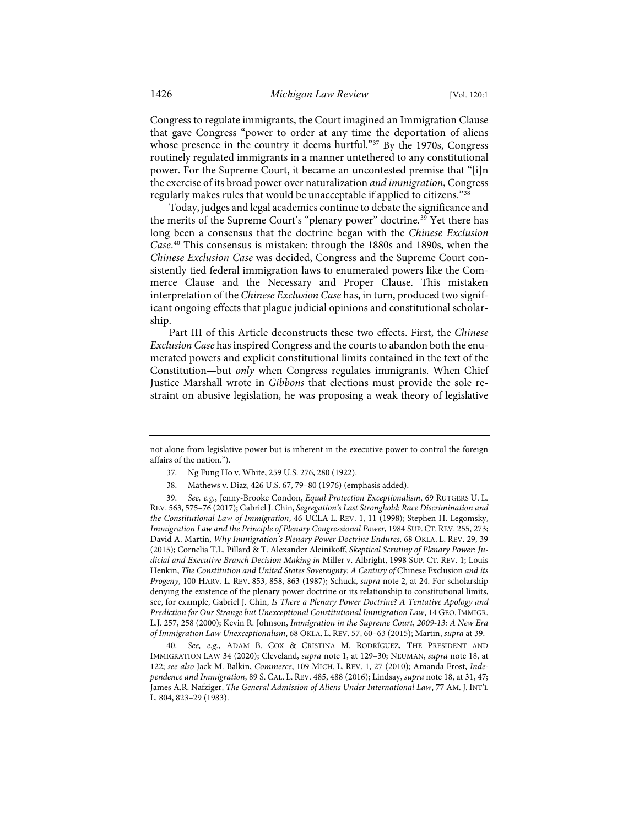Congress to regulate immigrants, the Court imagined an Immigration Clause that gave Congress "power to order at any time the deportation of aliens whose presence in the country it deems hurtful."<sup>37</sup> By the 1970s, Congress routinely regulated immigrants in a manner untethered to any constitutional power. For the Supreme Court, it became an uncontested premise that "[i]n the exercise of its broad power over naturalization *and immigration*, Congress regularly makes rules that would be unacceptable if applied to citizens."[38](#page-7-1)

<span id="page-7-5"></span><span id="page-7-4"></span>Today, judges and legal academics continue to debate the significance and the merits of the Supreme Court's "plenary power" doctrine.<sup>[39](#page-7-2)</sup> Yet there has long been a consensus that the doctrine began with the *Chinese Exclusion Case*. [40](#page-7-3) This consensus is mistaken: through the 1880s and 1890s, when the *Chinese Exclusion Case* was decided, Congress and the Supreme Court consistently tied federal immigration laws to enumerated powers like the Commerce Clause and the Necessary and Proper Clause. This mistaken interpretation of the *Chinese Exclusion Case* has, in turn, produced two significant ongoing effects that plague judicial opinions and constitutional scholarship.

Part III of this Article deconstructs these two effects. First, the *Chinese Exclusion Case* has inspired Congress and the courts to abandon both the enumerated powers and explicit constitutional limits contained in the text of the Constitution—but *only* when Congress regulates immigrants. When Chief Justice Marshall wrote in *Gibbons* that elections must provide the sole restraint on abusive legislation, he was proposing a weak theory of legislative

<span id="page-7-0"></span>not alone from legislative power but is inherent in the executive power to control the foreign affairs of the nation.").

<sup>37.</sup> Ng Fung Ho v. White, 259 U.S. 276, 280 (1922).

<sup>38.</sup> Mathews v. Diaz, 426 U.S. 67, 79–80 (1976) (emphasis added).

<span id="page-7-2"></span><span id="page-7-1"></span><sup>39.</sup> *See, e.g.*, Jenny-Brooke Condon, *Equal Protection Exceptionalism*, 69 RUTGERS U. L. REV. 563, 575–76 (2017); Gabriel J. Chin, *Segregation's Last Stronghold: Race Discrimination and the Constitutional Law of Immigration*, 46 UCLA L. REV. 1, 11 (1998); Stephen H. Legomsky, *Immigration Law and the Principle of Plenary Congressional Power*, 1984 SUP. CT. REV. 255, 273; David A. Martin, *Why Immigration's Plenary Power Doctrine Endures*, 68 OKLA. L. REV. 29, 39 (2015); Cornelia T.L. Pillard & T. Alexander Aleinikoff, *Skeptical Scrutiny of Plenary Power: Judicial and Executive Branch Decision Making in* Miller v. Albright, 1998 SUP. CT. REV. 1; Louis Henkin, *The Constitution and United States Sovereignty: A Century of* Chinese Exclusion *and its Progeny*, 100 HARV. L. REV. 853, 858, 863 (1987); Schuck, *supra* not[e 2,](#page-2-6) at 24. For scholarship denying the existence of the plenary power doctrine or its relationship to constitutional limits, see, for example, Gabriel J. Chin, *Is There a Plenary Power Doctrine? A Tentative Apology and Prediction for Our Strange but Unexceptional Constitutional Immigration Law*, 14 GEO.IMMIGR. L.J. 257, 258 (2000); Kevin R. Johnson, *Immigration in the Supreme Court, 2009-13: A New Era of Immigration Law Unexceptionalism*, 68 OKLA. L. REV. 57, 60–63 (2015); Martin, *supra* at 39.

<span id="page-7-3"></span><sup>40.</sup> *See, e.g.*, ADAM B. COX & CRISTINA M. RODRÍGUEZ, THE PRESIDENT AND IMMIGRATION LAW 34 (2020); Cleveland, *supra* note [1,](#page-2-5) at 129–30; NEUMAN, *supra* note [18,](#page-4-1) at 122; *see also* Jack M. Balkin, *Commerce*, 109 MICH. L. REV. 1, 27 (2010); Amanda Frost, *Independence and Immigration*, 89 S. CAL. L. REV. 485, 488 (2016); Lindsay, *supra* not[e 18,](#page-4-1) at 31, 47; James A.R. Nafziger, *The General Admission of Aliens Under International Law*, 77 AM. J. INT'L L. 804, 823–29 (1983).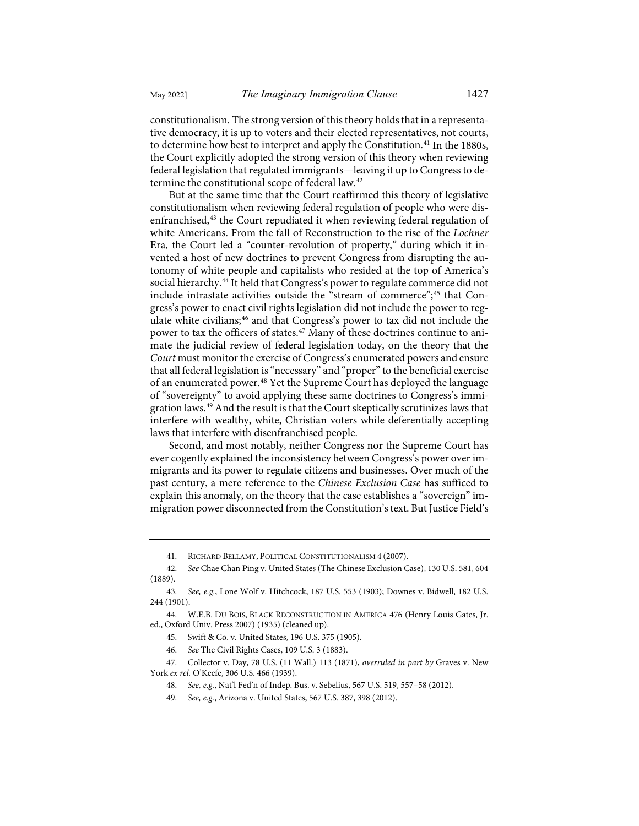constitutionalism. The strong version of this theory holds that in a representative democracy, it is up to voters and their elected representatives, not courts, to determine how best to interpret and apply the Constitution.[41](#page-8-0) In the 1880s, the Court explicitly adopted the strong version of this theory when reviewing federal legislation that regulated immigrants—leaving it up to Congress to determine the constitutional scope of federal law.[42](#page-8-1)

But at the same time that the Court reaffirmed this theory of legislative constitutionalism when reviewing federal regulation of people who were disenfranchised,[43](#page-8-2) the Court repudiated it when reviewing federal regulation of white Americans. From the fall of Reconstruction to the rise of the *Lochner* Era, the Court led a "counter-revolution of property," during which it invented a host of new doctrines to prevent Congress from disrupting the autonomy of white people and capitalists who resided at the top of America's social hierarchy.[44](#page-8-3) It held that Congress's power to regulate commerce did not include intrastate activities outside the "stream of commerce";<sup>[45](#page-8-4)</sup> that Congress's power to enact civil rights legislation did not include the power to reg-ulate white civilians;<sup>[46](#page-8-5)</sup> and that Congress's power to tax did not include the power to tax the officers of states.<sup>47</sup> Many of these doctrines continue to animate the judicial review of federal legislation today, on the theory that the *Court* must monitor the exercise of Congress's enumerated powers and ensure that all federal legislation is "necessary" and "proper" to the beneficial exercise of an enumerated power.[48](#page-8-7) Yet the Supreme Court has deployed the language of "sovereignty" to avoid applying these same doctrines to Congress's immi-gration laws.<sup>[49](#page-8-8)</sup> And the result is that the Court skeptically scrutinizes laws that interfere with wealthy, white, Christian voters while deferentially accepting laws that interfere with disenfranchised people.

Second, and most notably, neither Congress nor the Supreme Court has ever cogently explained the inconsistency between Congress's power over immigrants and its power to regulate citizens and businesses. Over much of the past century, a mere reference to the *Chinese Exclusion Case* has sufficed to explain this anomaly, on the theory that the case establishes a "sovereign" immigration power disconnected from the Constitution's text. But Justice Field's

<span id="page-8-1"></span><span id="page-8-0"></span>42. *See* Chae Chan Ping v. United States (The Chinese Exclusion Case), 130 U.S. 581, 604 (1889).

<sup>41.</sup> RICHARD BELLAMY, POLITICAL CONSTITUTIONALISM 4 (2007).

<span id="page-8-2"></span><sup>43.</sup> *See, e.g.*, Lone Wolf v. Hitchcock, 187 U.S. 553 (1903); Downes v. Bidwell, 182 U.S. 244 (1901).

<span id="page-8-4"></span><span id="page-8-3"></span><sup>44.</sup> W.E.B. DU BOIS, BLACK RECONSTRUCTION IN AMERICA 476 (Henry Louis Gates, Jr. ed., Oxford Univ. Press 2007) (1935) (cleaned up).

<sup>45.</sup> Swift & Co. v. United States, 196 U.S. 375 (1905).

<sup>46.</sup> *See* The Civil Rights Cases, 109 U.S. 3 (1883).

<span id="page-8-8"></span><span id="page-8-7"></span><span id="page-8-6"></span><span id="page-8-5"></span><sup>47.</sup> Collector v. Day, 78 U.S. (11 Wall.) 113 (1871), *overruled in part by* Graves v. New York *ex rel.* O'Keefe, 306 U.S. 466 (1939).

<sup>48.</sup> *See, e.g.*, Nat'l Fed'n of Indep. Bus. v. Sebelius, 567 U.S. 519, 557–58 (2012).

<sup>49.</sup> *See, e.g.*, Arizona v. United States, 567 U.S. 387, 398 (2012).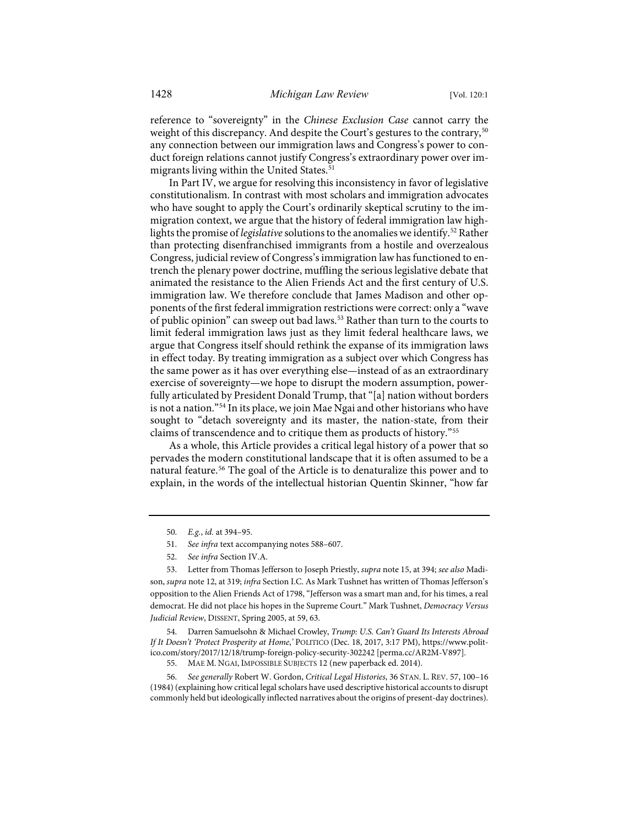reference to "sovereignty" in the *Chinese Exclusion Case* cannot carry the weight of this discrepancy. And despite the Court's gestures to the contrary,<sup>[50](#page-9-0)</sup> any connection between our immigration laws and Congress's power to conduct foreign relations cannot justify Congress's extraordinary power over im-migrants living within the United States.<sup>[51](#page-9-1)</sup>

In Part IV, we argue for resolving this inconsistency in favor of legislative constitutionalism. In contrast with most scholars and immigration advocates who have sought to apply the Court's ordinarily skeptical scrutiny to the immigration context, we argue that the history of federal immigration law highlights the promise of *legislative* solutions to the anomalies we identify.[52](#page-9-2) Rather than protecting disenfranchised immigrants from a hostile and overzealous Congress, judicial review of Congress's immigration law has functioned to entrench the plenary power doctrine, muffling the serious legislative debate that animated the resistance to the Alien Friends Act and the first century of U.S. immigration law. We therefore conclude that James Madison and other opponents of the first federal immigration restrictions were correct: only a "wave of public opinion" can sweep out bad laws.<sup>[53](#page-9-3)</sup> Rather than turn to the courts to limit federal immigration laws just as they limit federal healthcare laws, we argue that Congress itself should rethink the expanse of its immigration laws in effect today. By treating immigration as a subject over which Congress has the same power as it has over everything else—instead of as an extraordinary exercise of sovereignty—we hope to disrupt the modern assumption, powerfully articulated by President Donald Trump, that "[a] nation without borders is not a nation."[54](#page-9-4) In its place, we join Mae Ngai and other historians who have sought to "detach sovereignty and its master, the nation-state, from their claims of transcendence and to critique them as products of history."[55](#page-9-5)

<span id="page-9-7"></span>As a whole, this Article provides a critical legal history of a power that so pervades the modern constitutional landscape that it is often assumed to be a natural feature.[56](#page-9-6) The goal of the Article is to denaturalize this power and to explain, in the words of the intellectual historian Quentin Skinner, "how far

<span id="page-9-3"></span><span id="page-9-2"></span><span id="page-9-1"></span><span id="page-9-0"></span>53. Letter from Thomas Jefferson to Joseph Priestly, *supra* not[e 15,](#page-4-10) at 394; *see also* Madison, *supra* not[e 12,](#page-3-9) at 319; *infra* Section I.C. As Mark Tushnet has written of Thomas Jefferson's opposition to the Alien Friends Act of 1798, "Jefferson was a smart man and, for his times, a real democrat. He did not place his hopes in the Supreme Court." Mark Tushnet, *Democracy Versus Judicial Review*, DISSENT, Spring 2005, at 59, 63.

<span id="page-9-4"></span>54. Darren Samuelsohn & Michael Crowley, *Trump: U.S. Can't Guard Its Interests Abroad If It Doesn't 'Protect Prosperity at Home*,*'* POLITICO (Dec. 18, 2017, 3:17 PM), [https://www.polit](https://www.politico.com/story/2017/12/18/trump-foreign-policy-security-302242)[ico.com/story/2017/12/18/trump-foreign-policy-security-302242](https://www.politico.com/story/2017/12/18/trump-foreign-policy-security-302242) [\[perma.cc/AR2M-V897\]](https://perma.cc/AR2M-V897).

55. MAE M. NGAI, IMPOSSIBLE SUBJECTS 12 (new paperback ed. 2014).

<span id="page-9-6"></span><span id="page-9-5"></span>56. *See generally* Robert W. Gordon, *Critical Legal Histories*, 36 STAN. L. REV. 57, 100–16 (1984) (explaining how critical legal scholars have used descriptive historical accounts to disrupt commonly held but ideologically inflected narratives about the origins of present-day doctrines).

<sup>50.</sup> *E.g.*, *id.* at 394–95.

<sup>51.</sup> *See infra* text accompanying note[s 588](#page-69-0)[–607.](#page-71-0) 

<sup>52.</sup> *See infra* Section IV.A.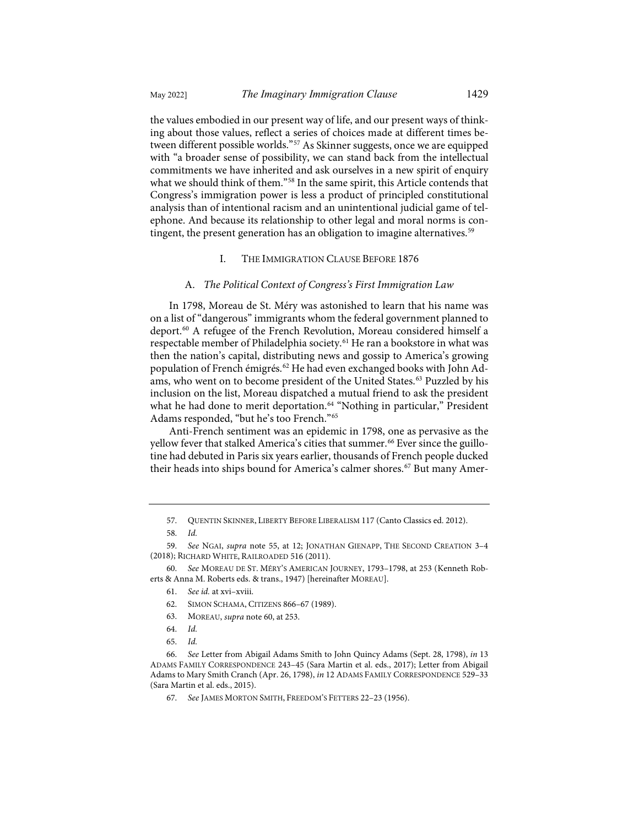the values embodied in our present way of life, and our present ways of thinking about those values, reflect a series of choices made at different times between different possible worlds."[57](#page-10-1) As Skinner suggests, once we are equipped with "a broader sense of possibility, we can stand back from the intellectual commitments we have inherited and ask ourselves in a new spirit of enquiry what we should think of them."<sup>[58](#page-10-2)</sup> In the same spirit, this Article contends that Congress's immigration power is less a product of principled constitutional analysis than of intentional racism and an unintentional judicial game of telephone. And because its relationship to other legal and moral norms is contingent, the present generation has an obligation to imagine alternatives.<sup>59</sup>

### <span id="page-10-13"></span>I. THE IMMIGRATION CLAUSE BEFORE 1876

#### A. *The Political Context of Congress's First Immigration Law*

<span id="page-10-0"></span>In 1798, Moreau de St. Méry was astonished to learn that his name was on a list of "dangerous" immigrants whom the federal government planned to deport.[60](#page-10-4) A refugee of the French Revolution, Moreau considered himself a respectable member of Philadelphia society.<sup>[61](#page-10-5)</sup> He ran a bookstore in what was then the nation's capital, distributing news and gossip to America's growing population of French émigrés.<sup>[62](#page-10-6)</sup> He had even exchanged books with John Ad-ams, who went on to become president of the United States.<sup>[63](#page-10-7)</sup> Puzzled by his inclusion on the list, Moreau dispatched a mutual friend to ask the president what he had done to merit deportation.<sup>[64](#page-10-8)</sup> "Nothing in particular," President Adams responded, "but he's too French."[65](#page-10-9)

Anti-French sentiment was an epidemic in 1798, one as pervasive as the yellow fever that stalked America's cities that summer.<sup>[66](#page-10-10)</sup> Ever since the guillotine had debuted in Paris six years earlier, thousands of French people ducked their heads into ships bound for America's calmer shores.<sup>[67](#page-10-11)</sup> But many Amer-

<span id="page-10-12"></span><sup>57.</sup> QUENTIN SKINNER, LIBERTY BEFORE LIBERALISM 117 (Canto Classics ed. 2012).

<sup>58.</sup> *Id.*

<span id="page-10-3"></span><span id="page-10-2"></span><span id="page-10-1"></span><sup>59.</sup> *See* NGAI, *supra* note [55,](#page-9-7) at 12; JONATHAN GIENAPP, THE SECOND CREATION 3–4 (2018); RICHARD WHITE, RAILROADED 516 (2011).

<span id="page-10-6"></span><span id="page-10-5"></span><span id="page-10-4"></span><sup>60.</sup> *See* MOREAU DE ST. MÉRY'S AMERICAN JOURNEY, 1793–1798, at 253 (Kenneth Roberts & Anna M. Roberts eds. & trans., 1947) [hereinafter MOREAU].

<sup>61.</sup> *See id.* at xvi–xviii.

<sup>62.</sup> SIMON SCHAMA, CITIZENS 866–67 (1989).

<sup>63.</sup> MOREAU, *supra* not[e 60,](#page-10-0) at 253.

<sup>64.</sup> *Id.*

<sup>65.</sup> *Id.*

<span id="page-10-11"></span><span id="page-10-10"></span><span id="page-10-9"></span><span id="page-10-8"></span><span id="page-10-7"></span><sup>66.</sup> *See* Letter from Abigail Adams Smith to John Quincy Adams (Sept. 28, 1798), *in* 13 ADAMS FAMILY CORRESPONDENCE 243–45 (Sara Martin et al. eds., 2017); Letter from Abigail Adams to Mary Smith Cranch (Apr. 26, 1798), *in* 12 ADAMS FAMILY CORRESPONDENCE 529–33 (Sara Martin et al. eds., 2015).

<sup>67.</sup> *See* JAMES MORTON SMITH, FREEDOM'S FETTERS 22–23 (1956).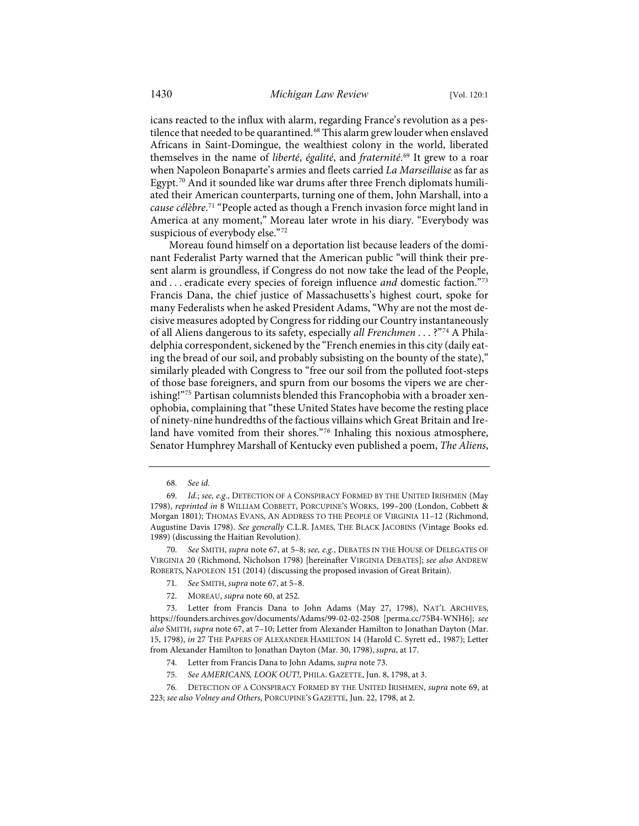<span id="page-11-11"></span><span id="page-11-1"></span>icans reacted to the influx with alarm, regarding France's revolution as a pes-tilence that needed to be quarantined.<sup>[68](#page-11-2)</sup> This alarm grew louder when enslaved Africans in Saint-Domingue, the wealthiest colony in the world, liberated themselves in the name of *liberté*, *égalité*, and *fraternité*. [69](#page-11-3) It grew to a roar when Napoleon Bonaparte's armies and fleets carried *La Marseillaise* as far as Egypt.<sup>[70](#page-11-4)</sup> And it sounded like war drums after three French diplomats humiliated their American counterparts, turning one of them, John Marshall, into a *cause célèbre*. [71](#page-11-5) "People acted as though a French invasion force might land in America at any moment," Moreau later wrote in his diary. "Everybody was suspicious of everybody else."[72](#page-11-6)

<span id="page-11-0"></span>Moreau found himself on a deportation list because leaders of the dominant Federalist Party warned that the American public "will think their present alarm is groundless, if Congress do not now take the lead of the People, and . . . eradicate every species of foreign influence *and* domestic faction."[73](#page-11-7) Francis Dana, the chief justice of Massachusetts's highest court, spoke for many Federalists when he asked President Adams, "Why are not the most decisive measures adopted by Congress for ridding our Country instantaneously of all Aliens dangerous to its safety, especially *all Frenchmen . . .* ?"[74](#page-11-8) A Philadelphia correspondent, sickened by the "French enemies in this city (daily eating the bread of our soil, and probably subsisting on the bounty of the state)," similarly pleaded with Congress to "free our soil from the polluted foot-steps of those base foreigners, and spurn from our bosoms the vipers we are cher-ishing!["75](#page-11-9) Partisan columnists blended this Francophobia with a broader xenophobia, complaining that "these United States have become the resting place of ninety-nine hundredths of the factious villains which Great Britain and Ireland have vomited from their shores."[76](#page-11-10) Inhaling this noxious atmosphere, Senator Humphrey Marshall of Kentucky even published a poem, *The Aliens*,

<span id="page-11-4"></span>70. *See* SMITH, *supra* not[e 67,](#page-10-12) at 5–8; *see, e.g.*, DEBATES IN THE HOUSE OF DELEGATES OF VIRGINIA 20 (Richmond, Nicholson 1798) [hereinafter VIRGINIA DEBATES]; *see also* ANDREW ROBERTS, NAPOLEON 151 (2014) (discussing the proposed invasion of Great Britain).

- 71. *See* SMITH, *supra* note [67,](#page-10-12) at 5–8.
- 72. MOREAU, *supra* not[e 60,](#page-10-0) at 252.

<sup>68.</sup> *See id.*

<span id="page-11-3"></span><span id="page-11-2"></span><sup>69.</sup> *Id.*; *see, e.g.*, DETECTION OF A CONSPIRACY FORMED BY THE UNITED IRISHMEN (May 1798), *reprinted in* 8 WILLIAM COBBETT, PORCUPINE'S WORKS, 199–200 (London, Cobbett & Morgan 1801); THOMAS EVANS, AN ADDRESS TO THE PEOPLE OF VIRGINIA 11–12 (Richmond, Augustine Davis 1798). *See generally* C.L.R. JAMES, THE BLACK JACOBINS (Vintage Books ed. 1989) (discussing the Haitian Revolution).

<span id="page-11-7"></span><span id="page-11-6"></span><span id="page-11-5"></span><sup>73.</sup> Letter from Francis Dana to John Adams (May 27, 1798), NAT'L ARCHIVES, <https://founders.archives.gov/documents/Adams/99-02-02-2508>[\[perma.cc/75B4-WNH6\]](https://perma.cc/75B4-WNH6); *see also* SMITH, *supra* note [67,](#page-10-12) at 7–10; Letter from Alexander Hamilton to Jonathan Dayton (Mar. 15, 1798), *in* 27 THE PAPERS OF ALEXANDER HAMILTON 14 (Harold C. Syrett ed., 1987); Letter from Alexander Hamilton to Jonathan Dayton (Mar. 30, 1798), *supra*, at 17.

<sup>74.</sup> Letter from Francis Dana to John Adams, *supra* not[e 73.](#page-11-0) 

<sup>75.</sup> *See AMERICANS, LOOK OUT!*, PHILA. GAZETTE, Jun. 8, 1798, at 3.

<span id="page-11-10"></span><span id="page-11-9"></span><span id="page-11-8"></span><sup>76.</sup> DETECTION OF A CONSPIRACY FORMED BY THE UNITED IRISHMEN, *supra* not[e 69,](#page-11-1) at 223; *see also Volney and Others*, PORCUPINE'S GAZETTE, Jun. 22, 1798, at 2.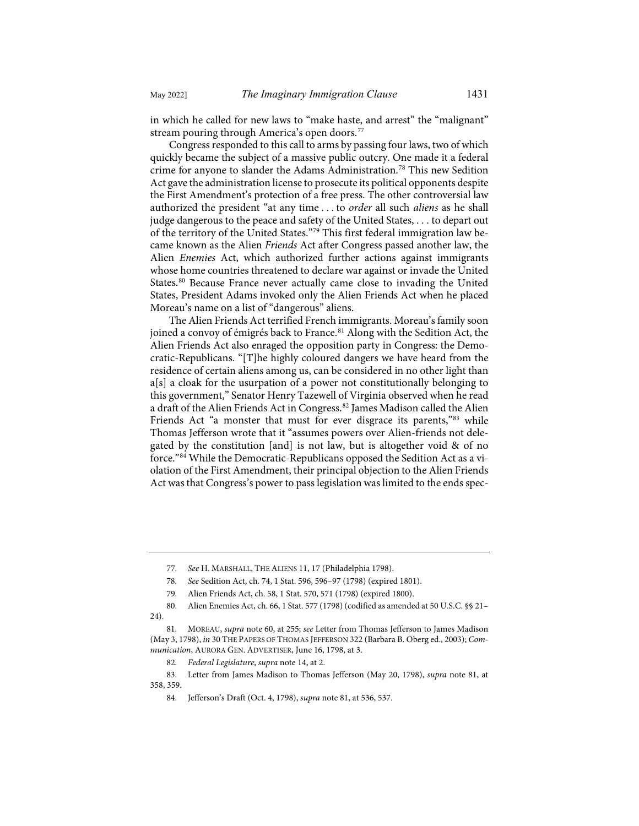in which he called for new laws to "make haste, and arrest" the "malignant" stream pouring through America's open doors.<sup>[77](#page-12-1)</sup>

Congress responded to this call to arms by passing four laws, two of which quickly became the subject of a massive public outcry. One made it a federal crime for anyone to slander the Adams Administration.[78](#page-12-2) This new Sedition Act gave the administration license to prosecute its political opponents despite the First Amendment's protection of a free press. The other controversial law authorized the president "at any time . . . to *order* all such *aliens* as he shall judge dangerous to the peace and safety of the United States, . . . to depart out of the territory of the United States."[79](#page-12-3) This first federal immigration law became known as the Alien *Friends* Act after Congress passed another law, the Alien *Enemies* Act, which authorized further actions against immigrants whose home countries threatened to declare war against or invade the United States.[80](#page-12-4) Because France never actually came close to invading the United States, President Adams invoked only the Alien Friends Act when he placed Moreau's name on a list of "dangerous" aliens.

<span id="page-12-0"></span>The Alien Friends Act terrified French immigrants. Moreau's family soon joined a convoy of émigrés back to France.<sup>[81](#page-12-5)</sup> Along with the Sedition Act, the Alien Friends Act also enraged the opposition party in Congress: the Democratic-Republicans. "[T]he highly coloured dangers we have heard from the residence of certain aliens among us, can be considered in no other light than a[s] a cloak for the usurpation of a power not constitutionally belonging to this government," Senator Henry Tazewell of Virginia observed when he read a draft of the Alien Friends Act in Congress.<sup>[82](#page-12-6)</sup> James Madison called the Alien Friends Act "a monster that must for ever disgrace its parents,"<sup>[83](#page-12-7)</sup> while Thomas Jefferson wrote that it "assumes powers over Alien-friends not delegated by the constitution [and] is not law, but is altogether void  $\&$  of no force."[84](#page-12-8) While the Democratic-Republicans opposed the Sedition Act as a violation of the First Amendment, their principal objection to the Alien Friends Act was that Congress's power to pass legislation was limited to the ends spec-

<span id="page-12-9"></span><sup>77.</sup> *See* H. MARSHALL, THE ALIENS 11, 17 (Philadelphia 1798).

<sup>78.</sup> *See* Sedition Act, ch. 74, 1 Stat. 596, 596–97 (1798) (expired 1801).

<sup>79.</sup> Alien Friends Act, ch. 58, 1 Stat. 570, 571 (1798) (expired 1800).

<span id="page-12-4"></span><span id="page-12-3"></span><span id="page-12-2"></span><span id="page-12-1"></span><sup>80.</sup> Alien Enemies Act, ch. 66, 1 Stat. 577 (1798) (codified as amended at 50 U.S.C. §§ 21– 24).

<span id="page-12-5"></span><sup>81.</sup> MOREAU, *supra* not[e 60,](#page-10-0) at 255; *see* Letter from Thomas Jefferson to James Madison (May 3, 1798), *in* 30 THE PAPERS OF THOMAS JEFFERSON 322 (Barbara B. Oberg ed., 2003); *Communication*, AURORA GEN. ADVERTISER, June 16, 1798, at 3.

<sup>82.</sup> *Federal Legislature*, *supra* not[e 14,](#page-4-11) at 2.

<span id="page-12-8"></span><span id="page-12-7"></span><span id="page-12-6"></span><sup>83.</sup> Letter from James Madison to Thomas Jefferson (May 20, 1798), *supra* note [81,](#page-12-0) at 358, 359.

<sup>84.</sup> Jefferson's Draft (Oct. 4, 1798), *supra* not[e 81,](#page-12-0) at 536, 537.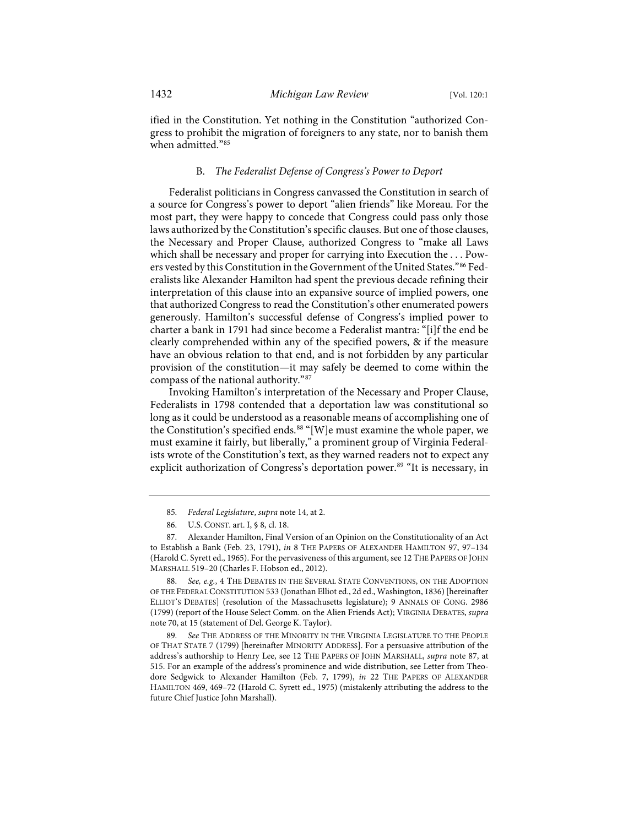ified in the Constitution. Yet nothing in the Constitution "authorized Congress to prohibit the migration of foreigners to any state, nor to banish them when admitted.["85](#page-13-1)

## B. *The Federalist Defense of Congress's Power to Deport*

Federalist politicians in Congress canvassed the Constitution in search of a source for Congress's power to deport "alien friends" like Moreau. For the most part, they were happy to concede that Congress could pass only those laws authorized by the Constitution's specific clauses. But one of those clauses, the Necessary and Proper Clause, authorized Congress to "make all Laws which shall be necessary and proper for carrying into Execution the . . . Powers vested by this Constitution in the Government of the United States."[86](#page-13-2) Federalists like Alexander Hamilton had spent the previous decade refining their interpretation of this clause into an expansive source of implied powers, one that authorized Congress to read the Constitution's other enumerated powers generously. Hamilton's successful defense of Congress's implied power to charter a bank in 1791 had since become a Federalist mantra: "[i]f the end be clearly comprehended within any of the specified powers, & if the measure have an obvious relation to that end, and is not forbidden by any particular provision of the constitution—it may safely be deemed to come within the compass of the national authority."[87](#page-13-3)

<span id="page-13-7"></span><span id="page-13-0"></span>Invoking Hamilton's interpretation of the Necessary and Proper Clause, Federalists in 1798 contended that a deportation law was constitutional so long as it could be understood as a reasonable means of accomplishing one of the Constitution's specified ends. [88](#page-13-4) "[W]e must examine the whole paper, we must examine it fairly, but liberally," a prominent group of Virginia Federalists wrote of the Constitution's text, as they warned readers not to expect any explicit authorization of Congress's deportation power.<sup>89</sup> "It is necessary, in

<span id="page-13-4"></span>88. *See, e.g.*, 4 THE DEBATES IN THE SEVERAL STATE CONVENTIONS, ON THE ADOPTION OF THE FEDERAL CONSTITUTION 533 (Jonathan Elliot ed., 2d ed., Washington, 1836) [hereinafter ELLIOT'S DEBATES] (resolution of the Massachusetts legislature); 9 ANNALS OF CONG. 2986 (1799) (report of the House Select Comm. on the Alien Friends Act); VIRGINIA DEBATES, *supra* not[e 70,](#page-11-11) at 15 (statement of Del. George K. Taylor).

<span id="page-13-5"></span>89. *See* THE ADDRESS OF THE MINORITY IN THE VIRGINIA LEGISLATURE TO THE PEOPLE OF THAT STATE 7 (1799) [hereinafter MINORITY ADDRESS]. For a persuasive attribution of the address's authorship to Henry Lee, see 12 THE PAPERS OF JOHN MARSHALL, *supra* note [87,](#page-13-0) at 515. For an example of the address's prominence and wide distribution, see Letter from Theodore Sedgwick to Alexander Hamilton (Feb. 7, 1799), *in* 22 THE PAPERS OF ALEXANDER HAMILTON 469, 469–72 (Harold C. Syrett ed., 1975) (mistakenly attributing the address to the future Chief Justice John Marshall).

<span id="page-13-6"></span><sup>85.</sup> *Federal Legislature*, *supra* not[e 14,](#page-4-11) at 2.

<sup>86.</sup> U.S. CONST. art. I, § 8, cl. 18.

<span id="page-13-3"></span><span id="page-13-2"></span><span id="page-13-1"></span><sup>87.</sup> Alexander Hamilton, Final Version of an Opinion on the Constitutionality of an Act to Establish a Bank (Feb. 23, 1791), *in* 8 THE PAPERS OF ALEXANDER HAMILTON 97, 97–134 (Harold C. Syrett ed., 1965). For the pervasiveness of this argument, see 12 THE PAPERS OF JOHN MARSHALL 519–20 (Charles F. Hobson ed., 2012).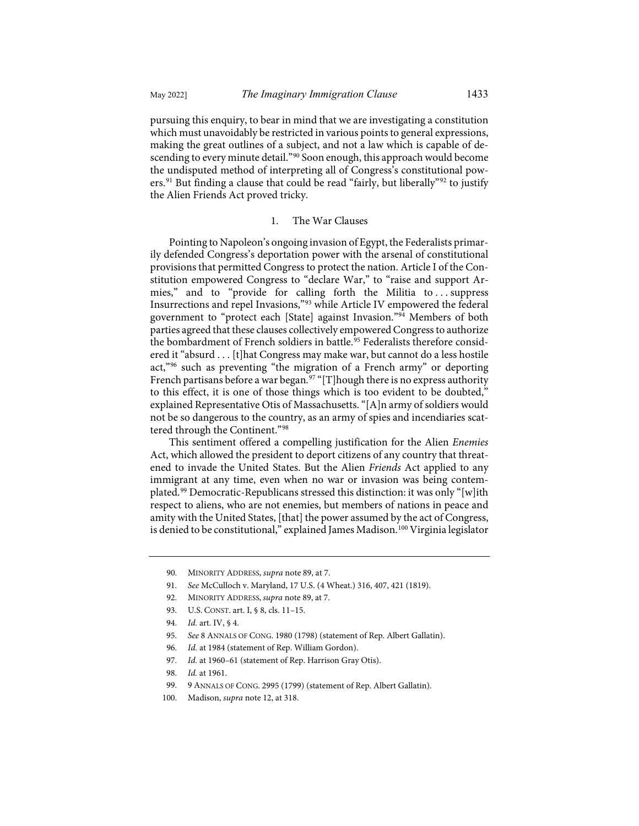pursuing this enquiry, to bear in mind that we are investigating a constitution which must unavoidably be restricted in various points to general expressions, making the great outlines of a subject, and not a law which is capable of de-scending to every minute detail."<sup>[90](#page-14-0)</sup> Soon enough, this approach would become

the undisputed method of interpreting all of Congress's constitutional pow-ers.<sup>[91](#page-14-1)</sup> But finding a clause that could be read "fairly, but liberally"<sup>[92](#page-14-2)</sup> to justify the Alien Friends Act proved tricky.

### 1. The War Clauses

Pointing to Napoleon's ongoing invasion of Egypt, the Federalists primarily defended Congress's deportation power with the arsenal of constitutional provisions that permitted Congress to protect the nation. Article I of the Constitution empowered Congress to "declare War," to "raise and support Armies," and to "provide for calling forth the Militia to . . . suppress Insurrections and repel Invasions,["93](#page-14-3) while Article IV empowered the federal government to "protect each [State] against Invasion."[94](#page-14-4) Members of both parties agreed that these clauses collectively empowered Congress to authorize the bombardment of French soldiers in battle.<sup>[95](#page-14-5)</sup> Federalists therefore considered it "absurd . . . [t]hat Congress may make war, but cannot do a less hostile act,"[96](#page-14-6) such as preventing "the migration of a French army" or deporting French partisans before a war began.<sup>[97](#page-14-7)</sup> "[T]hough there is no express authority to this effect, it is one of those things which is too evident to be doubted," explained Representative Otis of Massachusetts. "[A]n army of soldiers would not be so dangerous to the country, as an army of spies and incendiaries scattered through the Continent.["98](#page-14-8)

This sentiment offered a compelling justification for the Alien *Enemies* Act, which allowed the president to deport citizens of any country that threatened to invade the United States. But the Alien *Friends* Act applied to any immigrant at any time, even when no war or invasion was being contemplated.[99](#page-14-9) Democratic-Republicans stressed this distinction: it was only "[w]ith respect to aliens, who are not enemies, but members of nations in peace and amity with the United States, [that] the power assumed by the act of Congress, is denied to be constitutional," explained James Madison.<sup>[100](#page-14-10)</sup> Virginia legislator

<span id="page-14-0"></span><sup>90.</sup> MINORITY ADDRESS, *supra* not[e 89,](#page-13-6) at 7.

<span id="page-14-1"></span><sup>91.</sup> *See* McCulloch v. Maryland, 17 U.S. (4 Wheat.) 316, 407, 421 (1819).

<sup>92.</sup> MINORITY ADDRESS, *supra* not[e 89,](#page-13-6) at 7.

<span id="page-14-4"></span><span id="page-14-3"></span><span id="page-14-2"></span><sup>93.</sup> U.S. CONST. art. I, § 8, cls. 11–15.

<sup>94.</sup> *Id.* art. IV, § 4.

<span id="page-14-5"></span><sup>95.</sup> *See* 8 ANNALS OF CONG. 1980 (1798) (statement of Rep. Albert Gallatin).

<span id="page-14-6"></span><sup>96.</sup> *Id.* at 1984 (statement of Rep. William Gordon).

<span id="page-14-7"></span><sup>97.</sup> *Id.* at 1960–61 (statement of Rep. Harrison Gray Otis).

<sup>98.</sup> *Id.* at 1961.

<sup>99. 9</sup> ANNALS OF CONG. 2995 (1799) (statement of Rep. Albert Gallatin).

<span id="page-14-10"></span><span id="page-14-9"></span><span id="page-14-8"></span><sup>100.</sup> Madison, *supra* not[e 12,](#page-3-9) at 318.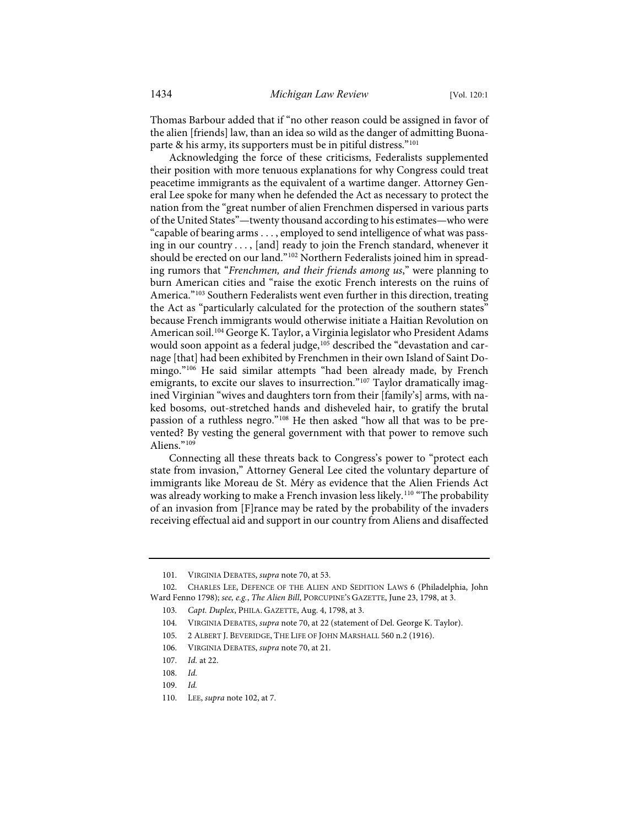Thomas Barbour added that if "no other reason could be assigned in favor of the alien [friends] law, than an idea so wild as the danger of admitting Buonaparte & his army, its supporters must be in pitiful distress."[101](#page-15-1)

<span id="page-15-0"></span>Acknowledging the force of these criticisms, Federalists supplemented their position with more tenuous explanations for why Congress could treat peacetime immigrants as the equivalent of a wartime danger. Attorney General Lee spoke for many when he defended the Act as necessary to protect the nation from the "great number of alien Frenchmen dispersed in various parts of the United States"—twenty thousand according to his estimates—who were "capable of bearing arms . . . , employed to send intelligence of what was passing in our country . . . , [and] ready to join the French standard, whenever it should be erected on our land."<sup>[102](#page-15-2)</sup> Northern Federalists joined him in spreading rumors that "*Frenchmen, and their friends among us*," were planning to burn American cities and "raise the exotic French interests on the ruins of America."[103](#page-15-3) Southern Federalists went even further in this direction, treating the Act as "particularly calculated for the protection of the southern states" because French immigrants would otherwise initiate a Haitian Revolution on American soil.[104](#page-15-4) George K. Taylor, a Virginia legislator who President Adams would soon appoint as a federal judge,<sup>[105](#page-15-5)</sup> described the "devastation and carnage [that] had been exhibited by Frenchmen in their own Island of Saint Domingo."[106](#page-15-6) He said similar attempts "had been already made, by French emigrants, to excite our slaves to insurrection."<sup>[107](#page-15-7)</sup> Taylor dramatically imagined Virginian "wives and daughters torn from their [family's] arms, with naked bosoms, out-stretched hands and disheveled hair, to gratify the brutal passion of a ruthless negro.["108](#page-15-8) He then asked "how all that was to be prevented? By vesting the general government with that power to remove such Aliens."<sup>[109](#page-15-9)</sup>

Connecting all these threats back to Congress's power to "protect each state from invasion," Attorney General Lee cited the voluntary departure of immigrants like Moreau de St. Méry as evidence that the Alien Friends Act was already working to make a French invasion less likely.<sup>110</sup> "The probability of an invasion from [F]rance may be rated by the probability of the invaders receiving effectual aid and support in our country from Aliens and disaffected

<span id="page-15-11"></span><sup>101.</sup> VIRGINIA DEBATES, *supra* not[e 70,](#page-11-11) at 53.

<span id="page-15-6"></span><span id="page-15-5"></span><span id="page-15-4"></span><span id="page-15-3"></span><span id="page-15-2"></span><span id="page-15-1"></span><sup>102.</sup> CHARLES LEE, DEFENCE OF THE ALIEN AND SEDITION LAWS 6 (Philadelphia, John Ward Fenno 1798); *see, e.g.*, *The Alien Bill*, PORCUPINE'S GAZETTE, June 23, 1798, at 3.

<sup>103.</sup> *Capt. Duplex*, PHILA. GAZETTE, Aug. 4, 1798, at 3.

<sup>104.</sup> VIRGINIA DEBATES, *supra* not[e 70,](#page-11-11) at 22 (statement of Del. George K. Taylor).

<sup>105. 2</sup> ALBERT J. BEVERIDGE, THE LIFE OF JOHN MARSHALL 560 n.2 (1916).

<sup>106.</sup> VIRGINIA DEBATES, *supra* note [70,](#page-11-11) at 21.

<span id="page-15-8"></span><span id="page-15-7"></span><sup>107.</sup> *Id.* at 22.

<sup>108.</sup> *Id.*

<span id="page-15-9"></span><sup>109.</sup> *Id.*

<span id="page-15-10"></span><sup>110.</sup> LEE, *supra* not[e 102,](#page-15-0) at 7.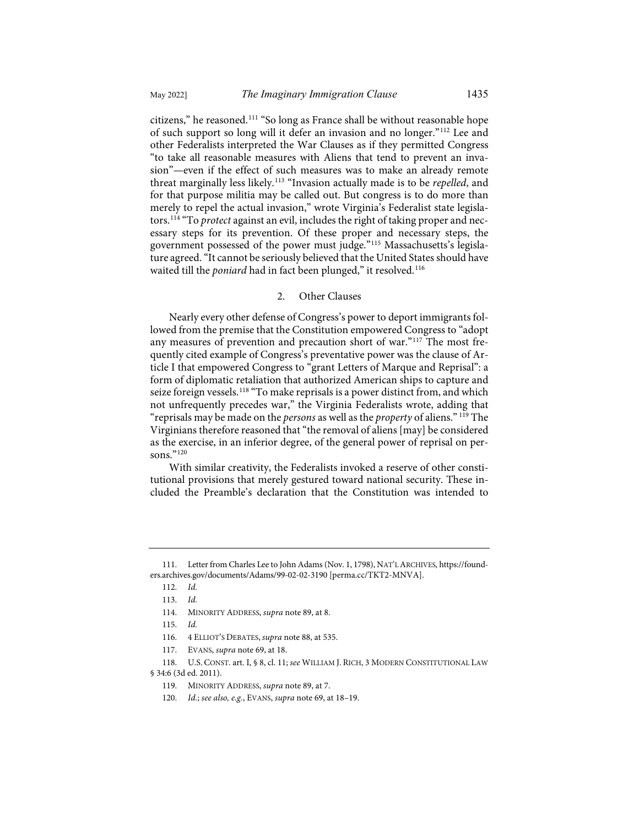<span id="page-16-10"></span>citizens," he reasoned.[111](#page-16-0) "So long as France shall be without reasonable hope of such support so long will it defer an invasion and no longer."[112](#page-16-1) Lee and other Federalists interpreted the War Clauses as if they permitted Congress "to take all reasonable measures with Aliens that tend to prevent an invasion"—even if the effect of such measures was to make an already remote threat marginally less likely.[113](#page-16-2) "Invasion actually made is to be *repelled*, and for that purpose militia may be called out. But congress is to do more than merely to repel the actual invasion," wrote Virginia's Federalist state legislators.[114](#page-16-3) "To *protect* against an evil, includes the right of taking proper and necessary steps for its prevention. Of these proper and necessary steps, the government possessed of the power must judge."[115](#page-16-4) Massachusetts's legislature agreed. "It cannot be seriously believed that the United States should have waited till the *poniard* had in fact been plunged," it resolved.<sup>[116](#page-16-5)</sup>

## <span id="page-16-11"></span>2. Other Clauses

Nearly every other defense of Congress's power to deport immigrants followed from the premise that the Constitution empowered Congress to "adopt any measures of prevention and precaution short of war."[117](#page-16-6) The most frequently cited example of Congress's preventative power was the clause of Article I that empowered Congress to "grant Letters of Marque and Reprisal": a form of diplomatic retaliation that authorized American ships to capture and seize foreign vessels.<sup>[118](#page-16-7)</sup> "To make reprisals is a power distinct from, and which not unfrequently precedes war," the Virginia Federalists wrote, adding that "reprisals may be made on the *persons* as well as the *property* of aliens." [119](#page-16-8) The Virginians therefore reasoned that "the removal of aliens [may] be considered as the exercise, in an inferior degree, of the general power of reprisal on per-sons."<sup>[120](#page-16-9)</sup>

With similar creativity, the Federalists invoked a reserve of other constitutional provisions that merely gestured toward national security. These included the Preamble's declaration that the Constitution was intended to

<span id="page-16-3"></span><span id="page-16-2"></span><span id="page-16-1"></span><span id="page-16-0"></span><sup>111.</sup> Letter from Charles Lee to John Adams (Nov. 1, 1798), NAT'L ARCHIVES[, https://found](https://founders.archives.gov/documents/Adams/99-02-02-3190)[ers.archives.gov/documents/Adams/99-02-02-3190](https://founders.archives.gov/documents/Adams/99-02-02-3190) [\[perma.cc/TKT2-MNVA\]](http://perma.cc/TKT2-MNVA).

<sup>112.</sup> *Id.*

<sup>113.</sup> *Id.*

<sup>114.</sup> MINORITY ADDRESS, *supra* not[e 89,](#page-13-6) at 8.

<sup>115.</sup> *Id.*

<sup>116. 4</sup> ELLIOT'S DEBATES, *supra* not[e 88,](#page-13-7) at 535.

<sup>117.</sup> EVANS, *supra* not[e 69,](#page-11-1) at 18.

<span id="page-16-9"></span><span id="page-16-8"></span><span id="page-16-7"></span><span id="page-16-6"></span><span id="page-16-5"></span><span id="page-16-4"></span><sup>118.</sup> U.S. CONST. art. I, § 8, cl. 11; *see* WILLIAM J. RICH, 3 MODERN CONSTITUTIONAL LAW § 34:6 (3d ed. 2011).

<sup>119.</sup> MINORITY ADDRESS, *supra* not[e 89,](#page-13-6) at 7.

<sup>120.</sup> *Id.*; *see also, e.g.*, EVANS, *supra* not[e 69,](#page-11-1) at 18–19.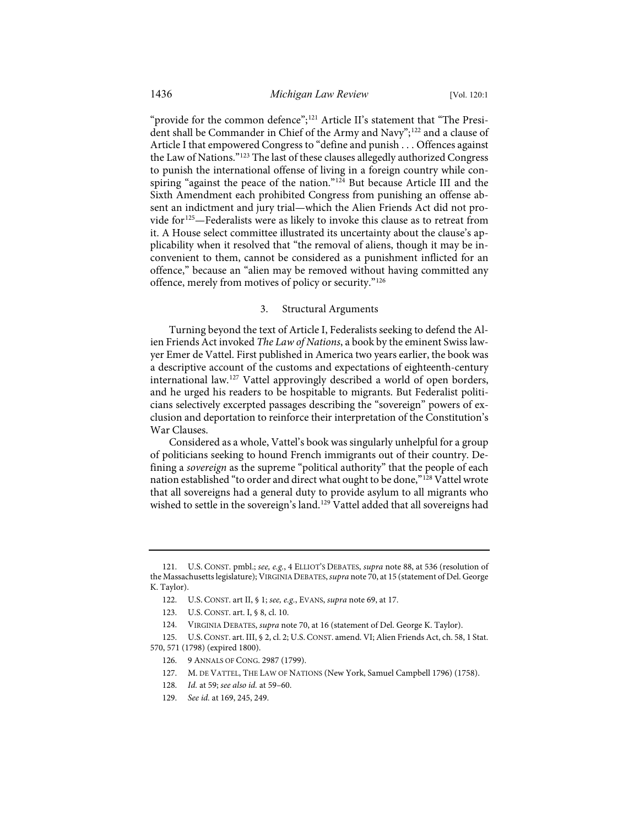"provide for the common defence";<sup>[121](#page-17-0)</sup> Article II's statement that "The Presi-dent shall be Commander in Chief of the Army and Navy";<sup>[122](#page-17-1)</sup> and a clause of Article I that empowered Congress to "define and punish . . . Offences against the Law of Nations."[123](#page-17-2) The last of these clauses allegedly authorized Congress to punish the international offense of living in a foreign country while conspiring "against the peace of the nation."<sup>124</sup> But because Article III and the Sixth Amendment each prohibited Congress from punishing an offense absent an indictment and jury trial—which the Alien Friends Act did not provide for[125—](#page-17-4)Federalists were as likely to invoke this clause as to retreat from it. A House select committee illustrated its uncertainty about the clause's applicability when it resolved that "the removal of aliens, though it may be inconvenient to them, cannot be considered as a punishment inflicted for an offence," because an "alien may be removed without having committed any offence, merely from motives of policy or security."[126](#page-17-5)

### <span id="page-17-9"></span>3. Structural Arguments

Turning beyond the text of Article I, Federalists seeking to defend the Alien Friends Act invoked *The Law of Nations*, a book by the eminent Swiss lawyer Emer de Vattel. First published in America two years earlier, the book was a descriptive account of the customs and expectations of eighteenth-century international law.[127](#page-17-6) Vattel approvingly described a world of open borders, and he urged his readers to be hospitable to migrants. But Federalist politicians selectively excerpted passages describing the "sovereign" powers of exclusion and deportation to reinforce their interpretation of the Constitution's War Clauses.

Considered as a whole, Vattel's book was singularly unhelpful for a group of politicians seeking to hound French immigrants out of their country. Defining a *sovereign* as the supreme "political authority" that the people of each nation established "to order and direct what ought to be done,"[128](#page-17-7) Vattel wrote that all sovereigns had a general duty to provide asylum to all migrants who wished to settle in the sovereign's land.<sup>[129](#page-17-8)</sup> Vattel added that all sovereigns had

127. M. DE VATTEL, THE LAW OF NATIONS (New York, Samuel Campbell 1796) (1758).

<span id="page-17-1"></span><span id="page-17-0"></span><sup>121.</sup> U.S. CONST. pmbl.; *see, e.g.*, 4 ELLIOT'S DEBATES, *supra* not[e 88,](#page-13-7) at 536 (resolution of the Massachusetts legislature); VIRGINIA DEBATES, *supra* not[e 70,](#page-11-11) at 15 (statement of Del. George K. Taylor).

<sup>122.</sup> U.S. CONST. art II, § 1; *see, e.g.*, EVANS, *supra* not[e 69,](#page-11-1) at 17.

<sup>123.</sup> U.S. CONST. art. I, § 8, cl. 10.

<sup>124.</sup> VIRGINIA DEBATES, *supra* not[e 70,](#page-11-11) at 16 (statement of Del. George K. Taylor).

<span id="page-17-8"></span><span id="page-17-7"></span><span id="page-17-6"></span><span id="page-17-5"></span><span id="page-17-4"></span><span id="page-17-3"></span><span id="page-17-2"></span><sup>125.</sup> U.S.CONST. art. III, § 2, cl. 2; U.S.CONST. amend. VI; Alien Friends Act, ch. 58, 1 Stat. 570, 571 (1798) (expired 1800).

<sup>126. 9</sup> ANNALS OF CONG. 2987 (1799).

<sup>128.</sup> *Id.* at 59; *see also id.* at 59–60.

<sup>129.</sup> *See id.* at 169, 245, 249.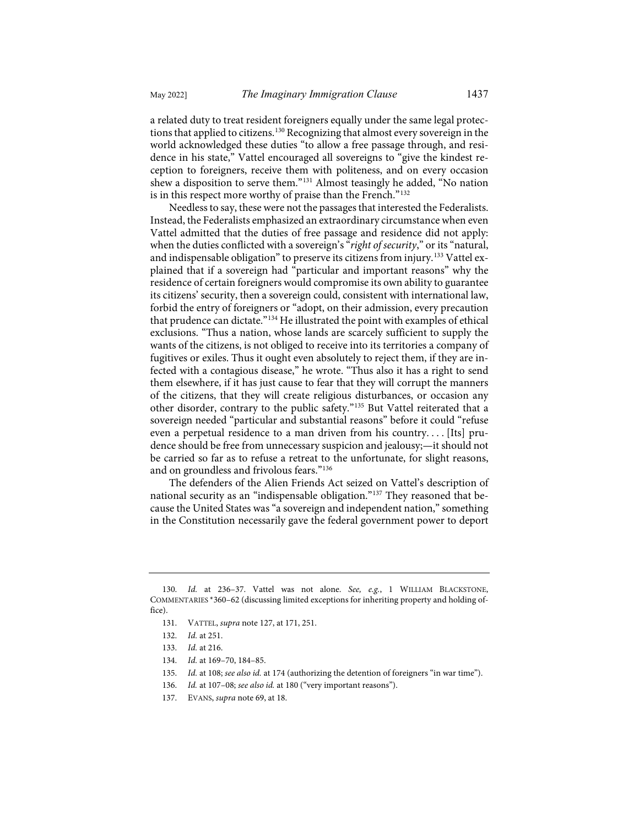a related duty to treat resident foreigners equally under the same legal protec-tions that applied to citizens.<sup>[130](#page-18-0)</sup> Recognizing that almost every sovereign in the world acknowledged these duties "to allow a free passage through, and residence in his state," Vattel encouraged all sovereigns to "give the kindest reception to foreigners, receive them with politeness, and on every occasion shew a disposition to serve them."[131](#page-18-1) Almost teasingly he added, "No nation is in this respect more worthy of praise than the French."<sup>[132](#page-18-2)</sup>

Needless to say, these were not the passages that interested the Federalists. Instead, the Federalists emphasized an extraordinary circumstance when even Vattel admitted that the duties of free passage and residence did not apply: when the duties conflicted with a sovereign's "*right of security*," or its "natural, and indispensable obligation" to preserve its citizens from injury.<sup>[133](#page-18-3)</sup> Vattel explained that if a sovereign had "particular and important reasons" why the residence of certain foreigners would compromise its own ability to guarantee its citizens' security, then a sovereign could, consistent with international law, forbid the entry of foreigners or "adopt, on their admission, every precaution that prudence can dictate."<sup>[134](#page-18-4)</sup> He illustrated the point with examples of ethical exclusions. "Thus a nation, whose lands are scarcely sufficient to supply the wants of the citizens, is not obliged to receive into its territories a company of fugitives or exiles. Thus it ought even absolutely to reject them, if they are infected with a contagious disease," he wrote. "Thus also it has a right to send them elsewhere, if it has just cause to fear that they will corrupt the manners of the citizens, that they will create religious disturbances, or occasion any other disorder, contrary to the public safety."[135](#page-18-5) But Vattel reiterated that a sovereign needed "particular and substantial reasons" before it could "refuse even a perpetual residence to a man driven from his country. . . . [Its] prudence should be free from unnecessary suspicion and jealousy;—it should not be carried so far as to refuse a retreat to the unfortunate, for slight reasons, and on groundless and frivolous fears."[136](#page-18-6)

The defenders of the Alien Friends Act seized on Vattel's description of national security as an "indispensable obligation."[137](#page-18-7) They reasoned that because the United States was "a sovereign and independent nation," something in the Constitution necessarily gave the federal government power to deport

<span id="page-18-3"></span><span id="page-18-2"></span><span id="page-18-1"></span><span id="page-18-0"></span><sup>130.</sup> *Id.* at 236–37. Vattel was not alone. *See, e.g.*, 1 WILLIAM BLACKSTONE, COMMENTARIES \*360–62 (discussing limited exceptions for inheriting property and holding office).

<sup>131.</sup> VATTEL, *supra* not[e 127,](#page-17-9) at 171, 251.

<sup>132.</sup> *Id.* at 251.

<span id="page-18-4"></span><sup>133.</sup> *Id.* at 216.

<sup>134.</sup> *Id.* at 169–70, 184–85.

<span id="page-18-5"></span><sup>135.</sup> *Id.* at 108; *see also id.* at 174 (authorizing the detention of foreigners "in war time").

<sup>136.</sup> *Id.* at 107–08; *see also id.* at 180 ("very important reasons").

<span id="page-18-7"></span><span id="page-18-6"></span><sup>137.</sup> EVANS, *supra* not[e 69,](#page-11-1) at 18.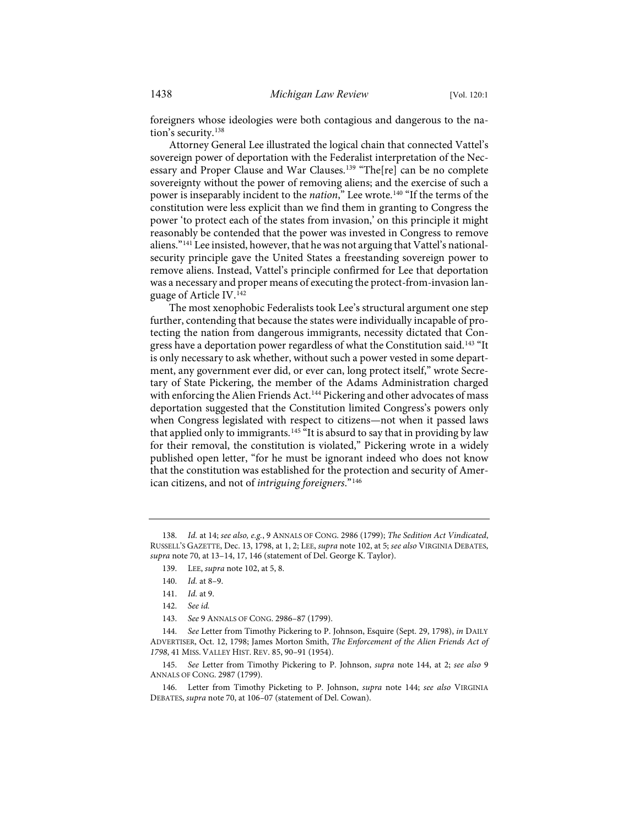foreigners whose ideologies were both contagious and dangerous to the nation's security.[138](#page-19-1)

Attorney General Lee illustrated the logical chain that connected Vattel's sovereign power of deportation with the Federalist interpretation of the Nec-essary and Proper Clause and War Clauses.<sup>[139](#page-19-2)</sup> "The[re] can be no complete sovereignty without the power of removing aliens; and the exercise of such a power is inseparably incident to the *nation*," Lee wrote.[140](#page-19-3) "If the terms of the constitution were less explicit than we find them in granting to Congress the power 'to protect each of the states from invasion,' on this principle it might reasonably be contended that the power was invested in Congress to remove aliens."[141](#page-19-4) Lee insisted, however, that he was not arguing that Vattel's nationalsecurity principle gave the United States a freestanding sovereign power to remove aliens. Instead, Vattel's principle confirmed for Lee that deportation was a necessary and proper means of executing the protect-from-invasion language of Article IV.[142](#page-19-5)

<span id="page-19-0"></span>The most xenophobic Federalists took Lee's structural argument one step further, contending that because the states were individually incapable of protecting the nation from dangerous immigrants, necessity dictated that Congress have a deportation power regardless of what the Constitution said.<sup>143</sup> "It is only necessary to ask whether, without such a power vested in some department, any government ever did, or ever can, long protect itself," wrote Secretary of State Pickering, the member of the Adams Administration charged with enforcing the Alien Friends Act.<sup>144</sup> Pickering and other advocates of mass deportation suggested that the Constitution limited Congress's powers only when Congress legislated with respect to citizens—not when it passed laws that applied only to immigrants.<sup>[145](#page-19-8)</sup> "It is absurd to say that in providing by law for their removal, the constitution is violated," Pickering wrote in a widely published open letter, "for he must be ignorant indeed who does not know that the constitution was established for the protection and security of American citizens, and not of *intriguing foreigners*."[146](#page-19-9)

<span id="page-19-3"></span><span id="page-19-2"></span><span id="page-19-1"></span><sup>138.</sup> *Id.* at 14; *see also, e.g.*, 9 ANNALS OF CONG. 2986 (1799); *The Sedition Act Vindicated*, RUSSELL'S GAZETTE, Dec. 13, 1798, at 1, 2; LEE, *supra* not[e 102,](#page-15-0) at 5; *see also* VIRGINIA DEBATES, *supra* not[e 70,](#page-11-11) at 13–14, 17, 146 (statement of Del. George K. Taylor).

<sup>139.</sup> LEE, *supra* not[e 102,](#page-15-0) at 5, 8.

<sup>140.</sup> *Id.* at 8–9.

<sup>141.</sup> *Id.* at 9.

<sup>142.</sup> *See id.*

<sup>143.</sup> *See* 9 ANNALS OF CONG. 2986–87 (1799).

<span id="page-19-7"></span><span id="page-19-6"></span><span id="page-19-5"></span><span id="page-19-4"></span><sup>144.</sup> *See* Letter from Timothy Pickering to P. Johnson, Esquire (Sept. 29, 1798), *in* DAILY ADVERTISER, Oct. 12, 1798; James Morton Smith, *The Enforcement of the Alien Friends Act of 1798*, 41 MISS. VALLEY HIST. REV. 85, 90–91 (1954).

<span id="page-19-8"></span><sup>145.</sup> *See* Letter from Timothy Pickering to P. Johnson, *supra* note [144,](#page-19-0) at 2; *see also* 9 ANNALS OF CONG. 2987 (1799).

<span id="page-19-9"></span><sup>146.</sup> Letter from Timothy Picketing to P. Johnson, *supra* note [144;](#page-19-0) *see also* VIRGINIA DEBATES, *supra* not[e 70,](#page-11-11) at 106–07 (statement of Del. Cowan).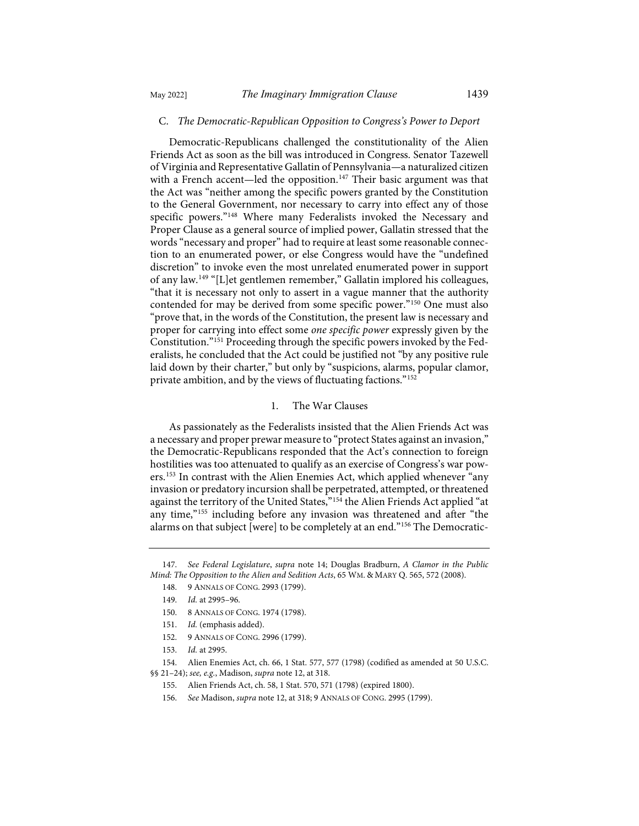### <span id="page-20-10"></span>C. *The Democratic-Republican Opposition to Congress's Power to Deport*

Democratic-Republicans challenged the constitutionality of the Alien Friends Act as soon as the bill was introduced in Congress. Senator Tazewell of Virginia and Representative Gallatin of Pennsylvania—a naturalized citizen with a French accent—led the opposition.<sup>[147](#page-20-0)</sup> Their basic argument was that the Act was "neither among the specific powers granted by the Constitution to the General Government, nor necessary to carry into effect any of those specific powers."[148](#page-20-1) Where many Federalists invoked the Necessary and Proper Clause as a general source of implied power, Gallatin stressed that the words "necessary and proper" had to require at least some reasonable connection to an enumerated power, or else Congress would have the "undefined discretion" to invoke even the most unrelated enumerated power in support of any law.[149](#page-20-2) "[L]et gentlemen remember," Gallatin implored his colleagues, "that it is necessary not only to assert in a vague manner that the authority contended for may be derived from some specific power."[150](#page-20-3) One must also "prove that, in the words of the Constitution, the present law is necessary and proper for carrying into effect some *one specific power* expressly given by the Constitution."[151](#page-20-4) Proceeding through the specific powers invoked by the Federalists, he concluded that the Act could be justified not "by any positive rule laid down by their charter," but only by "suspicions, alarms, popular clamor, private ambition, and by the views of fluctuating factions."[152](#page-20-5)

## 1. The War Clauses

As passionately as the Federalists insisted that the Alien Friends Act was a necessary and proper prewar measure to "protect States against an invasion," the Democratic-Republicans responded that the Act's connection to foreign hostilities was too attenuated to qualify as an exercise of Congress's war powers.[153](#page-20-6) In contrast with the Alien Enemies Act, which applied whenever "any invasion or predatory incursion shall be perpetrated, attempted, or threatened against the territory of the United States,"<sup>[154](#page-20-7)</sup> the Alien Friends Act applied "at any time,"[155](#page-20-8) including before any invasion was threatened and after "the alarms on that subject [were] to be completely at an end.["156](#page-20-9) The Democratic-

- 148. 9 ANNALS OF CONG. 2993 (1799).
- 149. *Id.* at 2995–96.
- 150. 8 ANNALS OF CONG. 1974 (1798).
- 151. *Id.* (emphasis added).
- 152. 9 ANNALS OF CONG. 2996 (1799).
- 153. *Id.* at 2995.

<span id="page-20-9"></span><span id="page-20-8"></span><span id="page-20-7"></span><span id="page-20-6"></span><span id="page-20-5"></span><span id="page-20-4"></span>154. Alien Enemies Act, ch. 66, 1 Stat. 577, 577 (1798) (codified as amended at 50 U.S.C. §§ 21–24); *see, e.g.*, Madison, *supra* not[e 12,](#page-3-9) at 318.

156. *See* Madison, *supra* not[e 12,](#page-3-9) at 318; 9 ANNALS OF CONG. 2995 (1799).

<span id="page-20-3"></span><span id="page-20-2"></span><span id="page-20-1"></span><span id="page-20-0"></span><sup>147.</sup> *See Federal Legislature*, *supra* note [14;](#page-4-11) Douglas Bradburn, *A Clamor in the Public Mind: The Opposition to the Alien and Sedition Acts*, 65 WM. & MARY Q. 565, 572 (2008).

<sup>155.</sup> Alien Friends Act, ch. 58, 1 Stat. 570, 571 (1798) (expired 1800).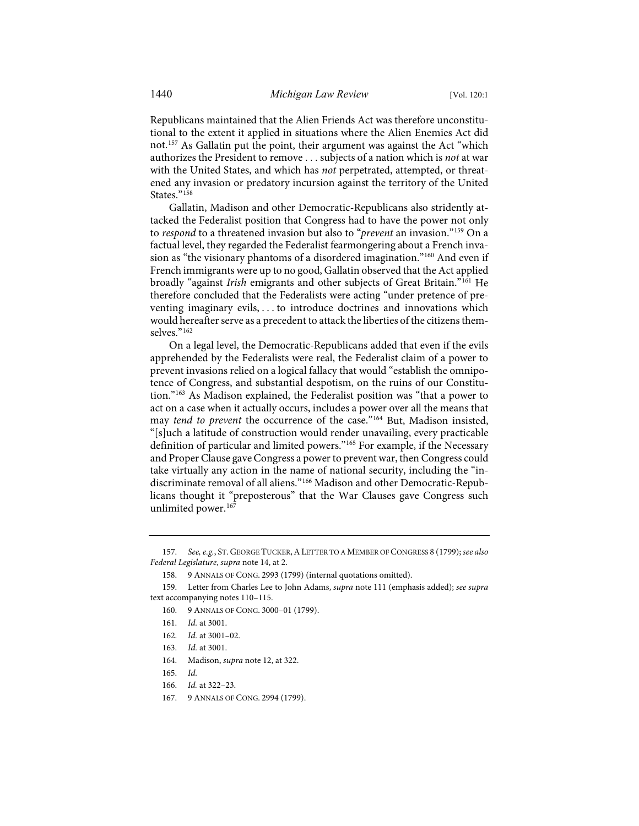<span id="page-21-11"></span>Republicans maintained that the Alien Friends Act was therefore unconstitutional to the extent it applied in situations where the Alien Enemies Act did not.[157](#page-21-0) As Gallatin put the point, their argument was against the Act "which authorizes the President to remove . . . subjects of a nation which is *not* at war with the United States, and which has *not* perpetrated, attempted, or threatened any invasion or predatory incursion against the territory of the United States."<sup>158</sup>

<span id="page-21-12"></span>Gallatin, Madison and other Democratic-Republicans also stridently attacked the Federalist position that Congress had to have the power not only to *respond* to a threatened invasion but also to "*prevent* an invasion."[159](#page-21-2) On a factual level, they regarded the Federalist fearmongering about a French invasion as "the visionary phantoms of a disordered imagination."[160](#page-21-3) And even if French immigrants were up to no good, Gallatin observed that the Act applied broadly "against *Irish* emigrants and other subjects of Great Britain."[161](#page-21-4) He therefore concluded that the Federalists were acting "under pretence of preventing imaginary evils, . . . to introduce doctrines and innovations which would hereafter serve as a precedent to attack the liberties of the citizens them-selves."<sup>[162](#page-21-5)</sup>

On a legal level, the Democratic-Republicans added that even if the evils apprehended by the Federalists were real, the Federalist claim of a power to prevent invasions relied on a logical fallacy that would "establish the omnipotence of Congress, and substantial despotism, on the ruins of our Constitution."[163](#page-21-6) As Madison explained, the Federalist position was "that a power to act on a case when it actually occurs, includes a power over all the means that may *tend to prevent* the occurrence of the case.["164](#page-21-7) But, Madison insisted, "[s]uch a latitude of construction would render unavailing, every practicable definition of particular and limited powers."[165](#page-21-8) For example, if the Necessary and Proper Clause gave Congress a power to prevent war, then Congress could take virtually any action in the name of national security, including the "indiscriminate removal of all aliens."[166](#page-21-9) Madison and other Democratic-Republicans thought it "preposterous" that the War Clauses gave Congress such unlimited power.<sup>[167](#page-21-10)</sup>

<span id="page-21-0"></span><sup>157.</sup> *See, e.g.*, ST. GEORGE TUCKER,ALETTER TO A MEMBER OF CONGRESS 8 (1799); *see also Federal Legislature*, *supra* not[e 14,](#page-4-11) at 2.

<sup>158. 9</sup> ANNALS OF CONG. 2993 (1799) (internal quotations omitted).

<span id="page-21-6"></span><span id="page-21-5"></span><span id="page-21-4"></span><span id="page-21-3"></span><span id="page-21-2"></span><span id="page-21-1"></span><sup>159.</sup> Letter from Charles Lee to John Adams, *supra* note [111](#page-16-10) (emphasis added); *see supra* text accompanying notes [110](#page-15-11)[–115.](#page-16-11) 

<sup>160. 9</sup> ANNALS OF CONG. 3000–01 (1799).

<sup>161.</sup> *Id.* at 3001.

<sup>162.</sup> *Id.* at 3001–02.

<sup>163.</sup> *Id.* at 3001.

<span id="page-21-7"></span><sup>164.</sup> Madison, *supra* not[e 12,](#page-3-9) at 322.

<span id="page-21-8"></span><sup>165.</sup> *Id.*

<span id="page-21-9"></span><sup>166.</sup> *Id.* at 322–23.

<span id="page-21-10"></span><sup>167. 9</sup> ANNALS OF CONG. 2994 (1799).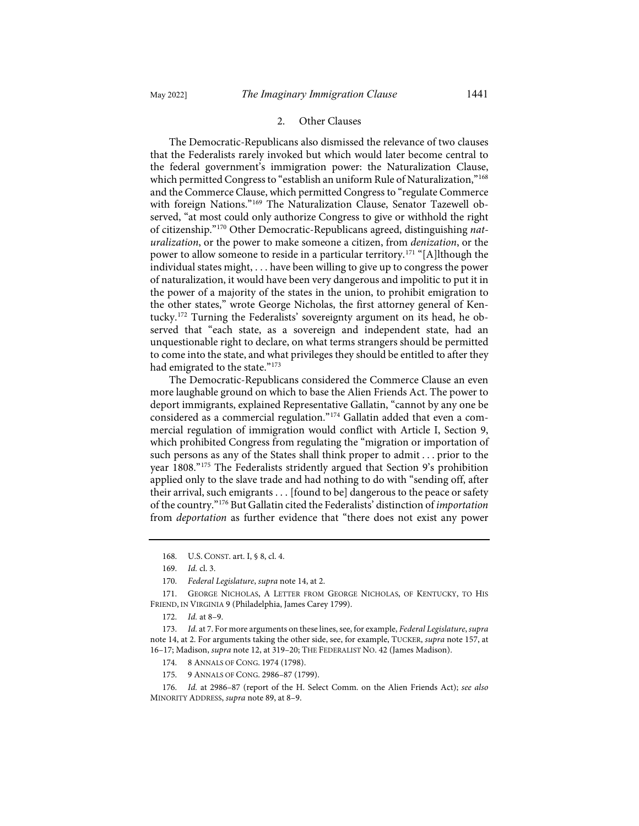#### 2. Other Clauses

The Democratic-Republicans also dismissed the relevance of two clauses that the Federalists rarely invoked but which would later become central to the federal government's immigration power: the Naturalization Clause, which permitted Congress to "establish an uniform Rule of Naturalization,"<sup>[168](#page-22-0)</sup> and the Commerce Clause, which permitted Congress to "regulate Commerce with foreign Nations."[169](#page-22-1) The Naturalization Clause, Senator Tazewell observed, "at most could only authorize Congress to give or withhold the right of citizenship."[170](#page-22-2) Other Democratic-Republicans agreed, distinguishing *naturalization*, or the power to make someone a citizen, from *denization*, or the power to allow someone to reside in a particular territory.<sup>[171](#page-22-3)</sup> "[A]lthough the individual states might, . . . have been willing to give up to congress the power of naturalization, it would have been very dangerous and impolitic to put it in the power of a majority of the states in the union, to prohibit emigration to the other states," wrote George Nicholas, the first attorney general of Kentucky.[172](#page-22-4) Turning the Federalists' sovereignty argument on its head, he observed that "each state, as a sovereign and independent state, had an unquestionable right to declare, on what terms strangers should be permitted to come into the state, and what privileges they should be entitled to after they had emigrated to the state."<sup>[173](#page-22-5)</sup>

<span id="page-22-9"></span>The Democratic-Republicans considered the Commerce Clause an even more laughable ground on which to base the Alien Friends Act. The power to deport immigrants, explained Representative Gallatin, "cannot by any one be considered as a commercial regulation."[174](#page-22-6) Gallatin added that even a commercial regulation of immigration would conflict with Article I, Section 9, which prohibited Congress from regulating the "migration or importation of such persons as any of the States shall think proper to admit . . . prior to the year 1808."[175](#page-22-7) The Federalists stridently argued that Section 9's prohibition applied only to the slave trade and had nothing to do with "sending off, after their arrival, such emigrants . . . [found to be] dangerous to the peace or safety of the country."[176](#page-22-8) But Gallatin cited the Federalists' distinction of *importation* from *deportation* as further evidence that "there does not exist any power

- 174. 8 ANNALS OF CONG. 1974 (1798).
- 175. 9 ANNALS OF CONG. 2986–87 (1799).
- <span id="page-22-8"></span><span id="page-22-7"></span><span id="page-22-6"></span>176. *Id.* at 2986–87 (report of the H. Select Comm. on the Alien Friends Act); *see also* MINORITY ADDRESS, *supra* not[e 89,](#page-13-6) at 8–9.

<sup>168.</sup> U.S. CONST. art. I, § 8, cl. 4.

<sup>169.</sup> *Id.* cl. 3.

<sup>170.</sup> *Federal Legislature*, *supra* not[e 14,](#page-4-11) at 2.

<span id="page-22-3"></span><span id="page-22-2"></span><span id="page-22-1"></span><span id="page-22-0"></span><sup>171.</sup> GEORGE NICHOLAS, A LETTER FROM GEORGE NICHOLAS, OF KENTUCKY, TO HIS FRIEND, IN VIRGINIA 9 (Philadelphia, James Carey 1799).

<sup>172.</sup> *Id.* at 8–9.

<span id="page-22-5"></span><span id="page-22-4"></span><sup>173.</sup> *Id.* at 7. For more arguments on these lines, see, for example, *Federal Legislature*, *supra* not[e 14,](#page-4-11) at 2. For arguments taking the other side, see, for example, TUCKER, *supra* not[e 157,](#page-21-11) at 16–17; Madison, *supra* not[e 12,](#page-3-9) at 319–20; THE FEDERALIST NO. 42 (James Madison).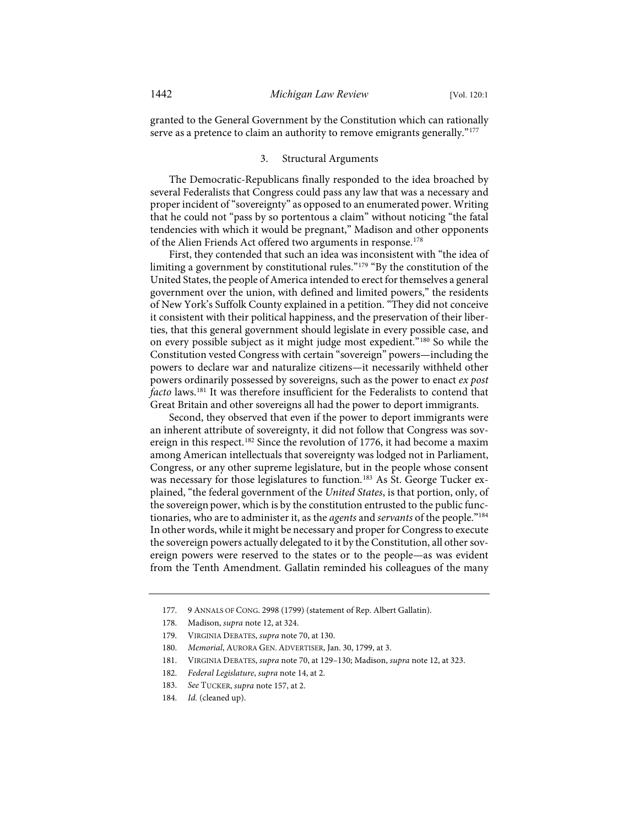granted to the General Government by the Constitution which can rationally serve as a pretence to claim an authority to remove emigrants generally."<sup>[177](#page-23-0)</sup>

#### 3. Structural Arguments

The Democratic-Republicans finally responded to the idea broached by several Federalists that Congress could pass any law that was a necessary and proper incident of "sovereignty" as opposed to an enumerated power. Writing that he could not "pass by so portentous a claim" without noticing "the fatal tendencies with which it would be pregnant," Madison and other opponents of the Alien Friends Act offered two arguments in response.<sup>[178](#page-23-1)</sup>

First, they contended that such an idea was inconsistent with "the idea of limiting a government by constitutional rules."[179](#page-23-2) "By the constitution of the United States, the people of America intended to erect for themselves a general government over the union, with defined and limited powers," the residents of New York's Suffolk County explained in a petition. "They did not conceive it consistent with their political happiness, and the preservation of their liberties, that this general government should legislate in every possible case, and on every possible subject as it might judge most expedient.["180](#page-23-3) So while the Constitution vested Congress with certain "sovereign" powers—including the powers to declare war and naturalize citizens—it necessarily withheld other powers ordinarily possessed by sovereigns, such as the power to enact *ex post facto* laws.[181](#page-23-4) It was therefore insufficient for the Federalists to contend that Great Britain and other sovereigns all had the power to deport immigrants.

Second, they observed that even if the power to deport immigrants were an inherent attribute of sovereignty, it did not follow that Congress was sovereign in this respect.<sup>182</sup> Since the revolution of 1776, it had become a maxim among American intellectuals that sovereignty was lodged not in Parliament, Congress, or any other supreme legislature, but in the people whose consent was necessary for those legislatures to function.<sup>[183](#page-23-6)</sup> As St. George Tucker explained, "the federal government of the *United States*, is that portion, only, of the sovereign power, which is by the constitution entrusted to the public functionaries, who are to administer it, as the *agents* and *servants* of the people."[184](#page-23-7) In other words, while it might be necessary and proper for Congress to execute the sovereign powers actually delegated to it by the Constitution, all other sovereign powers were reserved to the states or to the people—as was evident from the Tenth Amendment. Gallatin reminded his colleagues of the many

<span id="page-23-0"></span><sup>177. 9</sup> ANNALS OF CONG. 2998 (1799) (statement of Rep. Albert Gallatin).

<span id="page-23-1"></span><sup>178.</sup> Madison, *supra* not[e 12,](#page-3-9) at 324.

<span id="page-23-2"></span><sup>179.</sup> VIRGINIA DEBATES, *supra* not[e 70,](#page-11-11) at 130.

<span id="page-23-3"></span><sup>180.</sup> *Memorial*, AURORA GEN. ADVERTISER, Jan. 30, 1799, at 3.

<span id="page-23-4"></span><sup>181.</sup> VIRGINIA DEBATES, *supra* not[e 70,](#page-11-11) at 129–130; Madison, *supra* not[e 12,](#page-3-9) at 323.

<span id="page-23-5"></span><sup>182.</sup> *Federal Legislature*, *supra* not[e 14,](#page-4-11) at 2.

<span id="page-23-6"></span><sup>183.</sup> *See* TUCKER, *supra* not[e 157,](#page-21-11) at 2.

<span id="page-23-7"></span><sup>184.</sup> *Id.* (cleaned up).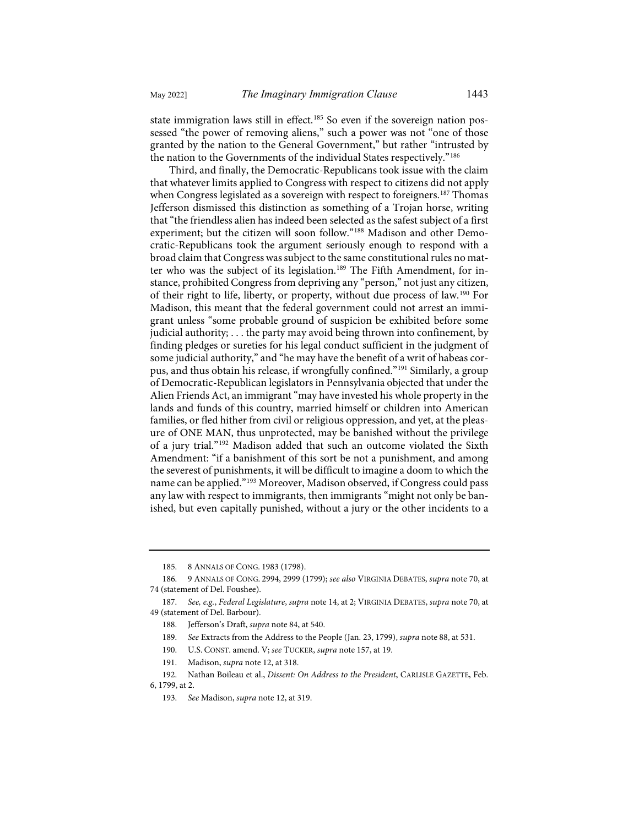state immigration laws still in effect.<sup>[185](#page-24-0)</sup> So even if the sovereign nation possessed "the power of removing aliens," such a power was not "one of those granted by the nation to the General Government," but rather "intrusted by the nation to the Governments of the individual States respectively."[186](#page-24-1)

Third, and finally, the Democratic-Republicans took issue with the claim that whatever limits applied to Congress with respect to citizens did not apply when Congress legislated as a sovereign with respect to foreigners.<sup>[187](#page-24-2)</sup> Thomas Jefferson dismissed this distinction as something of a Trojan horse, writing that "the friendless alien has indeed been selected as the safest subject of a first experiment; but the citizen will soon follow.["188](#page-24-3) Madison and other Democratic-Republicans took the argument seriously enough to respond with a broad claim that Congress was subject to the same constitutional rules no mat-ter who was the subject of its legislation.<sup>[189](#page-24-4)</sup> The Fifth Amendment, for instance, prohibited Congress from depriving any "person," not just any citizen, of their right to life, liberty, or property, without due process of law.[190](#page-24-5) For Madison, this meant that the federal government could not arrest an immigrant unless "some probable ground of suspicion be exhibited before some judicial authority; . . . the party may avoid being thrown into confinement, by finding pledges or sureties for his legal conduct sufficient in the judgment of some judicial authority," and "he may have the benefit of a writ of habeas cor-pus, and thus obtain his release, if wrongfully confined."<sup>[191](#page-24-6)</sup> Similarly, a group of Democratic-Republican legislators in Pennsylvania objected that under the Alien Friends Act, an immigrant "may have invested his whole property in the lands and funds of this country, married himself or children into American families, or fled hither from civil or religious oppression, and yet, at the pleasure of ONE MAN, thus unprotected, may be banished without the privilege of a jury trial."[192](#page-24-7) Madison added that such an outcome violated the Sixth Amendment: "if a banishment of this sort be not a punishment, and among the severest of punishments, it will be difficult to imagine a doom to which the name can be applied."[193](#page-24-8) Moreover, Madison observed, if Congress could pass any law with respect to immigrants, then immigrants "might not only be banished, but even capitally punished, without a jury or the other incidents to a

191. Madison, *supra* not[e 12,](#page-3-9) at 318.

<sup>185. 8</sup> ANNALS OF CONG. 1983 (1798).

<span id="page-24-1"></span><span id="page-24-0"></span><sup>186. 9</sup> ANNALS OF CONG. 2994, 2999 (1799); *see also* VIRGINIA DEBATES, *supra* not[e 70,](#page-11-11) at 74 (statement of Del. Foushee).

<span id="page-24-4"></span><span id="page-24-3"></span><span id="page-24-2"></span><sup>187.</sup> *See, e.g.*, *Federal Legislature*, *supra* note [14,](#page-4-11) at 2; VIRGINIA DEBATES, *supra* not[e 70,](#page-11-11) at 49 (statement of Del. Barbour).

<sup>188.</sup> Jefferson's Draft, *supra* not[e 84,](#page-12-9) at 540.

<sup>189.</sup> *See* Extracts from the Address to the People (Jan. 23, 1799), *supra* not[e 88,](#page-13-7) at 531.

<sup>190.</sup> U.S. CONST. amend. V; *see* TUCKER, *supra* not[e 157,](#page-21-11) at 19.

<span id="page-24-8"></span><span id="page-24-7"></span><span id="page-24-6"></span><span id="page-24-5"></span><sup>192.</sup> Nathan Boileau et al., *Dissent: On Address to the President*, CARLISLE GAZETTE, Feb. 6, 1799, at 2.

<sup>193.</sup> *See* Madison, *supra* not[e 12,](#page-3-9) at 319.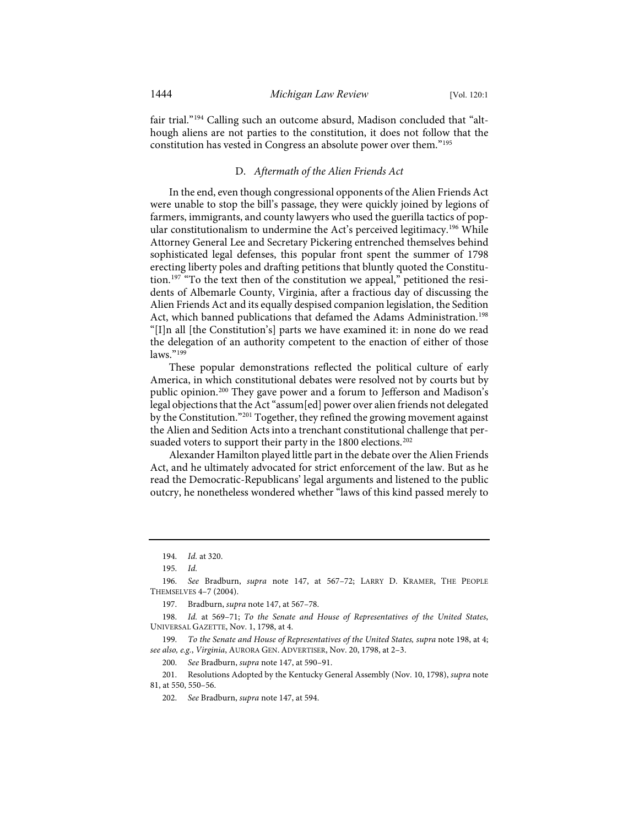fair trial."[194](#page-25-1) Calling such an outcome absurd, Madison concluded that "although aliens are not parties to the constitution, it does not follow that the constitution has vested in Congress an absolute power over them."[195](#page-25-2)

## <span id="page-25-0"></span>D. *Aftermath of the Alien Friends Act*

In the end, even though congressional opponents of the Alien Friends Act were unable to stop the bill's passage, they were quickly joined by legions of farmers, immigrants, and county lawyers who used the guerilla tactics of pop-ular constitutionalism to undermine the Act's perceived legitimacy.<sup>[196](#page-25-3)</sup> While Attorney General Lee and Secretary Pickering entrenched themselves behind sophisticated legal defenses, this popular front spent the summer of 1798 erecting liberty poles and drafting petitions that bluntly quoted the Constitution.[197](#page-25-4) "To the text then of the constitution we appeal," petitioned the residents of Albemarle County, Virginia, after a fractious day of discussing the Alien Friends Act and its equally despised companion legislation, the Sedition Act, which banned publications that defamed the Adams Administration.<sup>[198](#page-25-5)</sup> "[I]n all [the Constitution's] parts we have examined it: in none do we read the delegation of an authority competent to the enaction of either of those laws."[199](#page-25-6)

These popular demonstrations reflected the political culture of early America, in which constitutional debates were resolved not by courts but by public opinion.[200](#page-25-7) They gave power and a forum to Jefferson and Madison's legal objections that the Act "assum[ed] power over alien friends not delegated by the Constitution.["201](#page-25-8) Together, they refined the growing movement against the Alien and Sedition Acts into a trenchant constitutional challenge that per-suaded voters to support their party in the 1800 elections.<sup>[202](#page-25-9)</sup>

Alexander Hamilton played little part in the debate over the Alien Friends Act, and he ultimately advocated for strict enforcement of the law. But as he read the Democratic-Republicans' legal arguments and listened to the public outcry, he nonetheless wondered whether "laws of this kind passed merely to

<sup>194.</sup> *Id.* at 320.

<sup>195.</sup> *Id.*

<span id="page-25-3"></span><span id="page-25-2"></span><span id="page-25-1"></span><sup>196.</sup> *See* Bradburn, *supra* note [147,](#page-20-10) at 567–72; LARRY D. KRAMER, THE PEOPLE THEMSELVES 4–7 (2004).

<sup>197.</sup> Bradburn, *supra* not[e 147,](#page-20-10) at 567–78.

<span id="page-25-5"></span><span id="page-25-4"></span><sup>198.</sup> *Id.* at 569–71; *To the Senate and House of Representatives of the United States*, UNIVERSAL GAZETTE, Nov. 1, 1798, at 4.

<span id="page-25-6"></span><sup>199.</sup> *To the Senate and House of Representatives of the United States, supra* not[e 198,](#page-25-0) at 4; *see also, e.g.*, *Virginia*, AURORA GEN. ADVERTISER, Nov. 20, 1798, at 2–3.

<sup>200.</sup> *See* Bradburn, *supra* not[e 147,](#page-20-10) at 590–91.

<span id="page-25-9"></span><span id="page-25-8"></span><span id="page-25-7"></span><sup>201.</sup> Resolutions Adopted by the Kentucky General Assembly (Nov. 10, 1798), *supra* note [81,](#page-12-0) at 550, 550–56.

<sup>202.</sup> *See* Bradburn, *supra* not[e 147,](#page-20-10) at 594.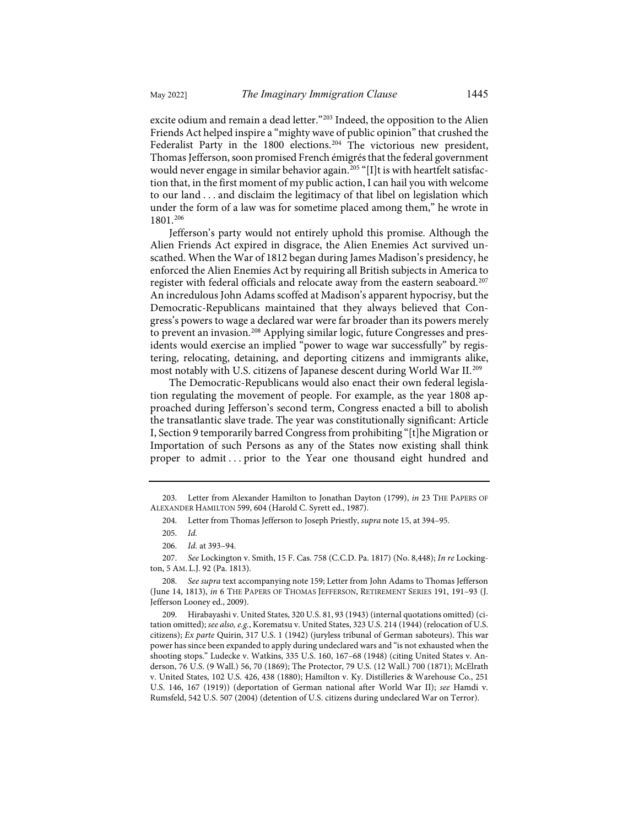excite odium and remain a dead letter."<sup>[203](#page-26-0)</sup> Indeed, the opposition to the Alien Friends Act helped inspire a "mighty wave of public opinion" that crushed the Federalist Party in the 1800 elections.<sup>[204](#page-26-1)</sup> The victorious new president, Thomas Jefferson, soon promised French émigrés that the federal government would never engage in similar behavior again.<sup>[205](#page-26-2)</sup> "[I]t is with heartfelt satisfaction that, in the first moment of my public action, I can hail you with welcome to our land . . . and disclaim the legitimacy of that libel on legislation which under the form of a law was for sometime placed among them," he wrote in 1801.[206](#page-26-3)

Jefferson's party would not entirely uphold this promise. Although the Alien Friends Act expired in disgrace, the Alien Enemies Act survived unscathed. When the War of 1812 began during James Madison's presidency, he enforced the Alien Enemies Act by requiring all British subjects in America to register with federal officials and relocate away from the eastern seaboard.[207](#page-26-4) An incredulous John Adams scoffed at Madison's apparent hypocrisy, but the Democratic-Republicans maintained that they always believed that Congress's powers to wage a declared war were far broader than its powers merely to prevent an invasion.<sup>[208](#page-26-5)</sup> Applying similar logic, future Congresses and presidents would exercise an implied "power to wage war successfully" by registering, relocating, detaining, and deporting citizens and immigrants alike, most notably with U.S. citizens of Japanese descent during World War II.[209](#page-26-6)

The Democratic-Republicans would also enact their own federal legislation regulating the movement of people. For example, as the year 1808 approached during Jefferson's second term, Congress enacted a bill to abolish the transatlantic slave trade. The year was constitutionally significant: Article I, Section 9 temporarily barred Congress from prohibiting "[t]he Migration or Importation of such Persons as any of the States now existing shall think proper to admit ... prior to the Year one thousand eight hundred and

<span id="page-26-6"></span>209. Hirabayashi v. United States, 320 U.S. 81, 93 (1943) (internal quotations omitted) (citation omitted); *see also, e.g.*, Korematsu v. United States, 323 U.S. 214 (1944) (relocation of U.S. citizens); *Ex parte* Quirin, 317 U.S. 1 (1942) (juryless tribunal of German saboteurs). This war power has since been expanded to apply during undeclared wars and "is not exhausted when the shooting stops." Ludecke v. Watkins, 335 U.S. 160, 167–68 (1948) (citing United States v. Anderson, 76 U.S. (9 Wall.) 56, 70 (1869); The Protector, 79 U.S. (12 Wall.) 700 (1871); McElrath v. United States, 102 U.S. 426, 438 (1880); Hamilton v. Ky. Distilleries & Warehouse Co., 251 U.S. 146, 167 (1919)) (deportation of German national after World War II); *see* Hamdi v. Rumsfeld, 542 U.S. 507 (2004) (detention of U.S. citizens during undeclared War on Terror).

<span id="page-26-1"></span><span id="page-26-0"></span><sup>203.</sup> Letter from Alexander Hamilton to Jonathan Dayton (1799), *in* 23 THE PAPERS OF ALEXANDER HAMILTON 599, 604 (Harold C. Syrett ed., 1987).

<sup>204.</sup> Letter from Thomas Jefferson to Joseph Priestly, *supra* not[e 15,](#page-4-10) at 394–95.

<sup>205.</sup> *Id.*

<sup>206.</sup> *Id.* at 393–94.

<span id="page-26-4"></span><span id="page-26-3"></span><span id="page-26-2"></span><sup>207.</sup> *See* Lockington v. Smith, 15 F. Cas. 758 (C.C.D. Pa. 1817) (No. 8,448); *In re* Lockington, 5 AM. L.J. 92 (Pa. 1813).

<span id="page-26-5"></span><sup>208.</sup> *See supra* text accompanying not[e 159;](#page-21-12) Letter from John Adams to Thomas Jefferson (June 14, 1813), *in* 6 THE PAPERS OF THOMAS JEFFERSON, RETIREMENT SERIES 191, 191–93 (J. Jefferson Looney ed., 2009).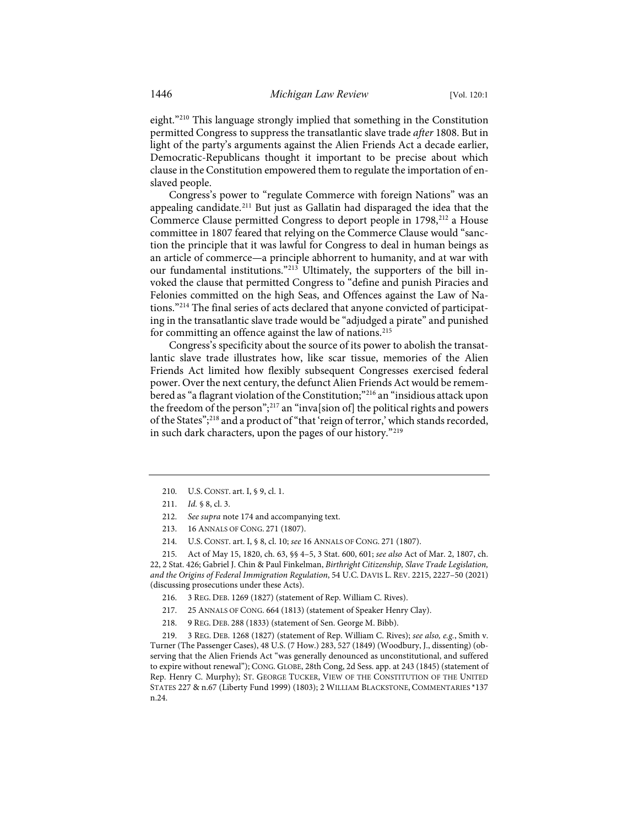eight."[210](#page-27-0) This language strongly implied that something in the Constitution permitted Congress to suppress the transatlantic slave trade *after* 1808. But in light of the party's arguments against the Alien Friends Act a decade earlier, Democratic-Republicans thought it important to be precise about which clause in the Constitution empowered them to regulate the importation of enslaved people.

Congress's power to "regulate Commerce with foreign Nations" was an appealing candidate.[211](#page-27-1) But just as Gallatin had disparaged the idea that the Commerce Clause permitted Congress to deport people in 1798,<sup>212</sup> a House committee in 1807 feared that relying on the Commerce Clause would "sanction the principle that it was lawful for Congress to deal in human beings as an article of commerce—a principle abhorrent to humanity, and at war with our fundamental institutions."[213](#page-27-3) Ultimately, the supporters of the bill invoked the clause that permitted Congress to "define and punish Piracies and Felonies committed on the high Seas, and Offences against the Law of Na-tions."<sup>[214](#page-27-4)</sup> The final series of acts declared that anyone convicted of participating in the transatlantic slave trade would be "adjudged a pirate" and punished for committing an offence against the law of nations.<sup>215</sup>

Congress's specificity about the source of its power to abolish the transatlantic slave trade illustrates how, like scar tissue, memories of the Alien Friends Act limited how flexibly subsequent Congresses exercised federal power. Over the next century, the defunct Alien Friends Act would be remem-bered as "a flagrant violation of the Constitution;"<sup>[216](#page-27-6)</sup> an "insidious attack upon the freedom of the person"; [217](#page-27-7) an "inva[sion of] the political rights and powers of the States";[218](#page-27-8) and a product of"that 'reign of terror,' which stands recorded, in such dark characters, upon the pages of our history."[219](#page-27-9)

212. *See supra* not[e 174](#page-22-9) and accompanying text.

<span id="page-27-5"></span><span id="page-27-4"></span><span id="page-27-3"></span><span id="page-27-2"></span><span id="page-27-1"></span>215. Act of May 15, 1820, ch. 63, §§ 4–5, 3 Stat. 600, 601; *see also* Act of Mar. 2, 1807, ch. 22, 2 Stat. 426; Gabriel J. Chin & Paul Finkelman, *Birthright Citizenship, Slave Trade Legislation, and the Origins of Federal Immigration Regulation*, 54 U.C. DAVIS L. REV. 2215, 2227–50 (2021) (discussing prosecutions under these Acts).

- 216. 3 REG. DEB. 1269 (1827) (statement of Rep. William C. Rives).
- 217. 25 ANNALS OF CONG. 664 (1813) (statement of Speaker Henry Clay).
- 218. 9 REG. DEB. 288 (1833) (statement of Sen. George M. Bibb).

<span id="page-27-9"></span><span id="page-27-8"></span><span id="page-27-7"></span><span id="page-27-6"></span>219. 3 REG. DEB. 1268 (1827) (statement of Rep. William C. Rives); *see also, e.g.*, Smith v. Turner (The Passenger Cases), 48 U.S. (7 How.) 283, 527 (1849) (Woodbury, J., dissenting) (observing that the Alien Friends Act "was generally denounced as unconstitutional, and suffered to expire without renewal"); CONG. GLOBE, 28th Cong, 2d Sess. app. at 243 (1845) (statement of Rep. Henry C. Murphy); ST. GEORGE TUCKER, VIEW OF THE CONSTITUTION OF THE UNITED STATES 227 & n.67 (Liberty Fund 1999) (1803); 2 WILLIAM BLACKSTONE, COMMENTARIES \*137 n.24.

<sup>210.</sup> U.S. CONST. art. I, § 9, cl. 1.

<span id="page-27-0"></span><sup>211.</sup> *Id.* § 8, cl. 3.

<sup>213. 16</sup> ANNALS OF CONG. 271 (1807).

<sup>214.</sup> U.S. CONST. art. I, § 8, cl. 10; *see* 16 ANNALS OF CONG. 271 (1807).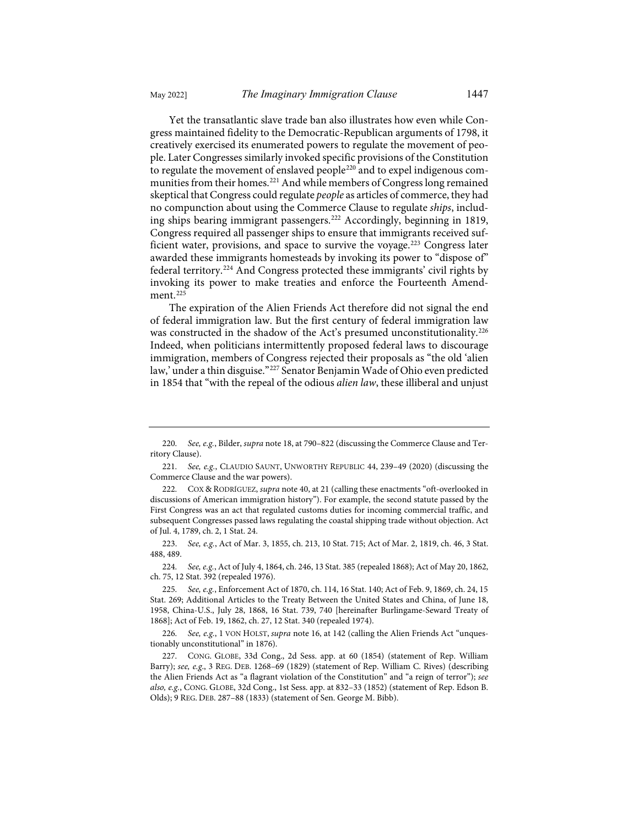Yet the transatlantic slave trade ban also illustrates how even while Congress maintained fidelity to the Democratic-Republican arguments of 1798, it creatively exercised its enumerated powers to regulate the movement of people. Later Congresses similarly invoked specific provisions of the Constitution to regulate the movement of enslaved people<sup>[220](#page-28-0)</sup> and to expel indigenous com-

munities from their homes.<sup>221</sup> And while members of Congress long remained skeptical that Congress could regulate *people* as articles of commerce, they had no compunction about using the Commerce Clause to regulate *ships*, including ships bearing immigrant passengers[.222](#page-28-2) Accordingly, beginning in 1819, Congress required all passenger ships to ensure that immigrants received suf-ficient water, provisions, and space to survive the voyage.<sup>[223](#page-28-3)</sup> Congress later awarded these immigrants homesteads by invoking its power to "dispose of" federal territory. [224](#page-28-4) And Congress protected these immigrants' civil rights by invoking its power to make treaties and enforce the Fourteenth Amend-ment.<sup>[225](#page-28-5)</sup>

The expiration of the Alien Friends Act therefore did not signal the end of federal immigration law. But the first century of federal immigration law was constructed in the shadow of the Act's presumed unconstitutionality.<sup>[226](#page-28-6)</sup> Indeed, when politicians intermittently proposed federal laws to discourage immigration, members of Congress rejected their proposals as "the old 'alien law,' under a thin disguise."[227](#page-28-7) Senator Benjamin Wade of Ohio even predicted in 1854 that "with the repeal of the odious *alien law*, these illiberal and unjust

<span id="page-28-4"></span>224. *See, e.g.*, Act of July 4, 1864, ch. 246, 13 Stat. 385 (repealed 1868); Act of May 20, 1862, ch. 75, 12 Stat. 392 (repealed 1976).

<span id="page-28-0"></span><sup>220.</sup> *See, e.g.*, Bilder, *supra* not[e 18,](#page-4-1) at 790–822 (discussing the Commerce Clause and Territory Clause).

<span id="page-28-1"></span><sup>221.</sup> *See, e.g.*, CLAUDIO SAUNT, UNWORTHY REPUBLIC 44, 239–49 (2020) (discussing the Commerce Clause and the war powers).

<span id="page-28-2"></span><sup>222.</sup> COX & RODRÍGUEZ, *supra* not[e 40,](#page-7-4) at 21 (calling these enactments "oft-overlooked in discussions of American immigration history"). For example, the second statute passed by the First Congress was an act that regulated customs duties for incoming commercial traffic, and subsequent Congresses passed laws regulating the coastal shipping trade without objection. Act of Jul. 4, 1789, ch. 2, 1 Stat. 24.

<span id="page-28-3"></span><sup>223.</sup> *See, e.g.*, Act of Mar. 3, 1855, ch. 213, 10 Stat. 715; Act of Mar. 2, 1819, ch. 46, 3 Stat. 488, 489.

<span id="page-28-5"></span><sup>225.</sup> *See, e.g.*, Enforcement Act of 1870, ch. 114, 16 Stat. 140; Act of Feb. 9, 1869, ch. 24, 15 Stat. 269; Additional Articles to the Treaty Between the United States and China, of June 18, 1958, China-U.S., July 28, 1868, 16 Stat. 739, 740 [hereinafter Burlingame-Seward Treaty of 1868]; Act of Feb. 19, 1862, ch. 27, 12 Stat. 340 (repealed 1974).

<span id="page-28-6"></span><sup>226.</sup> *See, e.g.*, 1 VON HOLST, *supra* not[e 16,](#page-4-12) at 142 (calling the Alien Friends Act "unquestionably unconstitutional" in 1876).

<span id="page-28-7"></span><sup>227.</sup> CONG. GLOBE, 33d Cong., 2d Sess. app. at 60 (1854) (statement of Rep. William Barry); *see, e.g*., 3 REG. DEB. 1268–69 (1829) (statement of Rep. William C. Rives) (describing the Alien Friends Act as "a flagrant violation of the Constitution" and "a reign of terror"); *see also, e.g.*, CONG. GLOBE, 32d Cong., 1st Sess. app. at 832–33 (1852) (statement of Rep. Edson B. Olds); 9 REG. DEB. 287–88 (1833) (statement of Sen. George M. Bibb).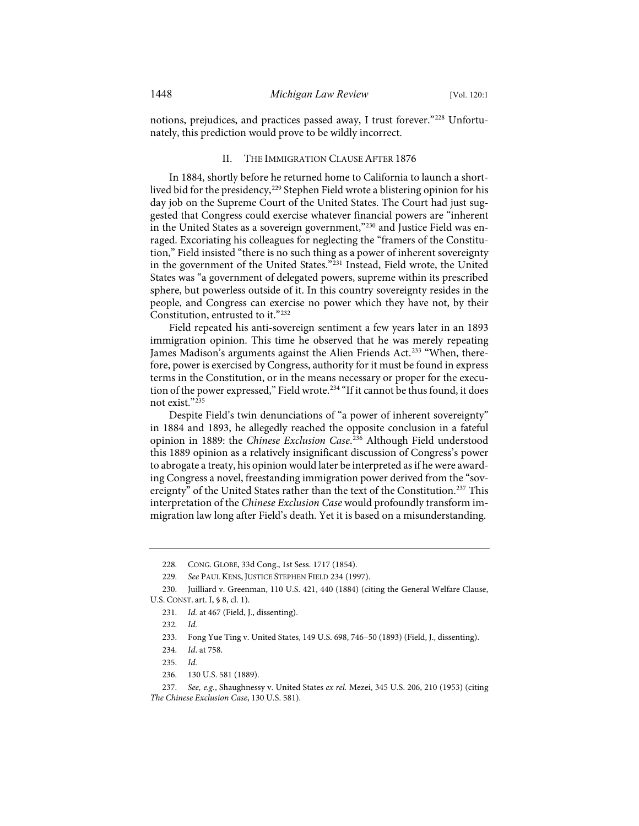notions, prejudices, and practices passed away, I trust forever."[228](#page-29-0) Unfortunately, this prediction would prove to be wildly incorrect.

#### II. THE IMMIGRATION CLAUSE AFTER 1876

In 1884, shortly before he returned home to California to launch a short-lived bid for the presidency,<sup>[229](#page-29-1)</sup> Stephen Field wrote a blistering opinion for his day job on the Supreme Court of the United States. The Court had just suggested that Congress could exercise whatever financial powers are "inherent in the United States as a sovereign government,"<sup>[230](#page-29-2)</sup> and Justice Field was enraged. Excoriating his colleagues for neglecting the "framers of the Constitution," Field insisted "there is no such thing as a power of inherent sovereignty in the government of the United States."[231](#page-29-3) Instead, Field wrote, the United States was "a government of delegated powers, supreme within its prescribed sphere, but powerless outside of it. In this country sovereignty resides in the people, and Congress can exercise no power which they have not, by their Constitution, entrusted to it."[232](#page-29-4)

Field repeated his anti-sovereign sentiment a few years later in an 1893 immigration opinion. This time he observed that he was merely repeating James Madison's arguments against the Alien Friends Act.<sup>233</sup> "When, therefore, power is exercised by Congress, authority for it must be found in express terms in the Constitution, or in the means necessary or proper for the execu-tion of the power expressed," Field wrote.<sup>[234](#page-29-6)</sup> "If it cannot be thus found, it does not exist."[235](#page-29-7)

Despite Field's twin denunciations of "a power of inherent sovereignty" in 1884 and 1893, he allegedly reached the opposite conclusion in a fateful opinion in 1889: the *Chinese Exclusion Case*. [236](#page-29-8) Although Field understood this 1889 opinion as a relatively insignificant discussion of Congress's power to abrogate a treaty, his opinion would later be interpreted as if he were awarding Congress a novel, freestanding immigration power derived from the "sovereignty" of the United States rather than the text of the Constitution.<sup>237</sup> This interpretation of the *Chinese Exclusion Case* would profoundly transform immigration law long after Field's death. Yet it is based on a misunderstanding.

<sup>228.</sup> CONG. GLOBE, 33d Cong., 1st Sess. 1717 (1854).

<sup>229.</sup> *See* PAUL KENS, JUSTICE STEPHEN FIELD 234 (1997).

<span id="page-29-5"></span><span id="page-29-4"></span><span id="page-29-3"></span><span id="page-29-2"></span><span id="page-29-1"></span><span id="page-29-0"></span><sup>230.</sup> Juilliard v. Greenman, 110 U.S. 421, 440 (1884) (citing the General Welfare Clause, U.S. CONST. art. I, § 8, cl. 1).

<sup>231.</sup> *Id.* at 467 (Field, J., dissenting).

<sup>232.</sup> *Id.*

<sup>233.</sup> Fong Yue Ting v. United States, 149 U.S. 698, 746–50 (1893) (Field, J., dissenting).

<sup>234.</sup> *Id*. at 758.

<sup>235.</sup> *Id.*

<sup>236. 130</sup> U.S. 581 (1889).

<span id="page-29-9"></span><span id="page-29-8"></span><span id="page-29-7"></span><span id="page-29-6"></span><sup>237.</sup> *See, e.g.*, Shaughnessy v. United States *ex rel.* Mezei, 345 U.S. 206, 210 (1953) (citing *The Chinese Exclusion Case*, 130 U.S. 581).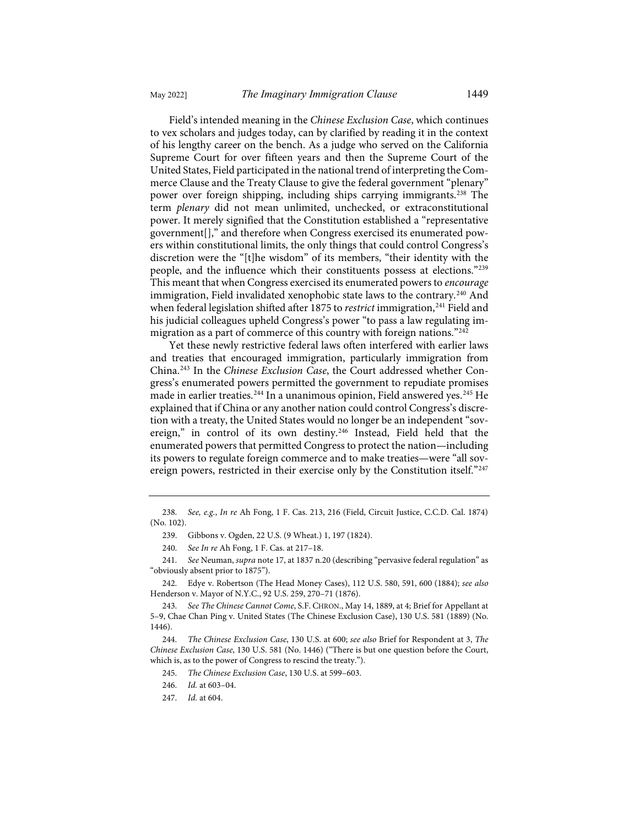Field's intended meaning in the *Chinese Exclusion Case*, which continues to vex scholars and judges today, can by clarified by reading it in the context of his lengthy career on the bench. As a judge who served on the California Supreme Court for over fifteen years and then the Supreme Court of the United States, Field participated in the national trend of interpreting the Commerce Clause and the Treaty Clause to give the federal government "plenary" power over foreign shipping, including ships carrying immigrants.[238](#page-30-0) The term *plenary* did not mean unlimited, unchecked, or extraconstitutional power. It merely signified that the Constitution established a "representative government[]," and therefore when Congress exercised its enumerated powers within constitutional limits, the only things that could control Congress's discretion were the "[t]he wisdom" of its members, "their identity with the people, and the influence which their constituents possess at elections."[239](#page-30-1) This meant that when Congress exercised its enumerated powers to *encourage* immigration, Field invalidated xenophobic state laws to the contrary.<sup>[240](#page-30-2)</sup> And when federal legislation shifted after 1875 to *restrict* immigration,<sup>241</sup> Field and his judicial colleagues upheld Congress's power "to pass a law regulating im-migration as a part of commerce of this country with foreign nations."<sup>[242](#page-30-4)</sup>

Yet these newly restrictive federal laws often interfered with earlier laws and treaties that encouraged immigration, particularly immigration from China.[243](#page-30-5) In the *Chinese Exclusion Case*, the Court addressed whether Congress's enumerated powers permitted the government to repudiate promises made in earlier treaties.<sup>[244](#page-30-6)</sup> In a unanimous opinion, Field answered yes.<sup>[245](#page-30-7)</sup> He explained that if China or any another nation could control Congress's discretion with a treaty, the United States would no longer be an independent "sov-ereign," in control of its own destiny.<sup>[246](#page-30-8)</sup> Instead, Field held that the enumerated powers that permitted Congress to protect the nation—including its powers to regulate foreign commerce and to make treaties—were "all sov-ereign powers, restricted in their exercise only by the Constitution itself."[247](#page-30-9)

245. *The Chinese Exclusion Case*, 130 U.S. at 599–603.

246. *Id.* at 603–04.

<span id="page-30-1"></span><span id="page-30-0"></span><sup>238.</sup> *See, e.g.*, *In re* Ah Fong, 1 F. Cas. 213, 216 (Field, Circuit Justice, C.C.D. Cal. 1874) (No. 102).

<sup>239.</sup> Gibbons v. Ogden, 22 U.S. (9 Wheat.) 1, 197 (1824).

<sup>240.</sup> *See In re* Ah Fong, 1 F. Cas. at 217–18.

<span id="page-30-3"></span><span id="page-30-2"></span><sup>241.</sup> *See* Neuman, *supra* not[e 17,](#page-4-0) at 1837 n.20 (describing "pervasive federal regulation" as "obviously absent prior to 1875").

<span id="page-30-4"></span><sup>242.</sup> Edye v. Robertson (The Head Money Cases), 112 U.S. 580, 591, 600 (1884); *see also* Henderson v. Mayor of N.Y.C., 92 U.S. 259, 270–71 (1876).

<span id="page-30-5"></span><sup>243.</sup> *See The Chinese Cannot Come*, S.F. CHRON., May 14, 1889, at 4; Brief for Appellant at 5–9, Chae Chan Ping v. United States (The Chinese Exclusion Case), 130 U.S. 581 (1889) (No. 1446).

<span id="page-30-9"></span><span id="page-30-8"></span><span id="page-30-7"></span><span id="page-30-6"></span><sup>244.</sup> *The Chinese Exclusion Case*, 130 U.S. at 600; *see also* Brief for Respondent at 3, *The Chinese Exclusion Case*, 130 U.S. 581 (No. 1446) ("There is but one question before the Court, which is, as to the power of Congress to rescind the treaty.").

<sup>247.</sup> *Id.* at 604.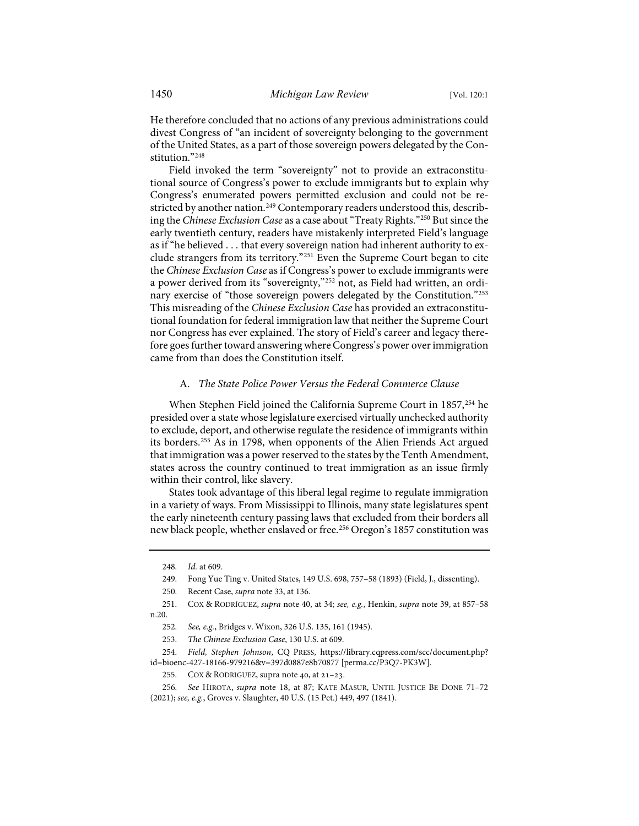He therefore concluded that no actions of any previous administrations could divest Congress of "an incident of sovereignty belonging to the government of the United States, as a part of those sovereign powers delegated by the Constitution."[248](#page-31-0)

Field invoked the term "sovereignty" not to provide an extraconstitutional source of Congress's power to exclude immigrants but to explain why Congress's enumerated powers permitted exclusion and could not be re-stricted by another nation.<sup>[249](#page-31-1)</sup> Contemporary readers understood this, describing the *Chinese Exclusion Case* as a case about "Treaty Rights."[250](#page-31-2) But since the early twentieth century, readers have mistakenly interpreted Field's language as if "he believed . . . that every sovereign nation had inherent authority to exclude strangers from its territory."[251](#page-31-3) Even the Supreme Court began to cite the *Chinese Exclusion Case* as if Congress's power to exclude immigrants were a power derived from its "sovereignty,"[252](#page-31-4) not, as Field had written, an ordi-nary exercise of "those sovereign powers delegated by the Constitution."<sup>[253](#page-31-5)</sup> This misreading of the *Chinese Exclusion Case* has provided an extraconstitutional foundation for federal immigration law that neither the Supreme Court nor Congress has ever explained. The story of Field's career and legacy therefore goes further toward answering where Congress's power over immigration came from than does the Constitution itself.

## A. *The State Police Power Versus the Federal Commerce Clause*

When Stephen Field joined the California Supreme Court in 1857,<sup>[254](#page-31-6)</sup> he presided over a state whose legislature exercised virtually unchecked authority to exclude, deport, and otherwise regulate the residence of immigrants within its borders[.255](#page-31-7) As in 1798, when opponents of the Alien Friends Act argued that immigration was a power reserved to the states by the Tenth Amendment, states across the country continued to treat immigration as an issue firmly within their control, like slavery.

States took advantage of this liberal legal regime to regulate immigration in a variety of ways. From Mississippi to Illinois, many state legislatures spent the early nineteenth century passing laws that excluded from their borders all new black people, whether enslaved or free.<sup>[256](#page-31-8)</sup> Oregon's 1857 constitution was

<span id="page-31-9"></span><sup>248.</sup> *Id.* at 609.

<sup>249.</sup> Fong Yue Ting v. United States, 149 U.S. 698, 757–58 (1893) (Field, J., dissenting).

<sup>250.</sup> Recent Case, *supra* not[e 33,](#page-6-9) at 136.

<span id="page-31-3"></span><span id="page-31-2"></span><span id="page-31-1"></span><span id="page-31-0"></span><sup>251.</sup> COX & RODRÍGUEZ, *supra* note [40,](#page-7-4) at 34; *see, e.g.*, Henkin, *supra* note [39,](#page-7-5) at 857–58 n.20.

<sup>252.</sup> *See, e.g.*, Bridges v. Wixon, 326 U.S. 135, 161 (1945).

<sup>253.</sup> *The Chinese Exclusion Case*, 130 U.S. at 609.

<span id="page-31-7"></span><span id="page-31-6"></span><span id="page-31-5"></span><span id="page-31-4"></span><sup>254.</sup> *Field, Stephen Johnson*, CQ PRESS, [https://library.cqpress.com/scc/document.php?](https://library.cqpress.com/scc/document.php?id=bioenc-427-18166-979216&v=397d0887e8b70877) [id=bioenc-427-18166-979216&v=397d0887e8b70877](https://library.cqpress.com/scc/document.php?id=bioenc-427-18166-979216&v=397d0887e8b70877) [\[perma.cc/P3Q7-PK3W\]](https://perma.cc/P3Q7-PK3W).

<sup>255.</sup> COX & RODRIGUEZ, supra note 40, at 21-23.

<span id="page-31-8"></span><sup>256.</sup> *See* HIROTA, *supra* note [18,](#page-4-1) at 87; KATE MASUR, UNTIL JUSTICE BE DONE 71–72 (2021); *see, e.g.*, Groves v. Slaughter, 40 U.S. (15 Pet.) 449, 497 (1841).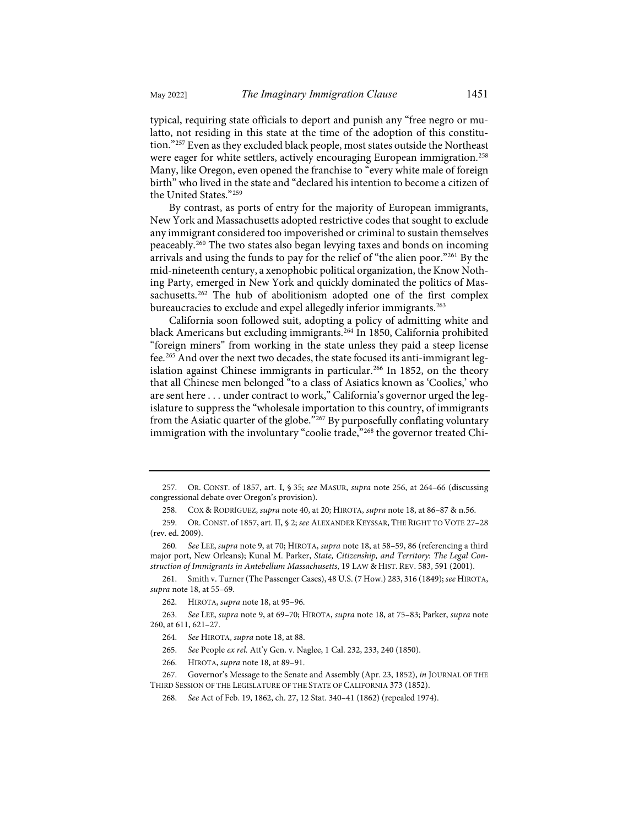typical, requiring state officials to deport and punish any "free negro or mulatto, not residing in this state at the time of the adoption of this constitution."[257](#page-32-1) Even as they excluded black people, most states outside the Northeast were eager for white settlers, actively encouraging European immigration.<sup>[258](#page-32-2)</sup> Many, like Oregon, even opened the franchise to "every white male of foreign birth" who lived in the state and "declared his intention to become a citizen of the United States."[259](#page-32-3)

<span id="page-32-0"></span>By contrast, as ports of entry for the majority of European immigrants, New York and Massachusetts adopted restrictive codes that sought to exclude any immigrant considered too impoverished or criminal to sustain themselves peaceably. [260](#page-32-4) The two states also began levying taxes and bonds on incoming arrivals and using the funds to pay for the relief of "the alien poor."[261](#page-32-5) By the mid-nineteenth century, a xenophobic political organization, the Know Nothing Party, emerged in New York and quickly dominated the politics of Mas-sachusetts.<sup>[262](#page-32-6)</sup> The hub of abolitionism adopted one of the first complex bureaucracies to exclude and expel allegedly inferior immigrants.<sup>[263](#page-32-7)</sup>

California soon followed suit, adopting a policy of admitting white and black Americans but excluding immigrants[.264](#page-32-8) In 1850, California prohibited "foreign miners" from working in the state unless they paid a steep license fee.[265](#page-32-9) And over the next two decades, the state focused its anti-immigrant leg-islation against Chinese immigrants in particular.<sup>[266](#page-32-10)</sup> In 1852, on the theory that all Chinese men belonged "to a class of Asiatics known as 'Coolies,' who are sent here . . . under contract to work," California's governor urged the legislature to suppress the "wholesale importation to this country, of immigrants from the Asiatic quarter of the globe."<sup>[267](#page-32-11)</sup> By purposefully conflating voluntary immigration with the involuntary "coolie trade,"<sup>[268](#page-32-12)</sup> the governor treated Chi-

<span id="page-32-5"></span>261. Smith v. Turner (The Passenger Cases), 48 U.S. (7 How.) 283, 316 (1849); *see* HIROTA, *supra* not[e 18,](#page-4-1) at 55–69.

<span id="page-32-1"></span><sup>257.</sup> OR. CONST. of 1857, art. I, § 35; *see* MASUR, *supra* note [256,](#page-31-9) at 264–66 (discussing congressional debate over Oregon's provision).

<sup>258.</sup> COX & RODRÍGUEZ, *supra* not[e 40,](#page-7-4) at 20; HIROTA, *supra* not[e 18,](#page-4-1) at 86–87 & n.56.

<span id="page-32-3"></span><span id="page-32-2"></span><sup>259.</sup> OR. CONST. of 1857, art. II, § 2; *see* ALEXANDER KEYSSAR, THE RIGHT TO VOTE 27–28 (rev. ed. 2009).

<span id="page-32-4"></span><sup>260.</sup> *See* LEE, *supra* not[e 9,](#page-3-10) at 70; HIROTA, *supra* not[e 18,](#page-4-1) at 58–59, 86 (referencing a third major port, New Orleans); Kunal M. Parker, *State, Citizenship, and Territory: The Legal Construction of Immigrants in Antebellum Massachusetts*, 19 LAW & HIST. REV. 583, 591 (2001).

<sup>262.</sup> HIROTA, *supra* not[e 18,](#page-4-1) at 95–96.

<span id="page-32-8"></span><span id="page-32-7"></span><span id="page-32-6"></span><sup>263.</sup> *See* LEE, *supra* note [9,](#page-3-10) at 69–70; HIROTA, *supra* not[e 18,](#page-4-1) at 75–83; Parker, *supra* note [260,](#page-32-0) at 611, 621–27.

<sup>264.</sup> *See* HIROTA, *supra* not[e 18,](#page-4-1) at 88.

<sup>265.</sup> *See* People *ex rel.* Att'y Gen. v. Naglee, 1 Cal. 232, 233, 240 (1850).

<sup>266.</sup> HIROTA, *supra* not[e 18,](#page-4-1) at 89–91.

<span id="page-32-12"></span><span id="page-32-11"></span><span id="page-32-10"></span><span id="page-32-9"></span><sup>267.</sup> Governor's Message to the Senate and Assembly (Apr. 23, 1852), *in* JOURNAL OF THE THIRD SESSION OF THE LEGISLATURE OF THE STATE OF CALIFORNIA 373 (1852).

<sup>268.</sup> *See* Act of Feb. 19, 1862, ch. 27, 12 Stat. 340–41 (1862) (repealed 1974).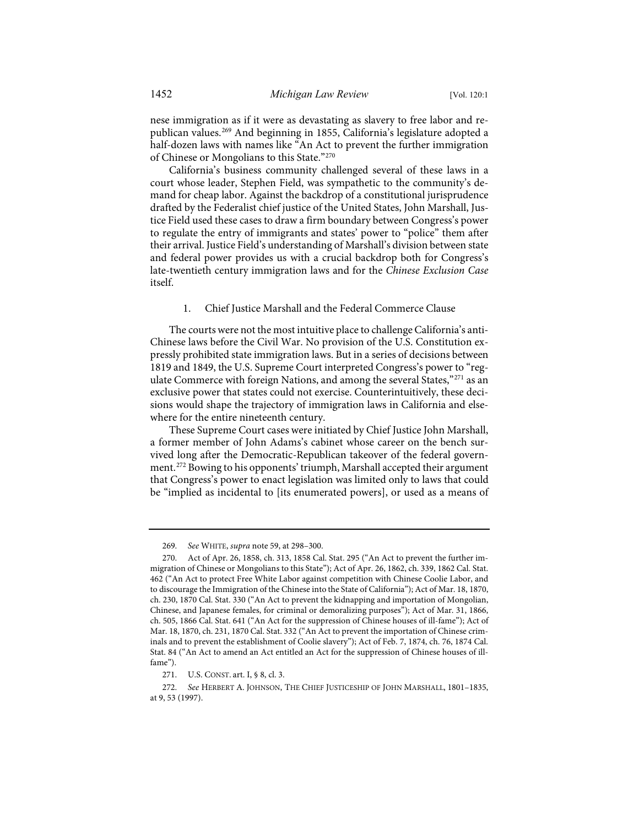nese immigration as if it were as devastating as slavery to free labor and republican values.[269](#page-33-0) And beginning in 1855, California's legislature adopted a half-dozen laws with names like "An Act to prevent the further immigration of Chinese or Mongolians to this State."[270](#page-33-1)

California's business community challenged several of these laws in a court whose leader, Stephen Field, was sympathetic to the community's demand for cheap labor. Against the backdrop of a constitutional jurisprudence drafted by the Federalist chief justice of the United States, John Marshall, Justice Field used these cases to draw a firm boundary between Congress's power to regulate the entry of immigrants and states' power to "police" them after their arrival. Justice Field's understanding of Marshall's division between state and federal power provides us with a crucial backdrop both for Congress's late-twentieth century immigration laws and for the *Chinese Exclusion Case* itself.

### 1. Chief Justice Marshall and the Federal Commerce Clause

The courts were not the most intuitive place to challenge California's anti-Chinese laws before the Civil War. No provision of the U.S. Constitution expressly prohibited state immigration laws. But in a series of decisions between 1819 and 1849, the U.S. Supreme Court interpreted Congress's power to "reg-ulate Commerce with foreign Nations, and among the several States,"<sup>[271](#page-33-2)</sup> as an exclusive power that states could not exercise. Counterintuitively, these decisions would shape the trajectory of immigration laws in California and elsewhere for the entire nineteenth century.

These Supreme Court cases were initiated by Chief Justice John Marshall, a former member of John Adams's cabinet whose career on the bench survived long after the Democratic-Republican takeover of the federal government.[272](#page-33-3) Bowing to his opponents' triumph, Marshall accepted their argument that Congress's power to enact legislation was limited only to laws that could be "implied as incidental to [its enumerated powers], or used as a means of

<sup>269.</sup> *See* WHITE, *supra* not[e 59,](#page-10-13) at 298–300.

<span id="page-33-1"></span><span id="page-33-0"></span><sup>270.</sup> Act of Apr. 26, 1858, ch. 313, 1858 Cal. Stat. 295 ("An Act to prevent the further immigration of Chinese or Mongolians to this State"); Act of Apr. 26, 1862, ch. 339, 1862 Cal. Stat. 462 ("An Act to protect Free White Labor against competition with Chinese Coolie Labor, and to discourage the Immigration of the Chinese into the State of California"); Act of Mar. 18, 1870, ch. 230, 1870 Cal. Stat. 330 ("An Act to prevent the kidnapping and importation of Mongolian, Chinese, and Japanese females, for criminal or demoralizing purposes"); Act of Mar. 31, 1866, ch. 505, 1866 Cal. Stat. 641 ("An Act for the suppression of Chinese houses of ill-fame"); Act of Mar. 18, 1870, ch. 231, 1870 Cal. Stat. 332 ("An Act to prevent the importation of Chinese criminals and to prevent the establishment of Coolie slavery"); Act of Feb. 7, 1874, ch. 76, 1874 Cal. Stat. 84 ("An Act to amend an Act entitled an Act for the suppression of Chinese houses of illfame").

<sup>271.</sup> U.S. CONST. art. I, § 8, cl. 3.

<span id="page-33-3"></span><span id="page-33-2"></span><sup>272.</sup> *See* HERBERT A. JOHNSON, THE CHIEF JUSTICESHIP OF JOHN MARSHALL, 1801–1835, at 9, 53 (1997).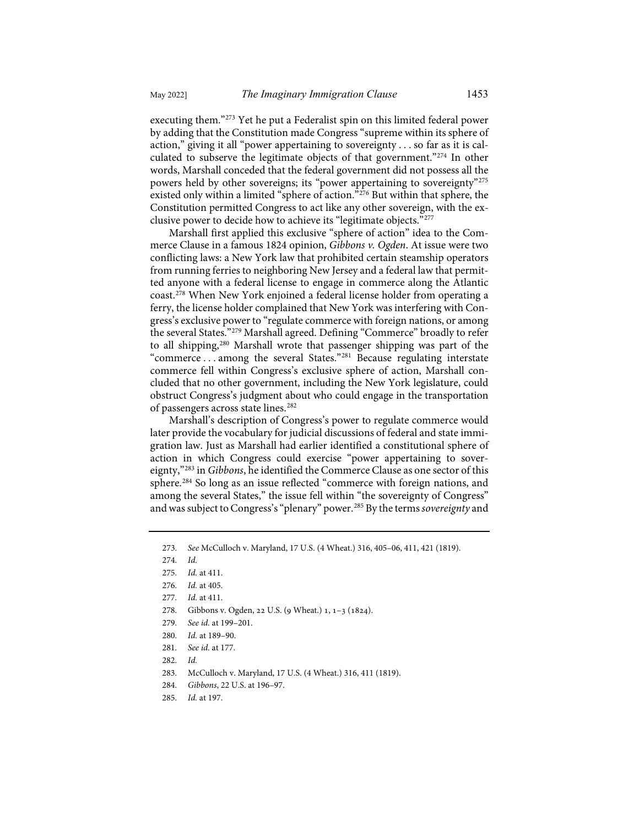executing them."[273](#page-34-0) Yet he put a Federalist spin on this limited federal power by adding that the Constitution made Congress "supreme within its sphere of action," giving it all "power appertaining to sovereignty . . . so far as it is calculated to subserve the legitimate objects of that government."[274](#page-34-1) In other words, Marshall conceded that the federal government did not possess all the powers held by other sovereigns; its "power appertaining to sovereignty"<sup>[275](#page-34-2)</sup> existed only within a limited "sphere of action.["276](#page-34-3) But within that sphere, the Constitution permitted Congress to act like any other sovereign, with the exclusive power to decide how to achieve its "legitimate objects."[277](#page-34-4)

Marshall first applied this exclusive "sphere of action" idea to the Commerce Clause in a famous 1824 opinion, *Gibbons v. Ogden*. At issue were two conflicting laws: a New York law that prohibited certain steamship operators from running ferries to neighboring New Jersey and a federal law that permitted anyone with a federal license to engage in commerce along the Atlantic coast[.278](#page-34-5) When New York enjoined a federal license holder from operating a ferry, the license holder complained that New York was interfering with Congress's exclusive power to "regulate commerce with foreign nations, or among the several States."[279](#page-34-6) Marshall agreed. Defining "Commerce" broadly to refer to all shipping,<sup>280</sup> Marshall wrote that passenger shipping was part of the "commerce . . . among the several States."[281](#page-34-8) Because regulating interstate commerce fell within Congress's exclusive sphere of action, Marshall concluded that no other government, including the New York legislature, could obstruct Congress's judgment about who could engage in the transportation of passengers across state lines.[282](#page-34-9)

Marshall's description of Congress's power to regulate commerce would later provide the vocabulary for judicial discussions of federal and state immigration law. Just as Marshall had earlier identified a constitutional sphere of action in which Congress could exercise "power appertaining to sovereignty,"[283](#page-34-10) in *Gibbons*, he identified the Commerce Clause as one sector of this sphere.[284](#page-34-11) So long as an issue reflected "commerce with foreign nations, and among the several States," the issue fell within "the sovereignty of Congress" and was subject to Congress's "plenary" power.[285](#page-34-12) By the terms *sovereignty* and

- <span id="page-34-6"></span><span id="page-34-5"></span>278. Gibbons v. Ogden, 22 U.S. (9 Wheat.) 1, 1-3 (1824).
- 279. *See id.* at 199–201.
- <span id="page-34-7"></span>280. *Id.* at 189–90.
- <span id="page-34-8"></span>281. *See id.* at 177.
- <span id="page-34-9"></span>282. *Id.*
- <span id="page-34-10"></span>283. McCulloch v. Maryland, 17 U.S. (4 Wheat.) 316, 411 (1819).
- <span id="page-34-11"></span>284. *Gibbons*, 22 U.S. at 196–97.
- <span id="page-34-12"></span>285. *Id.* at 197.

<span id="page-34-0"></span><sup>273.</sup> *See* McCulloch v. Maryland, 17 U.S. (4 Wheat.) 316, 405–06, 411, 421 (1819).

<span id="page-34-1"></span><sup>274.</sup> *Id.*

<span id="page-34-2"></span><sup>275.</sup> *Id.* at 411.

<span id="page-34-3"></span><sup>276.</sup> *Id.* at 405.

<span id="page-34-4"></span><sup>277.</sup> *Id.* at 411.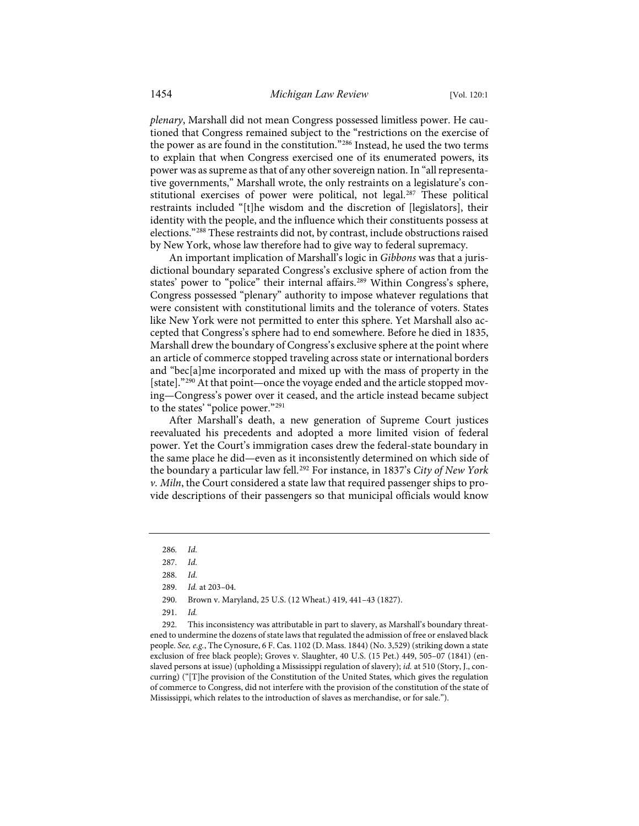*plenary*, Marshall did not mean Congress possessed limitless power. He cautioned that Congress remained subject to the "restrictions on the exercise of the power as are found in the constitution."[286](#page-35-0) Instead, he used the two terms to explain that when Congress exercised one of its enumerated powers, its power was as supreme as that of any other sovereign nation. In "all representative governments," Marshall wrote, the only restraints on a legislature's constitutional exercises of power were political, not legal.[287](#page-35-1) These political restraints included "[t]he wisdom and the discretion of [legislators], their identity with the people, and the influence which their constituents possess at elections."[288](#page-35-2) These restraints did not, by contrast, include obstructions raised by New York, whose law therefore had to give way to federal supremacy.

An important implication of Marshall's logic in *Gibbons* was that a jurisdictional boundary separated Congress's exclusive sphere of action from the states' power to "police" their internal affairs.<sup>[289](#page-35-3)</sup> Within Congress's sphere, Congress possessed "plenary" authority to impose whatever regulations that were consistent with constitutional limits and the tolerance of voters. States like New York were not permitted to enter this sphere. Yet Marshall also accepted that Congress's sphere had to end somewhere. Before he died in 1835, Marshall drew the boundary of Congress's exclusive sphere at the point where an article of commerce stopped traveling across state or international borders and "bec[a]me incorporated and mixed up with the mass of property in the [state]."<sup>[290](#page-35-4)</sup> At that point—once the voyage ended and the article stopped moving—Congress's power over it ceased, and the article instead became subject to the states' "police power."[291](#page-35-5)

After Marshall's death, a new generation of Supreme Court justices reevaluated his precedents and adopted a more limited vision of federal power. Yet the Court's immigration cases drew the federal-state boundary in the same place he did—even as it inconsistently determined on which side of the boundary a particular law fell.[292](#page-35-6) For instance, in 1837's *City of New York v. Miln*, the Court considered a state law that required passenger ships to provide descriptions of their passengers so that municipal officials would know

<span id="page-35-6"></span><span id="page-35-5"></span><span id="page-35-4"></span><span id="page-35-3"></span><span id="page-35-2"></span>292. This inconsistency was attributable in part to slavery, as Marshall's boundary threatened to undermine the dozens of state laws that regulated the admission of free or enslaved black people. *See, e.g.*, The Cynosure, 6 F. Cas. 1102 (D. Mass. 1844) (No. 3,529) (striking down a state exclusion of free black people); Groves v. Slaughter, 40 U.S. (15 Pet.) 449, 505–07 (1841) (enslaved persons at issue) (upholding a Mississippi regulation of slavery); *id.* at 510 (Story, J., concurring) ("[T]he provision of the Constitution of the United States, which gives the regulation of commerce to Congress, did not interfere with the provision of the constitution of the state of Mississippi, which relates to the introduction of slaves as merchandise, or for sale.").

<sup>286.</sup> *Id.*

<span id="page-35-1"></span><span id="page-35-0"></span><sup>287.</sup> *Id.*

<sup>288.</sup> *Id.*

<sup>289.</sup> *Id.* at 203–04.

<sup>290.</sup> Brown v. Maryland, 25 U.S. (12 Wheat.) 419, 441–43 (1827).

<sup>291.</sup> *Id.*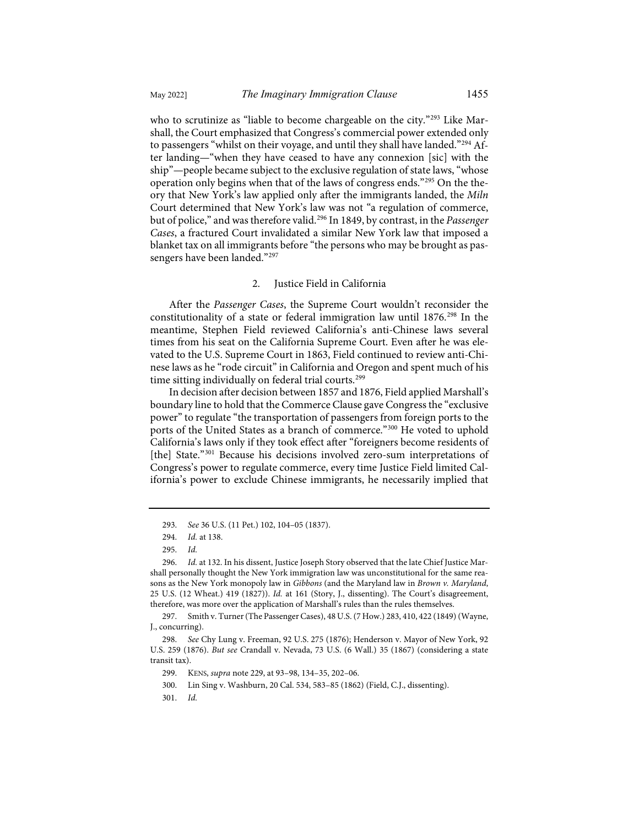who to scrutinize as "liable to become chargeable on the city."<sup>[293](#page-36-0)</sup> Like Marshall, the Court emphasized that Congress's commercial power extended only to passengers "whilst on their voyage, and until they shall have landed."[294](#page-36-1) After landing—"when they have ceased to have any connexion [sic] with the ship"—people became subject to the exclusive regulation of state laws, "whose operation only begins when that of the laws of congress ends."[295](#page-36-2) On the theory that New York's law applied only after the immigrants landed, the *Miln* Court determined that New York's law was not "a regulation of commerce, but of police," and was therefore valid.[296](#page-36-3) In 1849, by contrast, in the *Passenger Cases*, a fractured Court invalidated a similar New York law that imposed a blanket tax on all immigrants before "the persons who may be brought as pas-sengers have been landed."<sup>[297](#page-36-4)</sup>

## 2. Justice Field in California

After the *Passenger Cases*, the Supreme Court wouldn't reconsider the constitutionality of a state or federal immigration law until 1876.[298](#page-36-5) In the meantime, Stephen Field reviewed California's anti-Chinese laws several times from his seat on the California Supreme Court. Even after he was elevated to the U.S. Supreme Court in 1863, Field continued to review anti-Chinese laws as he "rode circuit" in California and Oregon and spent much of his time sitting individually on federal trial courts.<sup>[299](#page-36-6)</sup>

In decision after decision between 1857 and 1876, Field applied Marshall's boundary line to hold that the Commerce Clause gave Congress the "exclusive power" to regulate "the transportation of passengers from foreign ports to the ports of the United States as a branch of commerce."<sup>[300](#page-36-7)</sup> He voted to uphold California's laws only if they took effect after "foreigners become residents of [the] State."<sup>[301](#page-36-8)</sup> Because his decisions involved zero-sum interpretations of Congress's power to regulate commerce, every time Justice Field limited California's power to exclude Chinese immigrants, he necessarily implied that

<sup>293.</sup> *See* 36 U.S. (11 Pet.) 102, 104–05 (1837).

<sup>294.</sup> *Id.* at 138.

<sup>295.</sup> *Id.*

<span id="page-36-3"></span><span id="page-36-2"></span><span id="page-36-1"></span><span id="page-36-0"></span><sup>296.</sup> *Id.* at 132. In his dissent, Justice Joseph Story observed that the late Chief Justice Marshall personally thought the New York immigration law was unconstitutional for the same reasons as the New York monopoly law in *Gibbons* (and the Maryland law in *Brown v. Maryland*, 25 U.S. (12 Wheat.) 419 (1827)). *Id.* at 161 (Story, J., dissenting). The Court's disagreement, therefore, was more over the application of Marshall's rules than the rules themselves.

<span id="page-36-4"></span><sup>297.</sup> Smith v. Turner (The Passenger Cases), 48 U.S. (7 How.) 283, 410, 422 (1849) (Wayne, J., concurring).

<span id="page-36-8"></span><span id="page-36-7"></span><span id="page-36-6"></span><span id="page-36-5"></span><sup>298.</sup> *See* Chy Lung v. Freeman, 92 U.S. 275 (1876); Henderson v. Mayor of New York, 92 U.S. 259 (1876). *But see* Crandall v. Nevada, 73 U.S. (6 Wall.) 35 (1867) (considering a state transit tax).

<sup>299.</sup> KENS, *supra* not[e 229,](#page-29-0) at 93–98, 134–35, 202–06.

<sup>300.</sup> Lin Sing v. Washburn, 20 Cal. 534, 583–85 (1862) (Field, C.J., dissenting).

<sup>301.</sup> *Id.*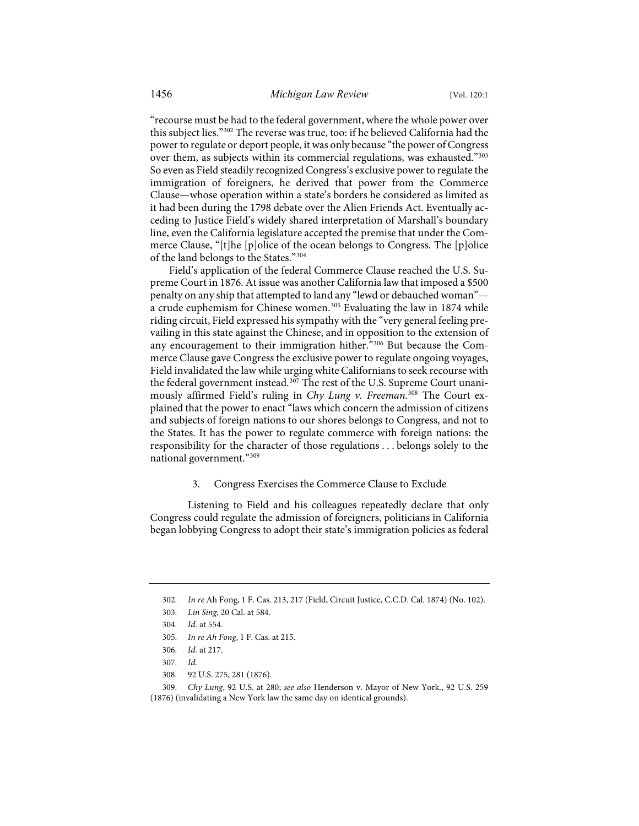"recourse must be had to the federal government, where the whole power over this subject lies.["302](#page-37-0) The reverse was true, too: if he believed California had the power to regulate or deport people, it was only because "the power of Congress over them, as subjects within its commercial regulations, was exhausted."[303](#page-37-1) So even as Field steadily recognized Congress's exclusive power to regulate the immigration of foreigners, he derived that power from the Commerce Clause—whose operation within a state's borders he considered as limited as it had been during the 1798 debate over the Alien Friends Act. Eventually acceding to Justice Field's widely shared interpretation of Marshall's boundary line, even the California legislature accepted the premise that under the Commerce Clause, "[t]he [p]olice of the ocean belongs to Congress. The [p]olice of the land belongs to the States."[304](#page-37-2)

Field's application of the federal Commerce Clause reached the U.S. Supreme Court in 1876. At issue was another California law that imposed a \$500 penalty on any ship that attempted to land any "lewd or debauched woman"— a crude euphemism for Chinese women.<sup>[305](#page-37-3)</sup> Evaluating the law in 1874 while riding circuit, Field expressed his sympathy with the "very general feeling prevailing in this state against the Chinese, and in opposition to the extension of any encouragement to their immigration hither."<sup>[306](#page-37-4)</sup> But because the Commerce Clause gave Congress the exclusive power to regulate ongoing voyages, Field invalidated the law while urging white Californians to seek recourse with the federal government instead.<sup>[307](#page-37-5)</sup> The rest of the U.S. Supreme Court unanimously affirmed Field's ruling in *Chy Lung v. Freeman*. [308](#page-37-6) The Court explained that the power to enact "laws which concern the admission of citizens and subjects of foreign nations to our shores belongs to Congress, and not to the States. It has the power to regulate commerce with foreign nations: the responsibility for the character of those regulations . . . belongs solely to the national government."[309](#page-37-7)

#### 3. Congress Exercises the Commerce Clause to Exclude

Listening to Field and his colleagues repeatedly declare that only Congress could regulate the admission of foreigners, politicians in California began lobbying Congress to adopt their state's immigration policies as federal

<sup>302.</sup> *In re* Ah Fong, 1 F. Cas. 213, 217 (Field, Circuit Justice, C.C.D. Cal. 1874) (No. 102).

<span id="page-37-2"></span><span id="page-37-1"></span><span id="page-37-0"></span><sup>303.</sup> *Lin Sing*, 20 Cal. at 584.

<sup>304.</sup> *Id.* at 554.

<sup>305.</sup> *In re Ah Fong*, 1 F. Cas. at 215.

<sup>306.</sup> *Id.* at 217.

<sup>307.</sup> *Id.*

<sup>308. 92</sup> U.S. 275, 281 (1876).

<span id="page-37-7"></span><span id="page-37-6"></span><span id="page-37-5"></span><span id="page-37-4"></span><span id="page-37-3"></span><sup>309.</sup> *Chy Lung*, 92 U.S. at 280; *see also* Henderson v. Mayor of New York., 92 U.S. 259 (1876) (invalidating a New York law the same day on identical grounds).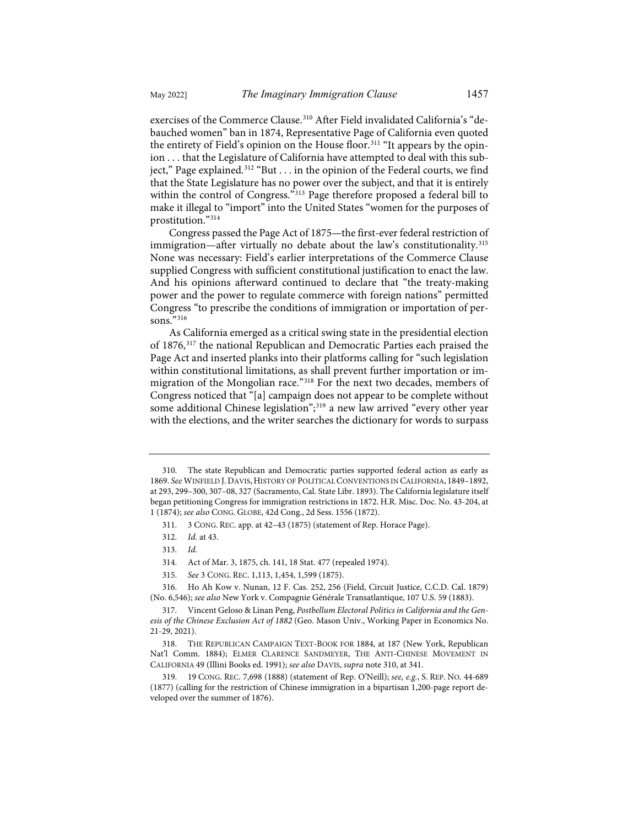<span id="page-38-0"></span>exercises of the Commerce Clause.[310](#page-38-1) After Field invalidated California's "debauched women" ban in 1874, Representative Page of California even quoted the entirety of Field's opinion on the House floor.<sup>[311](#page-38-2)</sup> "It appears by the opinion . . . that the Legislature of California have attempted to deal with this sub-ject," Page explained.<sup>[312](#page-38-3)</sup> "But . . . in the opinion of the Federal courts, we find that the State Legislature has no power over the subject, and that it is entirely

within the control of Congress."<sup>[313](#page-38-4)</sup> Page therefore proposed a federal bill to make it illegal to "import" into the United States "women for the purposes of prostitution."[314](#page-38-5) Congress passed the Page Act of 1875—the first-ever federal restriction of

immigration—after virtually no debate about the law's constitutionality.<sup>[315](#page-38-6)</sup> None was necessary: Field's earlier interpretations of the Commerce Clause supplied Congress with sufficient constitutional justification to enact the law. And his opinions afterward continued to declare that "the treaty-making power and the power to regulate commerce with foreign nations" permitted Congress "to prescribe the conditions of immigration or importation of per-sons."<sup>[316](#page-38-7)</sup>

As California emerged as a critical swing state in the presidential election of 1876,[317](#page-38-8) the national Republican and Democratic Parties each praised the Page Act and inserted planks into their platforms calling for "such legislation within constitutional limitations, as shall prevent further importation or immigration of the Mongolian race.["318](#page-38-9) For the next two decades, members of Congress noticed that "[a] campaign does not appear to be complete without some additional Chinese legislation";<sup>[319](#page-38-10)</sup> a new law arrived "every other year with the elections, and the writer searches the dictionary for words to surpass

<span id="page-38-2"></span><span id="page-38-1"></span><sup>310.</sup> The state Republican and Democratic parties supported federal action as early as 1869. *See* WINFIELD J. DAVIS,HISTORY OF POLITICAL CONVENTIONS IN CALIFORNIA, 1849–1892, at 293, 299–300, 307–08, 327 (Sacramento, Cal. State Libr. 1893). The California legislature itself began petitioning Congress for immigration restrictions in 1872. H.R. Misc. Doc. No. 43-204, at 1 (1874); *see also* CONG. GLOBE, 42d Cong., 2d Sess. 1556 (1872).

<sup>311. 3</sup> CONG. REC. app. at 42–43 (1875) (statement of Rep. Horace Page).

<sup>312.</sup> *Id.* at 43.

<sup>313.</sup> *Id.*

<sup>314.</sup> Act of Mar. 3, 1875, ch. 141, 18 Stat. 477 (repealed 1974).

<sup>315.</sup> *See* 3 CONG. REC. 1,113, 1,454, 1,599 (1875).

<span id="page-38-7"></span><span id="page-38-6"></span><span id="page-38-5"></span><span id="page-38-4"></span><span id="page-38-3"></span><sup>316.</sup> Ho Ah Kow v. Nunan, 12 F. Cas. 252, 256 (Field, Circuit Justice, C.C.D. Cal. 1879) (No. 6,546); *see also* New York v. Compagnie Générale Transatlantique, 107 U.S. 59 (1883).

<span id="page-38-8"></span><sup>317.</sup> Vincent Geloso & Linan Peng, *Postbellum Electoral Politics in California and the Genesis of the Chinese Exclusion Act of 1882* (Geo. Mason Univ., Working Paper in Economics No. 21-29, 2021).

<span id="page-38-9"></span><sup>318.</sup> THE REPUBLICAN CAMPAIGN TEXT-BOOK FOR 1884, at 187 (New York, Republican Nat'l Comm. 1884); ELMER CLARENCE SANDMEYER, THE ANTI-CHINESE MOVEMENT IN CALIFORNIA 49 (Illini Books ed. 1991); *see also* DAVIS, *supra* not[e 310,](#page-38-0) at 341.

<span id="page-38-10"></span><sup>319. 19</sup> CONG. REC. 7,698 (1888) (statement of Rep. O'Neill); *see, e.g.*, S. REP. NO. 44-689 (1877) (calling for the restriction of Chinese immigration in a bipartisan 1,200-page report developed over the summer of 1876).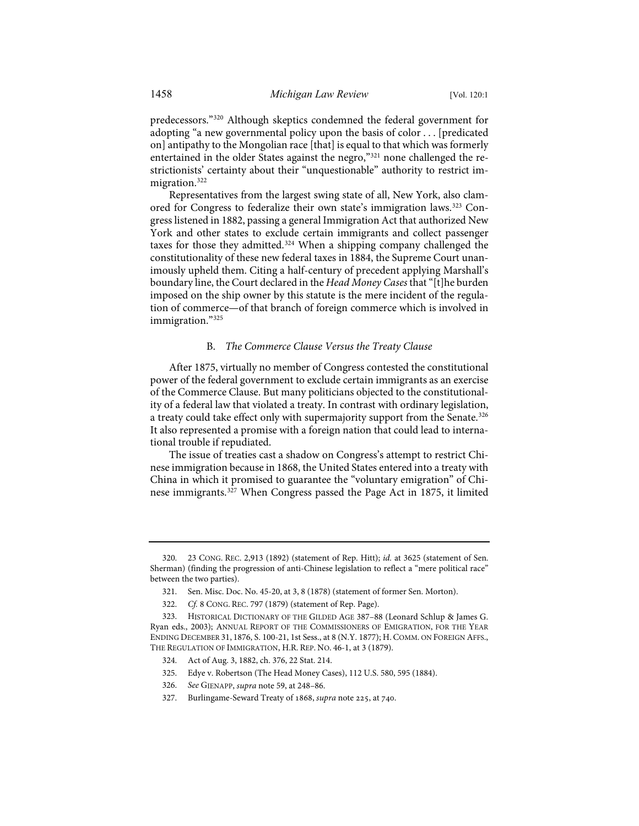predecessors."[320](#page-39-0) Although skeptics condemned the federal government for adopting "a new governmental policy upon the basis of color . . . [predicated on] antipathy to the Mongolian race [that] is equal to that which was formerly entertained in the older States against the negro,"[321](#page-39-1) none challenged the restrictionists' certainty about their "unquestionable" authority to restrict im-migration.<sup>[322](#page-39-2)</sup>

Representatives from the largest swing state of all, New York, also clamored for Congress to federalize their own state's immigration laws.<sup>323</sup> Congress listened in 1882, passing a general Immigration Act that authorized New York and other states to exclude certain immigrants and collect passenger taxes for those they admitted.<sup>[324](#page-39-4)</sup> When a shipping company challenged the constitutionality of these new federal taxes in 1884, the Supreme Court unanimously upheld them. Citing a half-century of precedent applying Marshall's boundary line, the Court declared in the *Head Money Cases* that "[t]he burden imposed on the ship owner by this statute is the mere incident of the regulation of commerce—of that branch of foreign commerce which is involved in immigration.["325](#page-39-5)

## B. *The Commerce Clause Versus the Treaty Clause*

After 1875, virtually no member of Congress contested the constitutional power of the federal government to exclude certain immigrants as an exercise of the Commerce Clause. But many politicians objected to the constitutionality of a federal law that violated a treaty. In contrast with ordinary legislation, a treaty could take effect only with supermajority support from the Senate.<sup>[326](#page-39-6)</sup> It also represented a promise with a foreign nation that could lead to international trouble if repudiated.

The issue of treaties cast a shadow on Congress's attempt to restrict Chinese immigration because in 1868, the United States entered into a treaty with China in which it promised to guarantee the "voluntary emigration" of Chinese immigrants.[327](#page-39-7) When Congress passed the Page Act in 1875, it limited

- 325. Edye v. Robertson (The Head Money Cases), 112 U.S. 580, 595 (1884).
- <span id="page-39-6"></span>326. *See* GIENAPP, *supra* note [59,](#page-10-0) at 248–86.
- <span id="page-39-7"></span>327. Burlingame-Seward Treaty of 1868, *supra* note 225, at 740.

<span id="page-39-0"></span><sup>320. 23</sup> CONG. REC. 2,913 (1892) (statement of Rep. Hitt); *id.* at 3625 (statement of Sen. Sherman) (finding the progression of anti-Chinese legislation to reflect a "mere political race" between the two parties).

<sup>321.</sup> Sen. Misc. Doc. No. 45-20, at 3, 8 (1878) (statement of former Sen. Morton).

<sup>322.</sup> *Cf.* 8 CONG. REC. 797 (1879) (statement of Rep. Page).

<span id="page-39-5"></span><span id="page-39-4"></span><span id="page-39-3"></span><span id="page-39-2"></span><span id="page-39-1"></span><sup>323.</sup> HISTORICAL DICTIONARY OF THE GILDED AGE 387–88 (Leonard Schlup & James G. Ryan eds., 2003); ANNUAL REPORT OF THE COMMISSIONERS OF EMIGRATION, FOR THE YEAR ENDING DECEMBER 31, 1876, S. 100-21, 1st Sess., at 8 (N.Y. 1877); H. COMM. ON FOREIGN AFFS., THE REGULATION OF IMMIGRATION, H.R. REP. NO. 46-1, at 3 (1879).

<sup>324.</sup> Act of Aug. 3, 1882, ch. 376, 22 Stat. 214.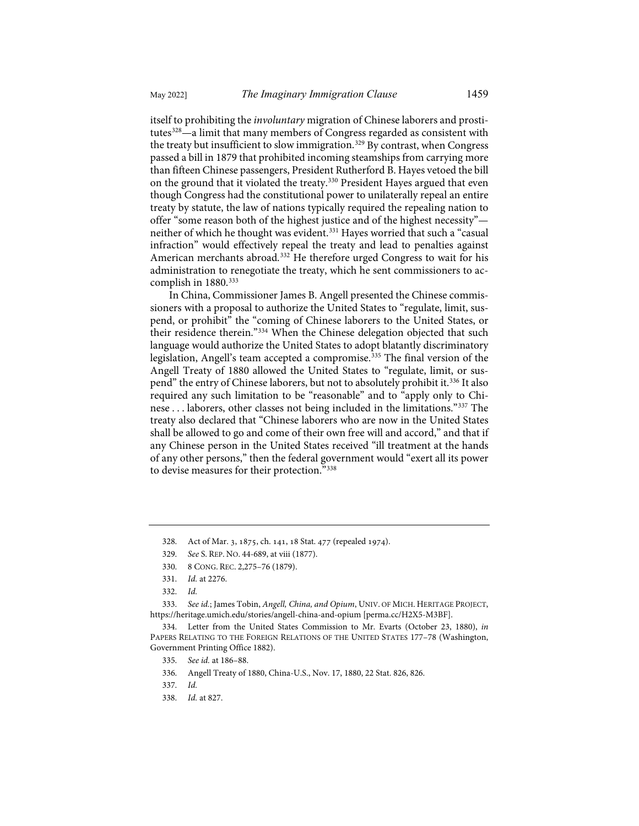itself to prohibiting the *involuntary* migration of Chinese laborers and prosti-tutes<sup>[328](#page-40-0)</sup>—a limit that many members of Congress regarded as consistent with the treaty but insufficient to slow immigration.<sup>[329](#page-40-1)</sup> By contrast, when Congress passed a bill in 1879 that prohibited incoming steamships from carrying more than fifteen Chinese passengers, President Rutherford B. Hayes vetoed the bill on the ground that it violated the treaty.<sup>[330](#page-40-2)</sup> President Hayes argued that even though Congress had the constitutional power to unilaterally repeal an entire treaty by statute, the law of nations typically required the repealing nation to offer "some reason both of the highest justice and of the highest necessity" neither of which he thought was evident.<sup>331</sup> Hayes worried that such a "casual infraction" would effectively repeal the treaty and lead to penalties against American merchants abroad.<sup>[332](#page-40-4)</sup> He therefore urged Congress to wait for his administration to renegotiate the treaty, which he sent commissioners to ac-complish in 1880.<sup>[333](#page-40-5)</sup>

<span id="page-40-11"></span>In China, Commissioner James B. Angell presented the Chinese commissioners with a proposal to authorize the United States to "regulate, limit, suspend, or prohibit" the "coming of Chinese laborers to the United States, or their residence therein."<sup>334</sup> When the Chinese delegation objected that such language would authorize the United States to adopt blatantly discriminatory legislation, Angell's team accepted a compromise.<sup>[335](#page-40-7)</sup> The final version of the Angell Treaty of 1880 allowed the United States to "regulate, limit, or suspend" the entry of Chinese laborers, but not to absolutely prohibit it.[336](#page-40-8) It also required any such limitation to be "reasonable" and to "apply only to Chinese . . . laborers, other classes not being included in the limitations."[337](#page-40-9) The treaty also declared that "Chinese laborers who are now in the United States shall be allowed to go and come of their own free will and accord," and that if any Chinese person in the United States received "ill treatment at the hands of any other persons," then the federal government would "exert all its power to devise measures for their protection."[338](#page-40-10)

330. 8 CONG. REC. 2,275–76 (1879).

<span id="page-40-5"></span><span id="page-40-4"></span><span id="page-40-3"></span><span id="page-40-2"></span><span id="page-40-1"></span><span id="page-40-0"></span>333. *See id.*; James Tobin, *Angell, China, and Opium*, UNIV. OF MICH. HERITAGE PROJECT, <https://heritage.umich.edu/stories/angell-china-and-opium>[\[perma.cc/H2X5-M3BF\]](https://perma.cc/H2X5-M3BF).

<span id="page-40-9"></span><span id="page-40-8"></span><span id="page-40-7"></span><span id="page-40-6"></span>334. Letter from the United States Commission to Mr. Evarts (October 23, 1880), *in* PAPERS RELATING TO THE FOREIGN RELATIONS OF THE UNITED STATES 177–78 (Washington, Government Printing Office 1882).

<sup>328.</sup> Act of Mar. 3, 1875, ch. 141, 18 Stat. 477 (repealed 1974).

<sup>329.</sup> *See* S. REP. NO. 44-689, at viii (1877).

<sup>331.</sup> *Id.* at 2276.

<sup>332.</sup> *Id.*

<sup>335.</sup> *See id.* at 186–88.

<sup>336.</sup> Angell Treaty of 1880, China-U.S., Nov. 17, 1880, 22 Stat. 826, 826.

<sup>337.</sup> *Id.*

<span id="page-40-10"></span><sup>338.</sup> *Id.* at 827.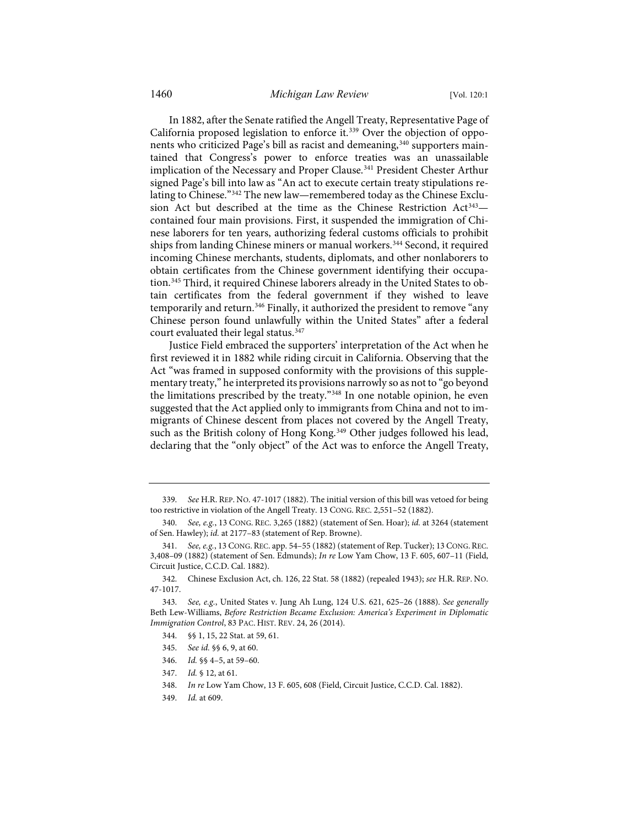<span id="page-41-11"></span>In 1882, after the Senate ratified the Angell Treaty, Representative Page of California proposed legislation to enforce it.<sup>[339](#page-41-0)</sup> Over the objection of oppo-nents who criticized Page's bill as racist and demeaning,<sup>[340](#page-41-1)</sup> supporters maintained that Congress's power to enforce treaties was an unassailable implication of the Necessary and Proper Clause.<sup>[341](#page-41-2)</sup> President Chester Arthur signed Page's bill into law as "An act to execute certain treaty stipulations re-lating to Chinese."<sup>[342](#page-41-3)</sup> The new law—remembered today as the Chinese Exclusion Act but described at the time as the Chinese Restriction  $Act^{343} Act^{343} Act^{343}$ contained four main provisions. First, it suspended the immigration of Chinese laborers for ten years, authorizing federal customs officials to prohibit ships from landing Chinese miners or manual workers.<sup>344</sup> Second, it required incoming Chinese merchants, students, diplomats, and other nonlaborers to obtain certificates from the Chinese government identifying their occupation.[345](#page-41-6) Third, it required Chinese laborers already in the United States to obtain certificates from the federal government if they wished to leave temporarily and return.<sup>[346](#page-41-7)</sup> Finally, it authorized the president to remove "any Chinese person found unlawfully within the United States" after a federal court evaluated their legal status.<sup>347</sup>

Justice Field embraced the supporters' interpretation of the Act when he first reviewed it in 1882 while riding circuit in California. Observing that the Act "was framed in supposed conformity with the provisions of this supplementary treaty," he interpreted its provisions narrowly so as not to "go beyond the limitations prescribed by the treaty."[348](#page-41-9) In one notable opinion, he even suggested that the Act applied only to immigrants from China and not to immigrants of Chinese descent from places not covered by the Angell Treaty, such as the British colony of Hong Kong.<sup>[349](#page-41-10)</sup> Other judges followed his lead, declaring that the "only object" of the Act was to enforce the Angell Treaty,

- 345. *See id.* §§ 6, 9, at 60.
- 346. *Id.* §§ 4–5, at 59–60.
- <span id="page-41-8"></span>347. *Id.* § 12, at 61.

<span id="page-41-10"></span>349. *Id.* at 609.

<span id="page-41-0"></span><sup>339.</sup> *See* H.R. REP. NO. 47-1017 (1882). The initial version of this bill was vetoed for being too restrictive in violation of the Angell Treaty. 13 CONG. REC. 2,551–52 (1882).

<span id="page-41-1"></span><sup>340.</sup> *See, e.g.*, 13 CONG. REC. 3,265 (1882) (statement of Sen. Hoar); *id.* at 3264 (statement of Sen. Hawley); *id.* at 2177–83 (statement of Rep. Browne).

<span id="page-41-2"></span><sup>341.</sup> *See, e.g.*, 13 CONG. REC. app. 54–55 (1882) (statement of Rep. Tucker); 13 CONG.REC. 3,408–09 (1882) (statement of Sen. Edmunds); *In re* Low Yam Chow, 13 F. 605, 607–11 (Field, Circuit Justice, C.C.D. Cal. 1882).

<span id="page-41-3"></span><sup>342.</sup> Chinese Exclusion Act, ch. 126, 22 Stat. 58 (1882) (repealed 1943); *see* H.R. REP. NO. 47-1017.

<span id="page-41-7"></span><span id="page-41-6"></span><span id="page-41-5"></span><span id="page-41-4"></span><sup>343.</sup> *See, e.g.*, United States v. Jung Ah Lung, 124 U.S. 621, 625–26 (1888). *See generally* Beth Lew-Williams, *Before Restriction Became Exclusion: America's Experiment in Diplomatic Immigration Control*, 83 PAC. HIST. REV. 24, 26 (2014).

<sup>344. §§</sup> 1, 15, 22 Stat. at 59, 61.

<span id="page-41-9"></span><sup>348.</sup> *In re* Low Yam Chow, 13 F. 605, 608 (Field, Circuit Justice, C.C.D. Cal. 1882).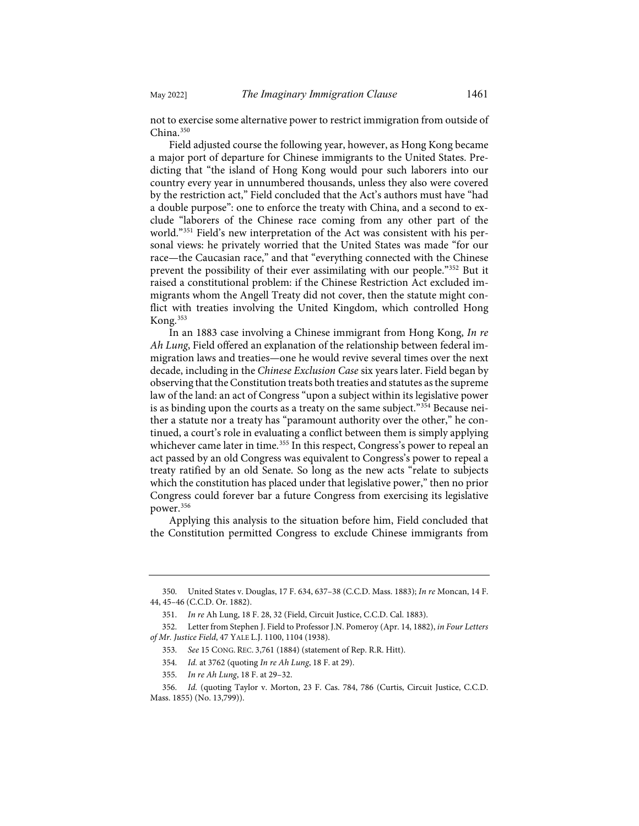not to exercise some alternative power to restrict immigration from outside of China.<sup>[350](#page-42-0)</sup>

Field adjusted course the following year, however, as Hong Kong became a major port of departure for Chinese immigrants to the United States. Predicting that "the island of Hong Kong would pour such laborers into our country every year in unnumbered thousands, unless they also were covered by the restriction act," Field concluded that the Act's authors must have "had a double purpose": one to enforce the treaty with China, and a second to exclude "laborers of the Chinese race coming from any other part of the world."[351](#page-42-1) Field's new interpretation of the Act was consistent with his personal views: he privately worried that the United States was made "for our race—the Caucasian race," and that "everything connected with the Chinese prevent the possibility of their ever assimilating with our people.["352](#page-42-2) But it raised a constitutional problem: if the Chinese Restriction Act excluded immigrants whom the Angell Treaty did not cover, then the statute might conflict with treaties involving the United Kingdom, which controlled Hong Kong.[353](#page-42-3)

In an 1883 case involving a Chinese immigrant from Hong Kong, *In re Ah Lung*, Field offered an explanation of the relationship between federal immigration laws and treaties—one he would revive several times over the next decade, including in the *Chinese Exclusion Case* six years later. Field began by observing that the Constitution treats both treaties and statutes as the supreme law of the land: an act of Congress "upon a subject within its legislative power is as binding upon the courts as a treaty on the same subject."[354](#page-42-4) Because neither a statute nor a treaty has "paramount authority over the other," he continued, a court's role in evaluating a conflict between them is simply applying whichever came later in time.<sup>[355](#page-42-5)</sup> In this respect, Congress's power to repeal an act passed by an old Congress was equivalent to Congress's power to repeal a treaty ratified by an old Senate. So long as the new acts "relate to subjects which the constitution has placed under that legislative power," then no prior Congress could forever bar a future Congress from exercising its legislative power.[356](#page-42-6)

Applying this analysis to the situation before him, Field concluded that the Constitution permitted Congress to exclude Chinese immigrants from

<span id="page-42-0"></span><sup>350.</sup> United States v. Douglas, 17 F. 634, 637–38 (C.C.D. Mass. 1883); *In re* Moncan, 14 F. 44, 45–46 (C.C.D. Or. 1882).

<sup>351.</sup> *In re* Ah Lung, 18 F. 28, 32 (Field, Circuit Justice, C.C.D. Cal. 1883).

<span id="page-42-3"></span><span id="page-42-2"></span><span id="page-42-1"></span><sup>352.</sup> Letter from Stephen J. Field to Professor J.N. Pomeroy (Apr. 14, 1882), *in Four Letters of Mr. Justice Field*, 47 YALE L.J. 1100, 1104 (1938).

<sup>353.</sup> *See* 15 CONG. REC. 3,761 (1884) (statement of Rep. R.R. Hitt).

<sup>354.</sup> *Id.* at 3762 (quoting *In re Ah Lung*, 18 F. at 29).

<sup>355.</sup> *In re Ah Lung*, 18 F. at 29–32.

<span id="page-42-6"></span><span id="page-42-5"></span><span id="page-42-4"></span><sup>356.</sup> *Id.* (quoting Taylor v. Morton, 23 F. Cas. 784, 786 (Curtis, Circuit Justice, C.C.D. Mass. 1855) (No. 13,799)).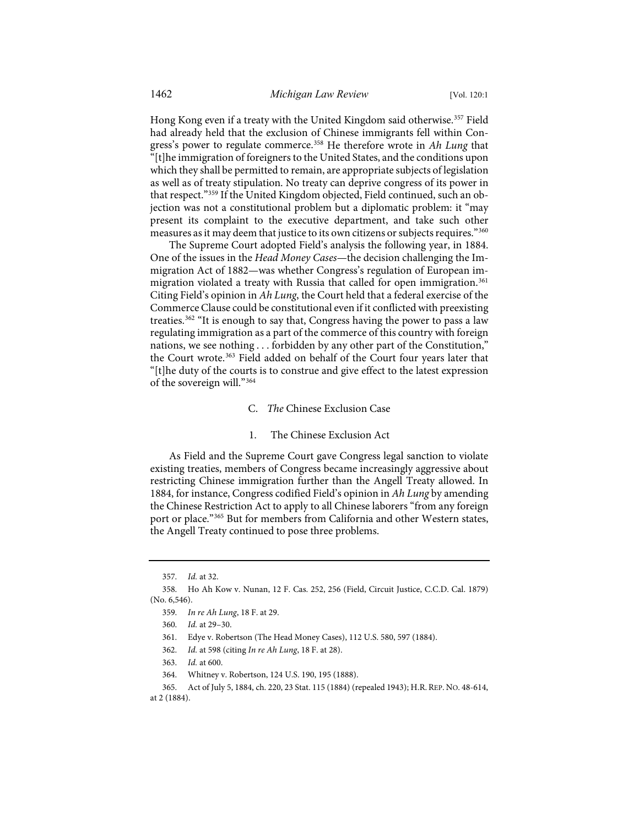Hong Kong even if a treaty with the United Kingdom said otherwise.<sup>[357](#page-43-0)</sup> Field had already held that the exclusion of Chinese immigrants fell within Congress's power to regulate commerce.[358](#page-43-1) He therefore wrote in *Ah Lung* that "[t]he immigration of foreigners to the United States, and the conditions upon which they shall be permitted to remain, are appropriate subjects of legislation as well as of treaty stipulation. No treaty can deprive congress of its power in that respect."[359](#page-43-2) If the United Kingdom objected, Field continued, such an objection was not a constitutional problem but a diplomatic problem: it "may present its complaint to the executive department, and take such other measures as it may deem that justice to its own citizens or subjects requires."<sup>[360](#page-43-3)</sup>

The Supreme Court adopted Field's analysis the following year, in 1884. One of the issues in the *Head Money Cases*—the decision challenging the Immigration Act of 1882—was whether Congress's regulation of European im-migration violated a treaty with Russia that called for open immigration.<sup>[361](#page-43-4)</sup> Citing Field's opinion in *Ah Lung*, the Court held that a federal exercise of the Commerce Clause could be constitutional even if it conflicted with preexisting treaties[.362](#page-43-5) "It is enough to say that, Congress having the power to pass a law regulating immigration as a part of the commerce of this country with foreign nations, we see nothing . . . forbidden by any other part of the Constitution," the Court wrote.<sup>[363](#page-43-6)</sup> Field added on behalf of the Court four years later that "[t]he duty of the courts is to construe and give effect to the latest expression of the sovereign will."[364](#page-43-7)

C. *The* Chinese Exclusion Case

### 1. The Chinese Exclusion Act

As Field and the Supreme Court gave Congress legal sanction to violate existing treaties, members of Congress became increasingly aggressive about restricting Chinese immigration further than the Angell Treaty allowed. In 1884, for instance, Congress codified Field's opinion in *Ah Lung* by amending the Chinese Restriction Act to apply to all Chinese laborers "from any foreign port or place."[365](#page-43-8) But for members from California and other Western states, the Angell Treaty continued to pose three problems.

<sup>357.</sup> *Id.* at 32.

<span id="page-43-4"></span><span id="page-43-3"></span><span id="page-43-2"></span><span id="page-43-1"></span><span id="page-43-0"></span><sup>358.</sup> Ho Ah Kow v. Nunan, 12 F. Cas. 252, 256 (Field, Circuit Justice, C.C.D. Cal. 1879) (No. 6,546).

<sup>359.</sup> *In re Ah Lung*, 18 F. at 29.

<sup>360.</sup> *Id.* at 29–30.

<sup>361.</sup> Edye v. Robertson (The Head Money Cases), 112 U.S. 580, 597 (1884).

<sup>362.</sup> *Id.* at 598 (citing *In re Ah Lung*, 18 F. at 28).

<sup>363.</sup> *Id.* at 600.

<sup>364.</sup> Whitney v. Robertson, 124 U.S. 190, 195 (1888).

<span id="page-43-8"></span><span id="page-43-7"></span><span id="page-43-6"></span><span id="page-43-5"></span><sup>365.</sup> Act of July 5, 1884, ch. 220, 23 Stat. 115 (1884) (repealed 1943); H.R. REP. NO. 48-614, at 2 (1884).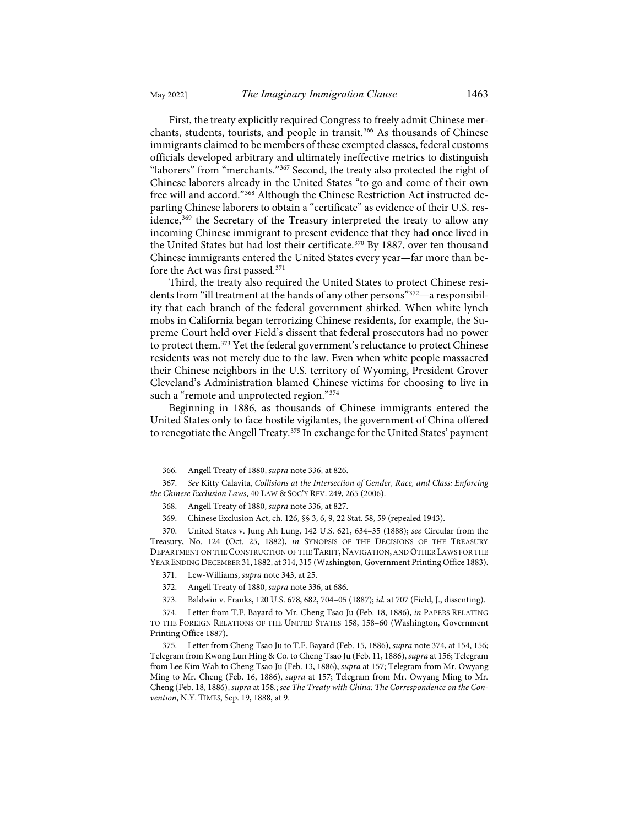First, the treaty explicitly required Congress to freely admit Chinese merchants, students, tourists, and people in transit.<sup>366</sup> As thousands of Chinese immigrants claimed to be members of these exempted classes, federal customs officials developed arbitrary and ultimately ineffective metrics to distinguish "laborers" from "merchants."<sup>[367](#page-44-2)</sup> Second, the treaty also protected the right of Chinese laborers already in the United States "to go and come of their own free will and accord."[368](#page-44-3) Although the Chinese Restriction Act instructed departing Chinese laborers to obtain a "certificate" as evidence of their U.S. res-idence,<sup>[369](#page-44-4)</sup> the Secretary of the Treasury interpreted the treaty to allow any incoming Chinese immigrant to present evidence that they had once lived in the United States but had lost their certificate.<sup>[370](#page-44-5)</sup> By 1887, over ten thousand Chinese immigrants entered the United States every year—far more than before the Act was first passed.[371](#page-44-6)

Third, the treaty also required the United States to protect Chinese residents from "ill treatment at the hands of any other persons"[372—](#page-44-7)a responsibility that each branch of the federal government shirked. When white lynch mobs in California began terrorizing Chinese residents, for example, the Supreme Court held over Field's dissent that federal prosecutors had no power to protect them.[373](#page-44-8) Yet the federal government's reluctance to protect Chinese residents was not merely due to the law. Even when white people massacred their Chinese neighbors in the U.S. territory of Wyoming, President Grover Cleveland's Administration blamed Chinese victims for choosing to live in such a "remote and unprotected region." [374](#page-44-9)

<span id="page-44-0"></span>Beginning in 1886, as thousands of Chinese immigrants entered the United States only to face hostile vigilantes, the government of China offered to renegotiate the Angell Treaty.<sup>375</sup> In exchange for the United States' payment

<span id="page-44-5"></span><span id="page-44-4"></span>370. United States v. Jung Ah Lung, 142 U.S. 621, 634–35 (1888); *see* Circular from the Treasury, No. 124 (Oct. 25, 1882), *in* SYNOPSIS OF THE DECISIONS OF THE TREASURY DEPARTMENT ON THE CONSTRUCTION OF THE TARIFF, NAVIGATION, AND OTHER LAWS FOR THE YEAR ENDING DECEMBER 31, 1882, at 314, 315 (Washington, Government Printing Office 1883).

<sup>366.</sup> Angell Treaty of 1880, *supra* not[e 336,](#page-40-11) at 826.

<span id="page-44-3"></span><span id="page-44-2"></span><span id="page-44-1"></span><sup>367.</sup> *See* Kitty Calavita, *Collisions at the Intersection of Gender, Race, and Class: Enforcing the Chinese Exclusion Laws*, 40 LAW & SOC'Y REV. 249, 265 (2006).

<sup>368.</sup> Angell Treaty of 1880, *supra* not[e 336,](#page-40-11) at 827.

<sup>369.</sup> Chinese Exclusion Act, ch. 126, §§ 3, 6, 9, 22 Stat. 58, 59 (repealed 1943).

<sup>371.</sup> Lew-Williams, *supra* not[e 343,](#page-41-11) at 25.

<sup>372.</sup> Angell Treaty of 1880, *supra* not[e 336,](#page-40-11) at 686.

<sup>373.</sup> Baldwin v. Franks, 120 U.S. 678, 682, 704–05 (1887); *id.* at 707 (Field, J., dissenting).

<span id="page-44-9"></span><span id="page-44-8"></span><span id="page-44-7"></span><span id="page-44-6"></span><sup>374.</sup> Letter from T.F. Bayard to Mr. Cheng Tsao Ju (Feb. 18, 1886), *in* PAPERS RELATING TO THE FOREIGN RELATIONS OF THE UNITED STATES 158, 158–60 (Washington, Government Printing Office 1887).

<span id="page-44-10"></span><sup>375.</sup> Letter from Cheng Tsao Ju to T.F. Bayard (Feb. 15, 1886), *supra* not[e 374,](#page-44-0) at 154, 156; Telegram from Kwong Lun Hing & Co. to Cheng Tsao Ju (Feb. 11, 1886), *supra* at 156; Telegram from Lee Kim Wah to Cheng Tsao Ju (Feb. 13, 1886), *supra* at 157; Telegram from Mr. Owyang Ming to Mr. Cheng (Feb. 16, 1886), *supra* at 157; Telegram from Mr. Owyang Ming to Mr. Cheng (Feb. 18, 1886), *supra* at 158.; *see The Treaty with China: The Correspondence on the Convention*, N.Y. TIMES, Sep. 19, 1888, at 9.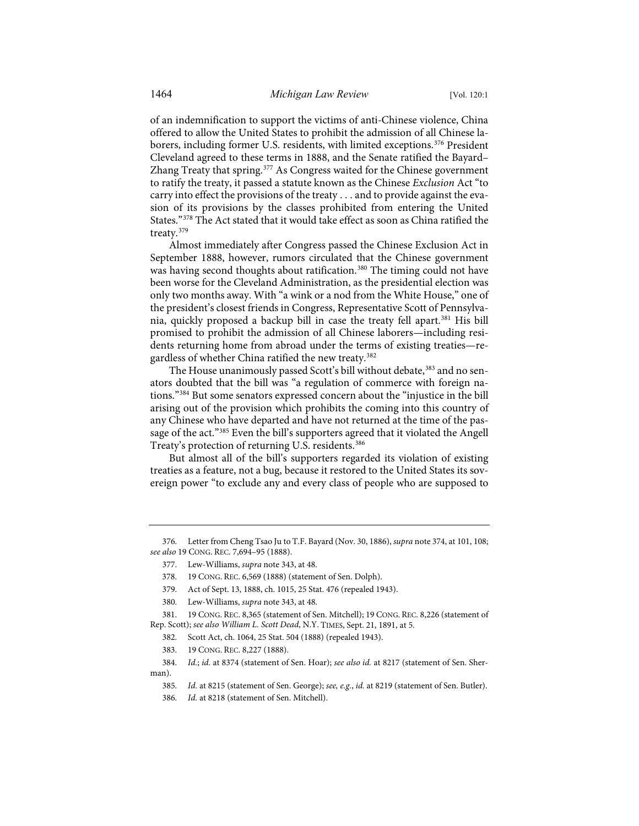of an indemnification to support the victims of anti-Chinese violence, China offered to allow the United States to prohibit the admission of all Chinese laborers, including former U.S. residents, with limited exceptions.[376](#page-45-0) President Cleveland agreed to these terms in 1888, and the Senate ratified the Bayard– Zhang Treaty that spring.<sup>377</sup> As Congress waited for the Chinese government to ratify the treaty, it passed a statute known as the Chinese *Exclusion* Act "to carry into effect the provisions of the treaty . . . and to provide against the evasion of its provisions by the classes prohibited from entering the United States.["378](#page-45-2) The Act stated that it would take effect as soon as China ratified the treaty.[379](#page-45-3)

Almost immediately after Congress passed the Chinese Exclusion Act in September 1888, however, rumors circulated that the Chinese government was having second thoughts about ratification.<sup>[380](#page-45-4)</sup> The timing could not have been worse for the Cleveland Administration, as the presidential election was only two months away. With "a wink or a nod from the White House," one of the president's closest friends in Congress, Representative Scott of Pennsylva-nia, quickly proposed a backup bill in case the treaty fell apart.<sup>[381](#page-45-5)</sup> His bill promised to prohibit the admission of all Chinese laborers—including residents returning home from abroad under the terms of existing treaties—re-gardless of whether China ratified the new treaty.<sup>[382](#page-45-6)</sup>

The House unanimously passed Scott's bill without debate,<sup>[383](#page-45-7)</sup> and no senators doubted that the bill was "a regulation of commerce with foreign nations."[384](#page-45-8) But some senators expressed concern about the "injustice in the bill arising out of the provision which prohibits the coming into this country of any Chinese who have departed and have not returned at the time of the pas-sage of the act."<sup>[385](#page-45-9)</sup> Even the bill's supporters agreed that it violated the Angell Treaty's protection of returning U.S. residents.<sup>386</sup>

But almost all of the bill's supporters regarded its violation of existing treaties as a feature, not a bug, because it restored to the United States its sovereign power "to exclude any and every class of people who are supposed to

<span id="page-45-1"></span><span id="page-45-0"></span><sup>376.</sup> Letter from Cheng Tsao Ju to T.F. Bayard (Nov. 30, 1886), *supra* not[e 374,](#page-44-0) at 101, 108; *see also* 19 CONG. REC. 7,694–95 (1888).

<sup>377.</sup> Lew-Williams, *supra* not[e 343,](#page-41-11) at 48.

<sup>378. 19</sup> CONG. REC. 6,569 (1888) (statement of Sen. Dolph).

<sup>379.</sup> Act of Sept. 13, 1888, ch. 1015, 25 Stat. 476 (repealed 1943).

<sup>380.</sup> Lew-Williams, *supra* not[e 343,](#page-41-11) at 48.

<span id="page-45-6"></span><span id="page-45-5"></span><span id="page-45-4"></span><span id="page-45-3"></span><span id="page-45-2"></span><sup>381. 19</sup> CONG. REC. 8,365 (statement of Sen. Mitchell); 19 CONG. REC. 8,226 (statement of Rep. Scott); *see also William L. Scott Dead*, N.Y. TIMES, Sept. 21, 1891, at 5.

<sup>382.</sup> Scott Act, ch. 1064, 25 Stat. 504 (1888) (repealed 1943).

<sup>383. 19</sup> CONG. REC. 8,227 (1888).

<span id="page-45-10"></span><span id="page-45-9"></span><span id="page-45-8"></span><span id="page-45-7"></span><sup>384.</sup> *Id.*; *id.* at 8374 (statement of Sen. Hoar); *see also id.* at 8217 (statement of Sen. Sherman).

<sup>385.</sup> *Id.* at 8215 (statement of Sen. George); *see, e.g.*, *id.* at 8219 (statement of Sen. Butler).

<sup>386.</sup> *Id.* at 8218 (statement of Sen. Mitchell).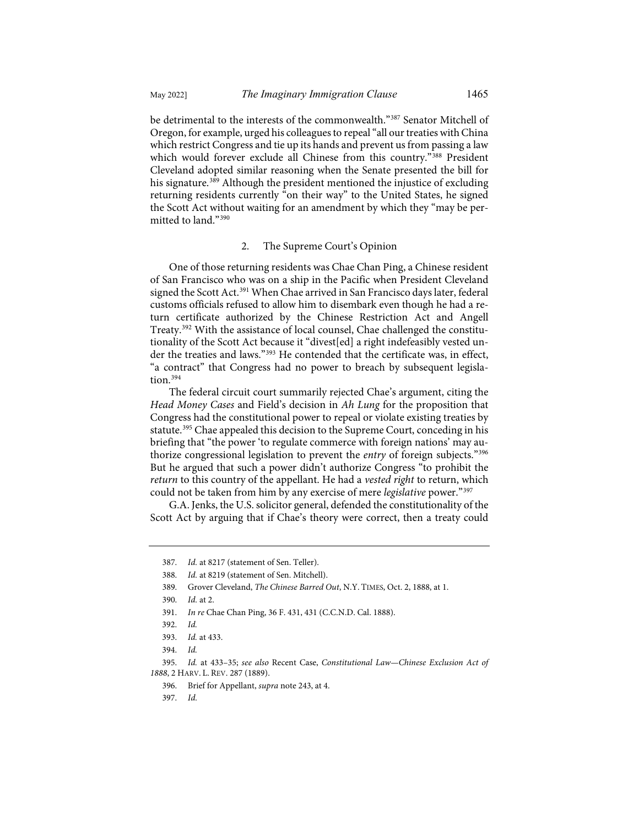be detrimental to the interests of the commonwealth.["387](#page-46-0) Senator Mitchell of Oregon, for example, urged his colleagues to repeal "all our treaties with China which restrict Congress and tie up its hands and prevent us from passing a law which would forever exclude all Chinese from this country."<sup>[388](#page-46-1)</sup> President Cleveland adopted similar reasoning when the Senate presented the bill for his signature.<sup>[389](#page-46-2)</sup> Although the president mentioned the injustice of excluding returning residents currently "on their way" to the United States, he signed the Scott Act without waiting for an amendment by which they "may be permitted to land."[390](#page-46-3)

## 2. The Supreme Court's Opinion

One of those returning residents was Chae Chan Ping, a Chinese resident of San Francisco who was on a ship in the Pacific when President Cleveland signed the Scott Act.<sup>[391](#page-46-4)</sup> When Chae arrived in San Francisco days later, federal customs officials refused to allow him to disembark even though he had a return certificate authorized by the Chinese Restriction Act and Angell Treaty[.392](#page-46-5) With the assistance of local counsel, Chae challenged the constitutionality of the Scott Act because it "divest[ed] a right indefeasibly vested under the treaties and laws."[393](#page-46-6) He contended that the certificate was, in effect, "a contract" that Congress had no power to breach by subsequent legisla-tion.<sup>[394](#page-46-7)</sup>

The federal circuit court summarily rejected Chae's argument, citing the *Head Money Cases* and Field's decision in *Ah Lung* for the proposition that Congress had the constitutional power to repeal or violate existing treaties by statute.<sup>[395](#page-46-8)</sup> Chae appealed this decision to the Supreme Court, conceding in his briefing that "the power 'to regulate commerce with foreign nations' may authorize congressional legislation to prevent the *entry* of foreign subjects."[396](#page-46-9) But he argued that such a power didn't authorize Congress "to prohibit the *return* to this country of the appellant. He had a *vested right* to return, which could not be taken from him by any exercise of mere *legislative* power."[397](#page-46-10)

<span id="page-46-0"></span>G.A. Jenks, the U.S. solicitor general, defended the constitutionality of the Scott Act by arguing that if Chae's theory were correct, then a treaty could

394. *Id.*

397. *Id.*

<span id="page-46-1"></span><sup>387.</sup> *Id.* at 8217 (statement of Sen. Teller).

<sup>388.</sup> *Id.* at 8219 (statement of Sen. Mitchell).

<span id="page-46-2"></span><sup>389.</sup> Grover Cleveland, *The Chinese Barred Out*, N.Y. TIMES, Oct. 2, 1888, at 1.

<sup>390.</sup> *Id.* at 2.

<span id="page-46-3"></span><sup>391.</sup> *In re* Chae Chan Ping, 36 F. 431, 431 (C.C.N.D. Cal. 1888).

<sup>392.</sup> *Id.*

<sup>393.</sup> *Id.* at 433.

<span id="page-46-10"></span><span id="page-46-9"></span><span id="page-46-8"></span><span id="page-46-7"></span><span id="page-46-6"></span><span id="page-46-5"></span><span id="page-46-4"></span><sup>395.</sup> *Id.* at 433–35; *see also* Recent Case, *Constitutional Law—Chinese Exclusion Act of 1888*, 2 HARV. L. REV. 287 (1889).

<sup>396.</sup> Brief for Appellant, *supra* not[e 243,](#page-30-0) at 4.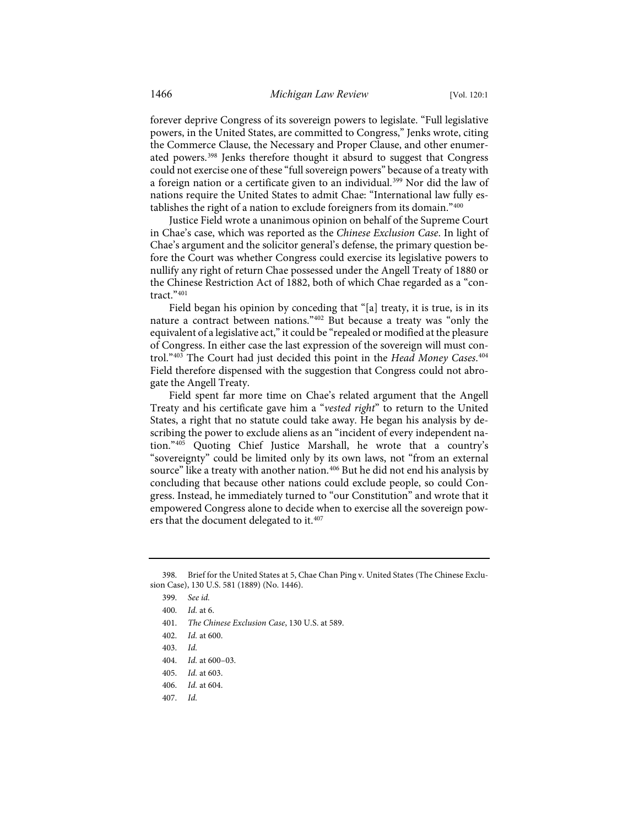forever deprive Congress of its sovereign powers to legislate. "Full legislative powers, in the United States, are committed to Congress," Jenks wrote, citing the Commerce Clause, the Necessary and Proper Clause, and other enumerated powers.[398](#page-47-0) Jenks therefore thought it absurd to suggest that Congress could not exercise one of these "full sovereign powers" because of a treaty with a foreign nation or a certificate given to an individual.<sup>[399](#page-47-1)</sup> Nor did the law of nations require the United States to admit Chae: "International law fully es-tablishes the right of a nation to exclude foreigners from its domain."[400](#page-47-2)

Justice Field wrote a unanimous opinion on behalf of the Supreme Court in Chae's case, which was reported as the *Chinese Exclusion Case*. In light of Chae's argument and the solicitor general's defense, the primary question before the Court was whether Congress could exercise its legislative powers to nullify any right of return Chae possessed under the Angell Treaty of 1880 or the Chinese Restriction Act of 1882, both of which Chae regarded as a "contract."[401](#page-47-3)

<span id="page-47-10"></span>Field began his opinion by conceding that "[a] treaty, it is true, is in its nature a contract between nations."[402](#page-47-4) But because a treaty was "only the equivalent of a legislative act," it could be "repealed or modified at the pleasure of Congress. In either case the last expression of the sovereign will must control."[403](#page-47-5) The Court had just decided this point in the *Head Money Cases*. [404](#page-47-6) Field therefore dispensed with the suggestion that Congress could not abrogate the Angell Treaty.

Field spent far more time on Chae's related argument that the Angell Treaty and his certificate gave him a "*vested right*" to return to the United States, a right that no statute could take away. He began his analysis by describing the power to exclude aliens as an "incident of every independent nation."[405](#page-47-7) Quoting Chief Justice Marshall, he wrote that a country's "sovereignty" could be limited only by its own laws, not "from an external source" like a treaty with another nation.<sup>[406](#page-47-8)</sup> But he did not end his analysis by concluding that because other nations could exclude people, so could Congress. Instead, he immediately turned to "our Constitution" and wrote that it empowered Congress alone to decide when to exercise all the sovereign pow-ers that the document delegated to it.<sup>[407](#page-47-9)</sup>

<span id="page-47-7"></span>405. *Id.* at 603.

<span id="page-47-4"></span><span id="page-47-3"></span><span id="page-47-2"></span><span id="page-47-1"></span><span id="page-47-0"></span><sup>398.</sup> Brief for the United States at 5, Chae Chan Ping v. United States (The Chinese Exclusion Case), 130 U.S. 581 (1889) (No. 1446).

<sup>399.</sup> *See id.*

<sup>400.</sup> *Id.* at 6.

<sup>401.</sup> *The Chinese Exclusion Case*, 130 U.S. at 589.

<sup>402.</sup> *Id.* at 600.

<span id="page-47-5"></span><sup>403.</sup> *Id.*

<span id="page-47-6"></span><sup>404.</sup> *Id.* at 600–03.

<span id="page-47-8"></span><sup>406.</sup> *Id.* at 604.

<span id="page-47-9"></span><sup>407.</sup> *Id.*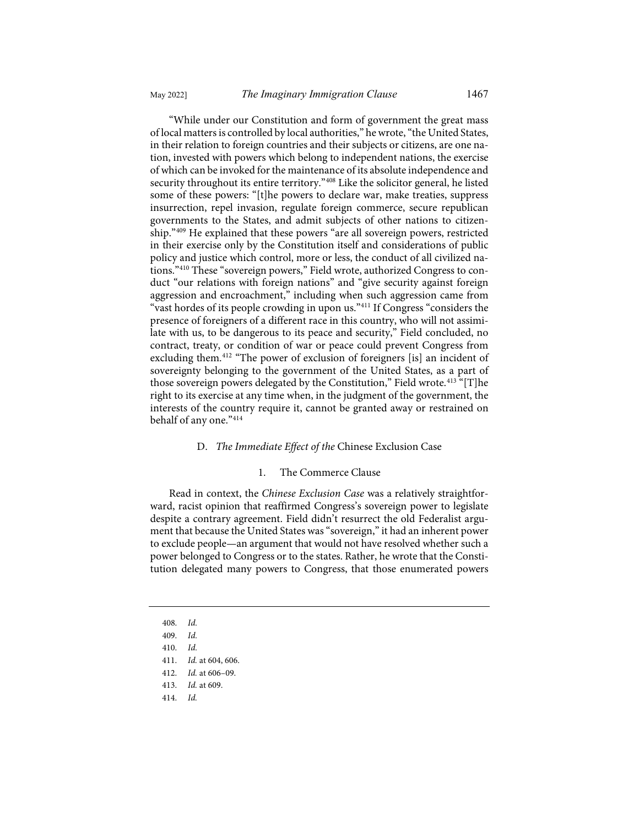"While under our Constitution and form of government the great mass of local matters is controlled by local authorities," he wrote, "the United States, in their relation to foreign countries and their subjects or citizens, are one nation, invested with powers which belong to independent nations, the exercise of which can be invoked for the maintenance of its absolute independence and security throughout its entire territory."<sup>408</sup> Like the solicitor general, he listed some of these powers: "[t]he powers to declare war, make treaties, suppress insurrection, repel invasion, regulate foreign commerce, secure republican governments to the States, and admit subjects of other nations to citizenship."[409](#page-48-1) He explained that these powers "are all sovereign powers, restricted in their exercise only by the Constitution itself and considerations of public policy and justice which control, more or less, the conduct of all civilized nations."[410](#page-48-2) These "sovereign powers," Field wrote, authorized Congress to conduct "our relations with foreign nations" and "give security against foreign aggression and encroachment," including when such aggression came from "vast hordes of its people crowding in upon us."<sup>[411](#page-48-3)</sup> If Congress "considers the presence of foreigners of a different race in this country, who will not assimilate with us, to be dangerous to its peace and security," Field concluded, no contract, treaty, or condition of war or peace could prevent Congress from excluding them.[412](#page-48-4) "The power of exclusion of foreigners [is] an incident of sovereignty belonging to the government of the United States, as a part of those sovereign powers delegated by the Constitution," Field wrote.<sup>[413](#page-48-5)</sup> "[T]he right to its exercise at any time when, in the judgment of the government, the interests of the country require it, cannot be granted away or restrained on behalf of any one."[414](#page-48-6)

## <span id="page-48-7"></span>D. *The Immediate Effect of the* Chinese Exclusion Case

# 1. The Commerce Clause

Read in context, the *Chinese Exclusion Case* was a relatively straightforward, racist opinion that reaffirmed Congress's sovereign power to legislate despite a contrary agreement. Field didn't resurrect the old Federalist argument that because the United States was "sovereign," it had an inherent power to exclude people—an argument that would not have resolved whether such a power belonged to Congress or to the states. Rather, he wrote that the Constitution delegated many powers to Congress, that those enumerated powers

- 408. *Id.*
- 409. *Id.*

- 412. *Id.* at 606–09.
- <span id="page-48-5"></span>413. *Id.* at 609.
- <span id="page-48-6"></span>414. *Id.*

<span id="page-48-4"></span><span id="page-48-3"></span><span id="page-48-2"></span><span id="page-48-1"></span><span id="page-48-0"></span><sup>410.</sup> *Id.*

<sup>411.</sup> *Id.* at 604, 606.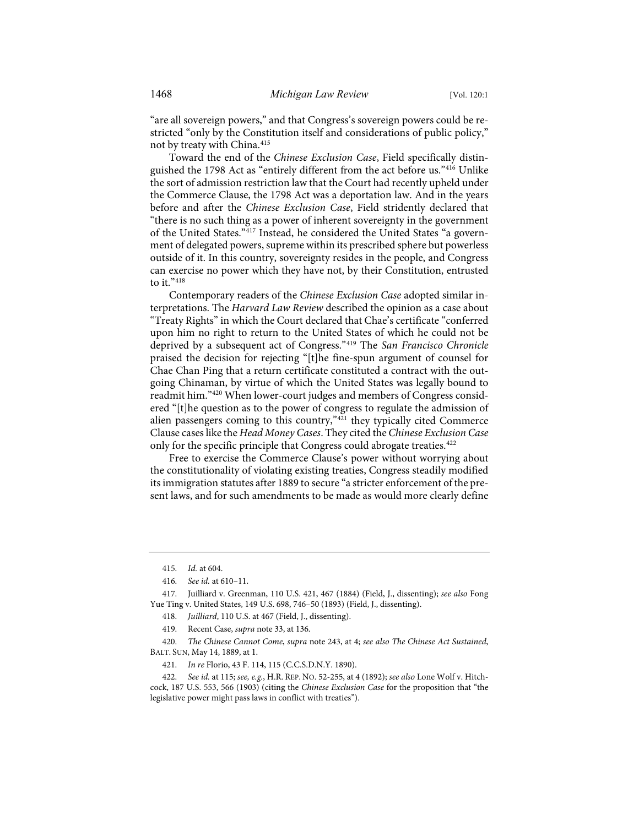"are all sovereign powers," and that Congress's sovereign powers could be restricted "only by the Constitution itself and considerations of public policy," not by treaty with China.<sup>[415](#page-49-0)</sup>

Toward the end of the *Chinese Exclusion Case*, Field specifically distinguished the 1798 Act as "entirely different from the act before us."[416](#page-49-1) Unlike the sort of admission restriction law that the Court had recently upheld under the Commerce Clause, the 1798 Act was a deportation law. And in the years before and after the *Chinese Exclusion Case*, Field stridently declared that "there is no such thing as a power of inherent sovereignty in the government of the United States."[417](#page-49-2) Instead, he considered the United States "a government of delegated powers, supreme within its prescribed sphere but powerless outside of it. In this country, sovereignty resides in the people, and Congress can exercise no power which they have not, by their Constitution, entrusted to it."[418](#page-49-3)

Contemporary readers of the *Chinese Exclusion Case* adopted similar interpretations. The *Harvard Law Review* described the opinion as a case about "Treaty Rights" in which the Court declared that Chae's certificate "conferred upon him no right to return to the United States of which he could not be deprived by a subsequent act of Congress."[419](#page-49-4) The *San Francisco Chronicle* praised the decision for rejecting "[t]he fine-spun argument of counsel for Chae Chan Ping that a return certificate constituted a contract with the outgoing Chinaman, by virtue of which the United States was legally bound to readmit him."[420](#page-49-5) When lower-court judges and members of Congress considered "[t]he question as to the power of congress to regulate the admission of alien passengers coming to this country,["421](#page-49-6) they typically cited Commerce Clause cases like the *Head Money Cases*. They cited the *Chinese Exclusion Case* only for the specific principle that Congress could abrogate treaties.<sup>[422](#page-49-7)</sup>

Free to exercise the Commerce Clause's power without worrying about the constitutionality of violating existing treaties, Congress steadily modified its immigration statutes after 1889 to secure "a stricter enforcement of the present laws, and for such amendments to be made as would more clearly define

<sup>415.</sup> *Id.* at 604.

<sup>416.</sup> *See id.* at 610–11.

<span id="page-49-3"></span><span id="page-49-2"></span><span id="page-49-1"></span><span id="page-49-0"></span><sup>417.</sup> Juilliard v. Greenman, 110 U.S. 421, 467 (1884) (Field, J., dissenting); *see also* Fong Yue Ting v. United States, 149 U.S. 698, 746–50 (1893) (Field, J., dissenting).

<sup>418.</sup> *Juilliard*, 110 U.S. at 467 (Field, J., dissenting).

<sup>419.</sup> Recent Case, *supra* not[e 33,](#page-6-0) at 136.

<span id="page-49-5"></span><span id="page-49-4"></span><sup>420.</sup> *The Chinese Cannot Come*, *supra* note [243,](#page-30-0) at 4; *see also The Chinese Act Sustained*, BALT. SUN, May 14, 1889, at 1.

<sup>421.</sup> *In re* Florio, 43 F. 114, 115 (C.C.S.D.N.Y. 1890).

<span id="page-49-7"></span><span id="page-49-6"></span><sup>422.</sup> *See id.* at 115; *see, e.g.*, H.R. REP. NO. 52-255, at 4 (1892); *see also* Lone Wolf v. Hitchcock, 187 U.S. 553, 566 (1903) (citing the *Chinese Exclusion Case* for the proposition that "the legislative power might pass laws in conflict with treaties").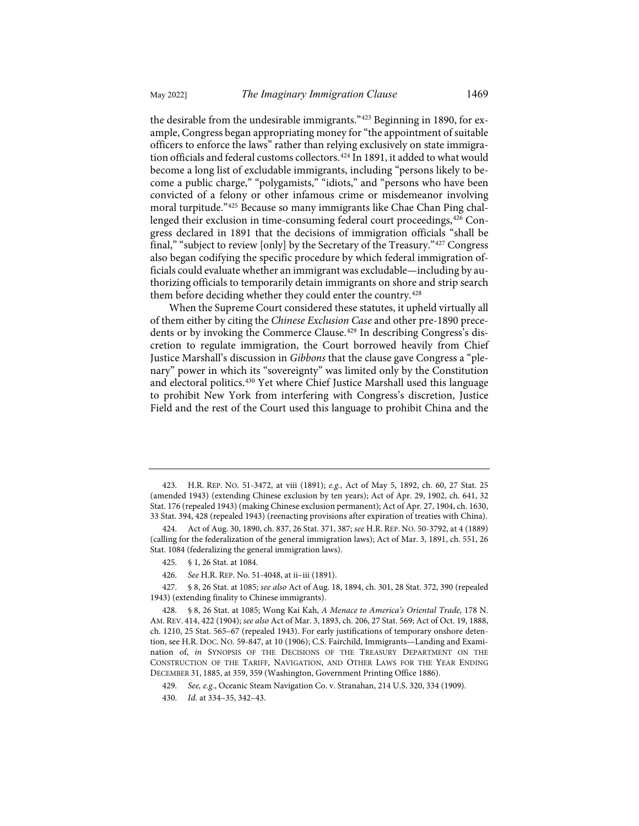the desirable from the undesirable immigrants."[423](#page-50-0) Beginning in 1890, for example, Congress began appropriating money for "the appointment of suitable officers to enforce the laws" rather than relying exclusively on state immigra-tion officials and federal customs collectors.<sup>[424](#page-50-1)</sup> In 1891, it added to what would become a long list of excludable immigrants, including "persons likely to become a public charge," "polygamists," "idiots," and "persons who have been convicted of a felony or other infamous crime or misdemeanor involving moral turpitude."[425](#page-50-2) Because so many immigrants like Chae Chan Ping chal-lenged their exclusion in time-consuming federal court proceedings,<sup>[426](#page-50-3)</sup> Congress declared in 1891 that the decisions of immigration officials "shall be final," "subject to review [only] by the Secretary of the Treasury."[427](#page-50-4) Congress also began codifying the specific procedure by which federal immigration officials could evaluate whether an immigrant was excludable—including by authorizing officials to temporarily detain immigrants on shore and strip search them before deciding whether they could enter the country.<sup>[428](#page-50-5)</sup>

When the Supreme Court considered these statutes, it upheld virtually all of them either by citing the *Chinese Exclusion Case* and other pre-1890 prece-dents or by invoking the Commerce Clause.<sup>[429](#page-50-6)</sup> In describing Congress's discretion to regulate immigration, the Court borrowed heavily from Chief Justice Marshall's discussion in *Gibbons* that the clause gave Congress a "plenary" power in which its "sovereignty" was limited only by the Constitution and electoral politics.[430](#page-50-7) Yet where Chief Justice Marshall used this language to prohibit New York from interfering with Congress's discretion, Justice Field and the rest of the Court used this language to prohibit China and the

<span id="page-50-0"></span><sup>423.</sup> H.R. REP. NO. 51-3472, at viii (1891); *e.g.*, Act of May 5, 1892, ch. 60, 27 Stat. 25 (amended 1943) (extending Chinese exclusion by ten years); Act of Apr. 29, 1902, ch. 641, 32 Stat. 176 (repealed 1943) (making Chinese exclusion permanent); Act of Apr. 27, 1904, ch. 1630, 33 Stat. 394, 428 (repealed 1943) (reenacting provisions after expiration of treaties with China).

<span id="page-50-1"></span><sup>424.</sup> Act of Aug. 30, 1890, ch. 837, 26 Stat. 371, 387; *see* H.R. REP. NO. 50-3792, at 4 (1889) (calling for the federalization of the general immigration laws); Act of Mar. 3, 1891, ch. 551, 26 Stat. 1084 (federalizing the general immigration laws).

<sup>425. § 1, 26</sup> Stat. at 1084.

<sup>426.</sup> *See* H.R. REP. No. 51-4048, at ii–iii (1891).

<span id="page-50-4"></span><span id="page-50-3"></span><span id="page-50-2"></span><sup>427. § 8, 26</sup> Stat. at 1085; *see also* Act of Aug. 18, 1894, ch. 301, 28 Stat. 372, 390 (repealed 1943) (extending finality to Chinese immigrants).

<span id="page-50-5"></span><sup>428. § 8, 26</sup> Stat. at 1085; Wong Kai Kah, *A Menace to America's Oriental Trade*, 178 N. AM. REV. 414, 422 (1904); *see also* Act of Mar. 3, 1893, ch. 206, 27 Stat. 569; Act of Oct. 19, 1888, ch. 1210, 25 Stat. 565–67 (repealed 1943). For early justifications of temporary onshore detention, see H.R. DOC. NO. 59-847, at 10 (1906); C.S. Fairchild, Immigrants—Landing and Examination of, *in* SYNOPSIS OF THE DECISIONS OF THE TREASURY DEPARTMENT ON THE CONSTRUCTION OF THE TARIFF, NAVIGATION, AND OTHER LAWS FOR THE YEAR ENDING DECEMBER 31, 1885, at 359, 359 (Washington, Government Printing Office 1886).

<span id="page-50-6"></span><sup>429.</sup> *See, e.g.*, Oceanic Steam Navigation Co. v. Stranahan, 214 U.S. 320, 334 (1909).

<span id="page-50-7"></span><sup>430.</sup> *Id.* at 334–35, 342–43.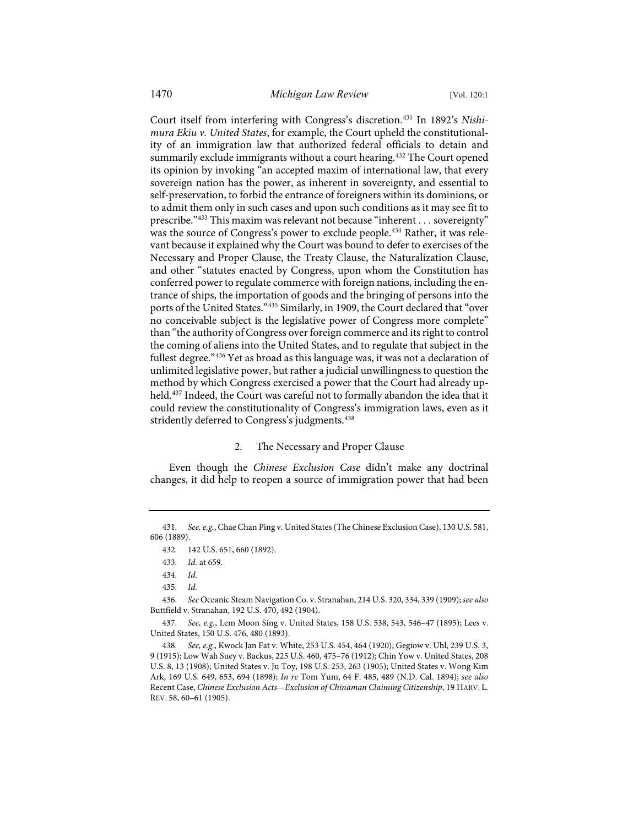<span id="page-51-8"></span>Court itself from interfering with Congress's discretion.[431](#page-51-0) In 1892's *Nishimura Ekiu v. United States*, for example, the Court upheld the constitutionality of an immigration law that authorized federal officials to detain and summarily exclude immigrants without a court hearing.<sup>[432](#page-51-1)</sup> The Court opened its opinion by invoking "an accepted maxim of international law, that every sovereign nation has the power, as inherent in sovereignty, and essential to self-preservation, to forbid the entrance of foreigners within its dominions, or to admit them only in such cases and upon such conditions as it may see fit to prescribe."[433](#page-51-2) This maxim was relevant not because "inherent . . . sovereignty" was the source of Congress's power to exclude people.<sup>434</sup> Rather, it was relevant because it explained why the Court was bound to defer to exercises of the Necessary and Proper Clause, the Treaty Clause, the Naturalization Clause, and other "statutes enacted by Congress, upon whom the Constitution has conferred power to regulate commerce with foreign nations, including the entrance of ships, the importation of goods and the bringing of persons into the ports of the United States."[435](#page-51-4) Similarly, in 1909, the Court declared that "over no conceivable subject is the legislative power of Congress more complete" than "the authority of Congress over foreign commerce and its right to control the coming of aliens into the United States, and to regulate that subject in the fullest degree."[436](#page-51-5) Yet as broad as this language was, it was not a declaration of unlimited legislative power, but rather a judicial unwillingness to question the method by which Congress exercised a power that the Court had already up-held.<sup>[437](#page-51-6)</sup> Indeed, the Court was careful not to formally abandon the idea that it could review the constitutionality of Congress's immigration laws, even as it stridently deferred to Congress's judgments.<sup>438</sup>

## 2. The Necessary and Proper Clause

Even though the *Chinese Exclusion Case* didn't make any doctrinal changes, it did help to reopen a source of immigration power that had been

<span id="page-51-2"></span><span id="page-51-1"></span><span id="page-51-0"></span><sup>431.</sup> *See, e.g.*, Chae Chan Ping v. United States (The Chinese Exclusion Case), 130 U.S. 581, 606 (1889).

<sup>432. 142</sup> U.S. 651, 660 (1892).

<sup>433.</sup> *Id.* at 659.

<sup>434.</sup> *Id.*

<sup>435.</sup> *Id.*

<span id="page-51-5"></span><span id="page-51-4"></span><span id="page-51-3"></span><sup>436.</sup> *See* Oceanic Steam Navigation Co. v. Stranahan, 214 U.S. 320, 334, 339 (1909); *see also* Buttfield v. Stranahan, 192 U.S. 470, 492 (1904).

<span id="page-51-6"></span><sup>437.</sup> *See, e.g.*, Lem Moon Sing v. United States, 158 U.S. 538, 543, 546–47 (1895); Lees v. United States, 150 U.S. 476, 480 (1893).

<span id="page-51-7"></span><sup>438.</sup> *See, e.g.*, Kwock Jan Fat v. White, 253 U.S. 454, 464 (1920); Gegiow v. Uhl, 239 U.S. 3, 9 (1915); Low Wah Suey v. Backus, 225 U.S. 460, 475–76 (1912); Chin Yow v. United States, 208 U.S. 8, 13 (1908); United States v. Ju Toy, 198 U.S. 253, 263 (1905); United States v. Wong Kim Ark, 169 U.S. 649, 653, 694 (1898); *In re* Tom Yum, 64 F. 485, 489 (N.D. Cal. 1894); *see also* Recent Case, *Chinese Exclusion Acts—Exclusion of Chinaman Claiming Citizenship*, 19 HARV. L. REV. 58, 60–61 (1905).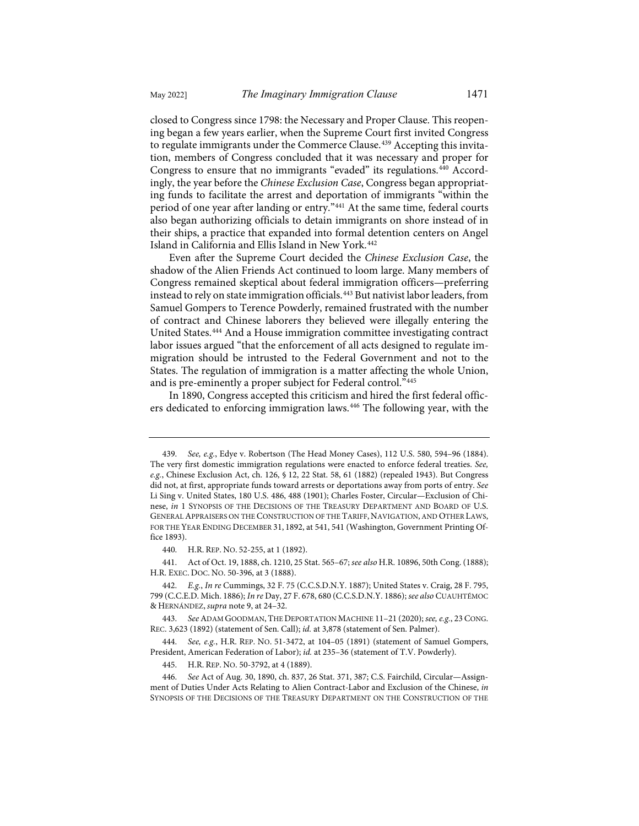closed to Congress since 1798: the Necessary and Proper Clause. This reopening began a few years earlier, when the Supreme Court first invited Congress to regulate immigrants under the Commerce Clause.<sup>[439](#page-52-0)</sup> Accepting this invitation, members of Congress concluded that it was necessary and proper for Congress to ensure that no immigrants "evaded" its regulations.<sup>[440](#page-52-1)</sup> Accordingly, the year before the *Chinese Exclusion Case*, Congress began appropriating funds to facilitate the arrest and deportation of immigrants "within the period of one year after landing or entry."[441](#page-52-2) At the same time, federal courts also began authorizing officials to detain immigrants on shore instead of in their ships, a practice that expanded into formal detention centers on Angel Island in California and Ellis Island in New York.<sup>[442](#page-52-3)</sup>

Even after the Supreme Court decided the *Chinese Exclusion Case*, the shadow of the Alien Friends Act continued to loom large. Many members of Congress remained skeptical about federal immigration officers—preferring instead to rely on state immigration officials.[443](#page-52-4) But nativist labor leaders, from Samuel Gompers to Terence Powderly, remained frustrated with the number of contract and Chinese laborers they believed were illegally entering the United States.[444](#page-52-5) And a House immigration committee investigating contract labor issues argued "that the enforcement of all acts designed to regulate immigration should be intrusted to the Federal Government and not to the States. The regulation of immigration is a matter affecting the whole Union, and is pre-eminently a proper subject for Federal control."[445](#page-52-6)

In 1890, Congress accepted this criticism and hired the first federal officers dedicated to enforcing immigration laws.[446](#page-52-7) The following year, with the

<span id="page-52-0"></span><sup>439.</sup> *See, e.g.*, Edye v. Robertson (The Head Money Cases), 112 U.S. 580, 594–96 (1884). The very first domestic immigration regulations were enacted to enforce federal treaties. *See, e.g.*, Chinese Exclusion Act, ch. 126, § 12, 22 Stat. 58, 61 (1882) (repealed 1943). But Congress did not, at first, appropriate funds toward arrests or deportations away from ports of entry. *See* Li Sing v. United States, 180 U.S. 486, 488 (1901); Charles Foster, Circular—Exclusion of Chinese, *in* 1 SYNOPSIS OF THE DECISIONS OF THE TREASURY DEPARTMENT AND BOARD OF U.S. GENERAL APPRAISERS ON THE CONSTRUCTION OF THE TARIFF, NAVIGATION, AND OTHER LAWS, FOR THE YEAR ENDING DECEMBER 31, 1892, at 541, 541 (Washington, Government Printing Office 1893).

<sup>440.</sup> H.R. REP. NO. 52-255, at 1 (1892).

<span id="page-52-2"></span><span id="page-52-1"></span><sup>441.</sup> Act of Oct. 19, 1888, ch. 1210, 25 Stat. 565–67; *see also* H.R. 10896, 50th Cong. (1888); H.R. EXEC. DOC. NO. 50-396, at 3 (1888).

<span id="page-52-3"></span><sup>442.</sup> *E.g.*, *In re* Cummings, 32 F. 75 (C.C.S.D.N.Y. 1887); United States v. Craig, 28 F. 795, 799 (C.C.E.D. Mich. 1886); *In re* Day, 27 F. 678, 680 (C.C.S.D.N.Y. 1886); *see also* CUAUHTÉMOC & HERNÁNDEZ, *supra* not[e 9,](#page-3-0) at 24–32.

<span id="page-52-4"></span><sup>443.</sup> *See* ADAM GOODMAN,THE DEPORTATION MACHINE 11–21 (2020); *see, e.g.*, 23 CONG. REC. 3,623 (1892) (statement of Sen. Call); *id.* at 3,878 (statement of Sen. Palmer).

<span id="page-52-5"></span><sup>444.</sup> *See, e.g.*, H.R. REP. NO. 51-3472, at 104–05 (1891) (statement of Samuel Gompers, President, American Federation of Labor); *id.* at 235–36 (statement of T.V. Powderly).

<sup>445.</sup> H.R. REP. NO. 50-3792, at 4 (1889).

<span id="page-52-7"></span><span id="page-52-6"></span><sup>446.</sup> *See* Act of Aug. 30, 1890, ch. 837, 26 Stat. 371, 387; C.S. Fairchild, Circular—Assignment of Duties Under Acts Relating to Alien Contract-Labor and Exclusion of the Chinese, *in* SYNOPSIS OF THE DECISIONS OF THE TREASURY DEPARTMENT ON THE CONSTRUCTION OF THE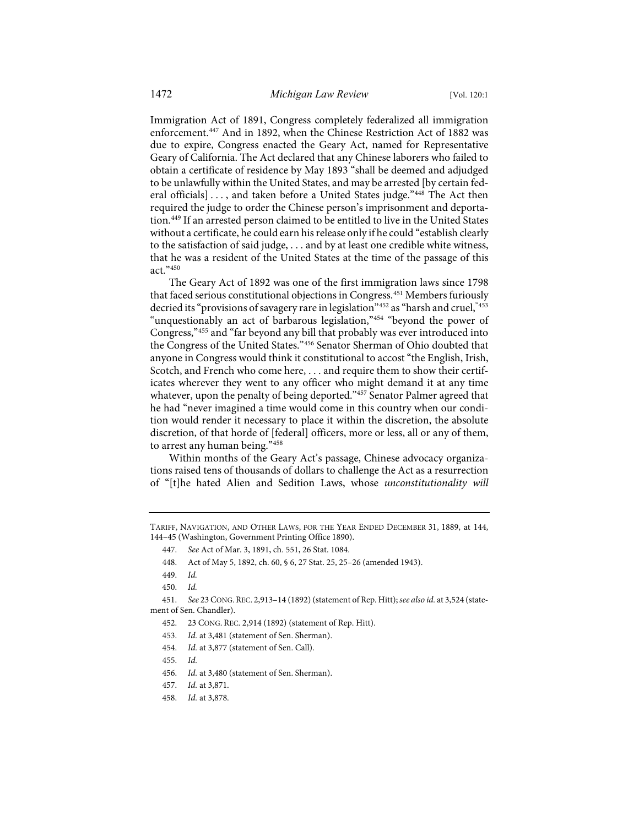Immigration Act of 1891, Congress completely federalized all immigration enforcement[.447](#page-53-0) And in 1892, when the Chinese Restriction Act of 1882 was due to expire, Congress enacted the Geary Act, named for Representative Geary of California. The Act declared that any Chinese laborers who failed to obtain a certificate of residence by May 1893 "shall be deemed and adjudged to be unlawfully within the United States, and may be arrested [by certain fed-eral officials] ..., and taken before a United States judge."[448](#page-53-1) The Act then required the judge to order the Chinese person's imprisonment and deportation.[449](#page-53-2) If an arrested person claimed to be entitled to live in the United States without a certificate, he could earn his release only if he could "establish clearly to the satisfaction of said judge, . . . and by at least one credible white witness, that he was a resident of the United States at the time of the passage of this act."[450](#page-53-3)

The Geary Act of 1892 was one of the first immigration laws since 1798 that faced serious constitutional objections in Congress.<sup>[451](#page-53-4)</sup> Members furiously decried its "provisions of savagery rare in legislation["452](#page-53-5) as "harsh and cruel,"[453](#page-53-6) "unquestionably an act of barbarous legislation,"[454](#page-53-7) "beyond the power of Congress,"[455](#page-53-8) and "far beyond any bill that probably was ever introduced into the Congress of the United States."[456](#page-53-9) Senator Sherman of Ohio doubted that anyone in Congress would think it constitutional to accost "the English, Irish, Scotch, and French who come here, . . . and require them to show their certificates wherever they went to any officer who might demand it at any time whatever, upon the penalty of being deported."[457](#page-53-10) Senator Palmer agreed that he had "never imagined a time would come in this country when our condition would render it necessary to place it within the discretion, the absolute discretion, of that horde of [federal] officers, more or less, all or any of them, to arrest any human being."[458](#page-53-11)

Within months of the Geary Act's passage, Chinese advocacy organizations raised tens of thousands of dollars to challenge the Act as a resurrection of "[t]he hated Alien and Sedition Laws, whose *unconstitutionality will* 

<span id="page-53-1"></span><span id="page-53-0"></span>TARIFF, NAVIGATION, AND OTHER LAWS, FOR THE YEAR ENDED DECEMBER 31, 1889, at 144, 144–45 (Washington, Government Printing Office 1890).

<sup>447.</sup> *See* Act of Mar. 3, 1891, ch. 551, 26 Stat. 1084.

<sup>448.</sup> Act of May 5, 1892, ch. 60, § 6, 27 Stat. 25, 25–26 (amended 1943).

<sup>449.</sup> *Id.*

<sup>450.</sup> *Id.*

<span id="page-53-7"></span><span id="page-53-6"></span><span id="page-53-5"></span><span id="page-53-4"></span><span id="page-53-3"></span><span id="page-53-2"></span><sup>451.</sup> *See* 23 CONG.REC. 2,913–14 (1892) (statement of Rep. Hitt); *see also id.* at 3,524 (statement of Sen. Chandler).

<sup>452. 23</sup> CONG. REC. 2,914 (1892) (statement of Rep. Hitt).

<sup>453.</sup> *Id.* at 3,481 (statement of Sen. Sherman).

<span id="page-53-8"></span><sup>454.</sup> *Id.* at 3,877 (statement of Sen. Call).

<sup>455.</sup> *Id.*

<span id="page-53-9"></span><sup>456.</sup> *Id.* at 3,480 (statement of Sen. Sherman).

<sup>457.</sup> *Id.* at 3,871.

<span id="page-53-11"></span><span id="page-53-10"></span><sup>458.</sup> *Id.* at 3,878.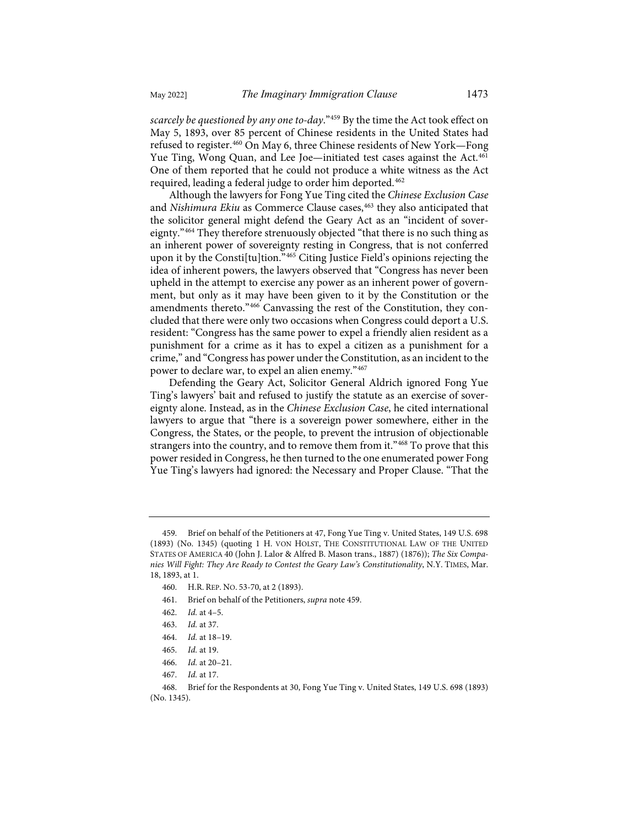<span id="page-54-0"></span>*scarcely be questioned by any one to-day*."[459](#page-54-1) By the time the Act took effect on May 5, 1893, over 85 percent of Chinese residents in the United States had refused to register.[460](#page-54-2) On May 6, three Chinese residents of New York—Fong Yue Ting, Wong Quan, and Lee Joe—initiated test cases against the Act.<sup>[461](#page-54-3)</sup> One of them reported that he could not produce a white witness as the Act required, leading a federal judge to order him deported.<sup>[462](#page-54-4)</sup>

Although the lawyers for Fong Yue Ting cited the *Chinese Exclusion Case* and *Nishimura Ekiu* as Commerce Clause cases,<sup>[463](#page-54-5)</sup> they also anticipated that the solicitor general might defend the Geary Act as an "incident of sovereignty."[464](#page-54-6) They therefore strenuously objected "that there is no such thing as an inherent power of sovereignty resting in Congress, that is not conferred upon it by the Consti[tu]tion."[465](#page-54-7) Citing Justice Field's opinions rejecting the idea of inherent powers, the lawyers observed that "Congress has never been upheld in the attempt to exercise any power as an inherent power of government, but only as it may have been given to it by the Constitution or the amendments thereto."[466](#page-54-8) Canvassing the rest of the Constitution, they concluded that there were only two occasions when Congress could deport a U.S. resident: "Congress has the same power to expel a friendly alien resident as a punishment for a crime as it has to expel a citizen as a punishment for a crime," and "Congress has power under the Constitution, as an incident to the power to declare war, to expel an alien enemy."[467](#page-54-9)

Defending the Geary Act, Solicitor General Aldrich ignored Fong Yue Ting's lawyers' bait and refused to justify the statute as an exercise of sovereignty alone. Instead, as in the *Chinese Exclusion Case*, he cited international lawyers to argue that "there is a sovereign power somewhere, either in the Congress, the States, or the people, to prevent the intrusion of objectionable strangers into the country, and to remove them from it."[468](#page-54-10) To prove that this power resided in Congress, he then turned to the one enumerated power Fong Yue Ting's lawyers had ignored: the Necessary and Proper Clause. "That the

- <span id="page-54-3"></span>461. Brief on behalf of the Petitioners, *supra* not[e 459.](#page-54-0)
- <span id="page-54-4"></span>462. *Id.* at 4–5.

<span id="page-54-2"></span><span id="page-54-1"></span><sup>459.</sup> Brief on behalf of the Petitioners at 47, Fong Yue Ting v. United States, 149 U.S. 698 (1893) (No. 1345) (quoting 1 H. VON HOLST, THE CONSTITUTIONAL LAW OF THE UNITED STATES OF AMERICA 40 (John J. Lalor & Alfred B. Mason trans., 1887) (1876)); *The Six Companies Will Fight: They Are Ready to Contest the Geary Law's Constitutionality*, N.Y. TIMES, Mar. 18, 1893, at 1.

<sup>460.</sup> H.R. REP. NO. 53-70, at 2 (1893).

<sup>463.</sup> *Id.* at 37.

<sup>464.</sup> *Id.* at 18–19.

<sup>465.</sup> *Id.* at 19.

<sup>466.</sup> *Id.* at 20–21.

<sup>467.</sup> *Id.* at 17.

<span id="page-54-10"></span><span id="page-54-9"></span><span id="page-54-8"></span><span id="page-54-7"></span><span id="page-54-6"></span><span id="page-54-5"></span><sup>468.</sup> Brief for the Respondents at 30, Fong Yue Ting v. United States, 149 U.S. 698 (1893) (No. 1345).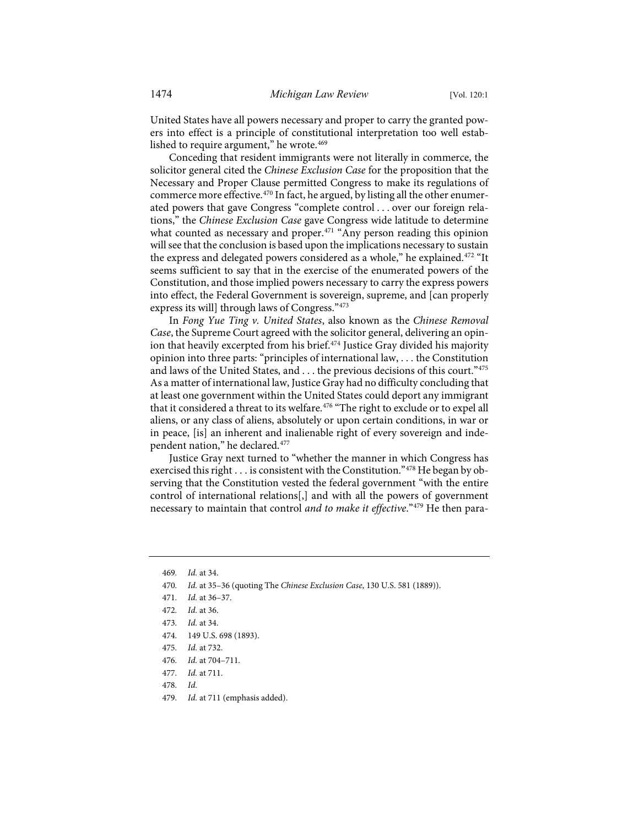United States have all powers necessary and proper to carry the granted powers into effect is a principle of constitutional interpretation too well estab-lished to require argument," he wrote.<sup>[469](#page-55-0)</sup>

Conceding that resident immigrants were not literally in commerce, the solicitor general cited the *Chinese Exclusion Case* for the proposition that the Necessary and Proper Clause permitted Congress to make its regulations of commerce more effective.[470](#page-55-1) In fact, he argued, by listing all the other enumerated powers that gave Congress "complete control . . . over our foreign relations," the *Chinese Exclusion Case* gave Congress wide latitude to determine what counted as necessary and proper.<sup>[471](#page-55-2)</sup> "Any person reading this opinion will see that the conclusion is based upon the implications necessary to sustain the express and delegated powers considered as a whole," he explained. [472](#page-55-3) "It seems sufficient to say that in the exercise of the enumerated powers of the Constitution, and those implied powers necessary to carry the express powers into effect, the Federal Government is sovereign, supreme, and [can properly express its will] through laws of Congress."[473](#page-55-4)

<span id="page-55-11"></span>In *Fong Yue Ting v. United States*, also known as the *Chinese Removal Case*, the Supreme Court agreed with the solicitor general, delivering an opin-ion that heavily excerpted from his brief.<sup>[474](#page-55-5)</sup> Justice Gray divided his majority opinion into three parts: "principles of international law, . . . the Constitution and laws of the United States, and . . . the previous decisions of this court." [475](#page-55-6) As a matter of international law, Justice Gray had no difficulty concluding that at least one government within the United States could deport any immigrant that it considered a threat to its welfare.<sup>476</sup> "The right to exclude or to expel all aliens, or any class of aliens, absolutely or upon certain conditions, in war or in peace, [is] an inherent and inalienable right of every sovereign and independent nation," he declared.[477](#page-55-8)

Justice Gray next turned to "whether the manner in which Congress has exercised this right . . . is consistent with the Constitution."[478](#page-55-9) He began by observing that the Constitution vested the federal government "with the entire control of international relations[,] and with all the powers of government necessary to maintain that control *and to make it effective*."[479](#page-55-10) He then para-

- <span id="page-55-9"></span>478. *Id.*
- <span id="page-55-10"></span>479. *Id.* at 711 (emphasis added).

<span id="page-55-0"></span><sup>469.</sup> *Id.* at 34.

<span id="page-55-1"></span><sup>470.</sup> *Id.* at 35–36 (quoting The *Chinese Exclusion Case*, 130 U.S. 581 (1889)).

<span id="page-55-2"></span><sup>471.</sup> *Id.* at 36–37.

<span id="page-55-3"></span><sup>472.</sup> *Id.* at 36.

<span id="page-55-4"></span><sup>473.</sup> *Id.* at 34.

<span id="page-55-5"></span><sup>474. 149</sup> U.S. 698 (1893).

<span id="page-55-6"></span><sup>475.</sup> *Id.* at 732.

<span id="page-55-7"></span><sup>476.</sup> *Id.* at 704–711.

<span id="page-55-8"></span><sup>477.</sup> *Id.* at 711.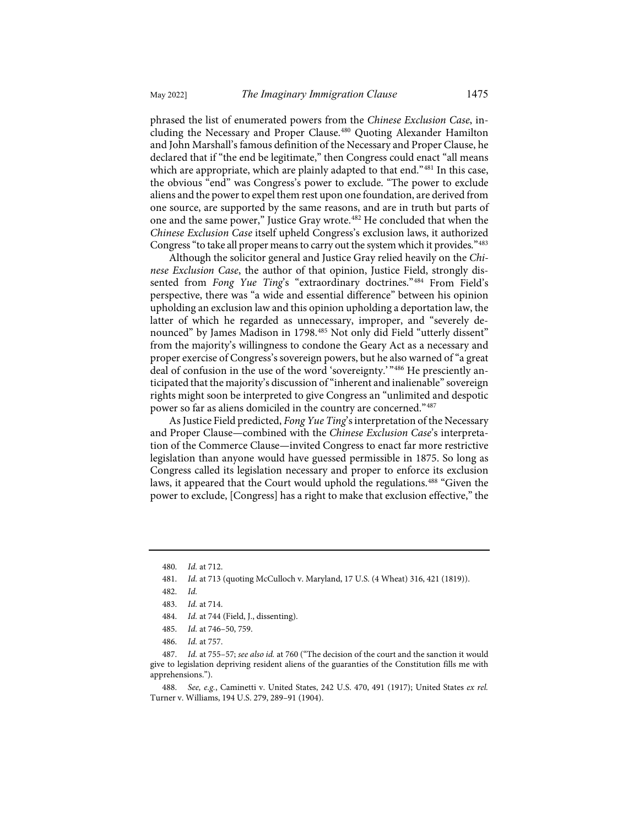phrased the list of enumerated powers from the *Chinese Exclusion Case*, in-cluding the Necessary and Proper Clause.<sup>[480](#page-56-0)</sup> Quoting Alexander Hamilton and John Marshall's famous definition of the Necessary and Proper Clause, he declared that if "the end be legitimate," then Congress could enact "all means which are appropriate, which are plainly adapted to that end."<sup>[481](#page-56-1)</sup> In this case, the obvious "end" was Congress's power to exclude. "The power to exclude aliens and the power to expel them rest upon one foundation, are derived from one source, are supported by the same reasons, and are in truth but parts of one and the same power," Justice Gray wrote.<sup>[482](#page-56-2)</sup> He concluded that when the *Chinese Exclusion Case* itself upheld Congress's exclusion laws, it authorized Congress "to take all proper means to carry out the system which it provides."[483](#page-56-3)

Although the solicitor general and Justice Gray relied heavily on the *Chinese Exclusion Case*, the author of that opinion, Justice Field, strongly dissented from *Fong Yue Ting's* "extraordinary doctrines."<sup>[484](#page-56-4)</sup> From Field's perspective, there was "a wide and essential difference" between his opinion upholding an exclusion law and this opinion upholding a deportation law, the latter of which he regarded as unnecessary, improper, and "severely denounced" by James Madison in 1798.[485](#page-56-5) Not only did Field "utterly dissent" from the majority's willingness to condone the Geary Act as a necessary and proper exercise of Congress's sovereign powers, but he also warned of "a great deal of confusion in the use of the word 'sovereignty.' "[486](#page-56-6) He presciently anticipated that the majority's discussion of "inherent and inalienable" sovereign rights might soon be interpreted to give Congress an "unlimited and despotic power so far as aliens domiciled in the country are concerned."[487](#page-56-7)

As Justice Field predicted, *Fong Yue Ting*'s interpretation of the Necessary and Proper Clause—combined with the *Chinese Exclusion Case*'s interpretation of the Commerce Clause—invited Congress to enact far more restrictive legislation than anyone would have guessed permissible in 1875. So long as Congress called its legislation necessary and proper to enforce its exclusion laws, it appeared that the Court would uphold the regulations.[488](#page-56-8) "Given the power to exclude, [Congress] has a right to make that exclusion effective," the

<span id="page-56-1"></span><span id="page-56-0"></span><sup>480.</sup> *Id.* at 712.

<sup>481.</sup> *Id.* at 713 (quoting McCulloch v. Maryland, 17 U.S. (4 Wheat) 316, 421 (1819)).

<sup>482.</sup> *Id.*

<sup>483.</sup> *Id.* at 714.

<sup>484.</sup> *Id.* at 744 (Field, J., dissenting).

<sup>485.</sup> *Id.* at 746–50, 759.

<sup>486.</sup> *Id.* at 757.

<span id="page-56-7"></span><span id="page-56-6"></span><span id="page-56-5"></span><span id="page-56-4"></span><span id="page-56-3"></span><span id="page-56-2"></span><sup>487.</sup> *Id.* at 755–57; *see also id.* at 760 ("The decision of the court and the sanction it would give to legislation depriving resident aliens of the guaranties of the Constitution fills me with apprehensions.").

<span id="page-56-8"></span><sup>488.</sup> *See, e.g.*, Caminetti v. United States, 242 U.S. 470, 491 (1917); United States *ex rel.* Turner v. Williams, 194 U.S. 279, 289–91 (1904).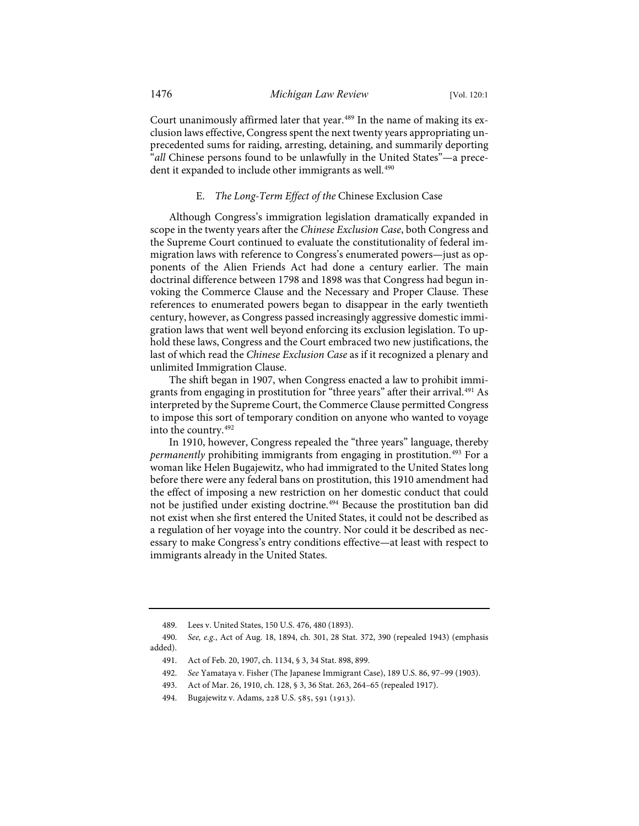Court unanimously affirmed later that year.<sup>[489](#page-57-0)</sup> In the name of making its exclusion laws effective, Congress spent the next twenty years appropriating unprecedented sums for raiding, arresting, detaining, and summarily deporting "*all* Chinese persons found to be unlawfully in the United States"—a prece-dent it expanded to include other immigrants as well.<sup>[490](#page-57-1)</sup>

## E. *The Long-Term Effect of the* Chinese Exclusion Case

Although Congress's immigration legislation dramatically expanded in scope in the twenty years after the *Chinese Exclusion Case*, both Congress and the Supreme Court continued to evaluate the constitutionality of federal immigration laws with reference to Congress's enumerated powers—just as opponents of the Alien Friends Act had done a century earlier. The main doctrinal difference between 1798 and 1898 was that Congress had begun invoking the Commerce Clause and the Necessary and Proper Clause. These references to enumerated powers began to disappear in the early twentieth century, however, as Congress passed increasingly aggressive domestic immigration laws that went well beyond enforcing its exclusion legislation. To uphold these laws, Congress and the Court embraced two new justifications, the last of which read the *Chinese Exclusion Case* as if it recognized a plenary and unlimited Immigration Clause.

The shift began in 1907, when Congress enacted a law to prohibit immi-grants from engaging in prostitution for "three years" after their arrival.<sup>[491](#page-57-2)</sup> As interpreted by the Supreme Court, the Commerce Clause permitted Congress to impose this sort of temporary condition on anyone who wanted to voyage into the country.[492](#page-57-3)

In 1910, however, Congress repealed the "three years" language, thereby *permanently* prohibiting immigrants from engaging in prostitution.<sup>[493](#page-57-4)</sup> For a woman like Helen Bugajewitz, who had immigrated to the United States long before there were any federal bans on prostitution, this 1910 amendment had the effect of imposing a new restriction on her domestic conduct that could not be justified under existing doctrine.[494](#page-57-5) Because the prostitution ban did not exist when she first entered the United States, it could not be described as a regulation of her voyage into the country. Nor could it be described as necessary to make Congress's entry conditions effective—at least with respect to immigrants already in the United States.

- 492. *See* Yamataya v. Fisher (The Japanese Immigrant Case), 189 U.S. 86, 97–99 (1903).
- 493. Act of Mar. 26, 1910, ch. 128, § 3, 36 Stat. 263, 264–65 (repealed 1917).

<sup>489.</sup> Lees v. United States, 150 U.S. 476, 480 (1893).

<span id="page-57-4"></span><span id="page-57-3"></span><span id="page-57-2"></span><span id="page-57-1"></span><span id="page-57-0"></span><sup>490.</sup> *See, e.g.*, Act of Aug. 18, 1894, ch. 301, 28 Stat. 372, 390 (repealed 1943) (emphasis added).

<sup>491.</sup> Act of Feb. 20, 1907, ch. 1134, § 3, 34 Stat. 898, 899.

<span id="page-57-5"></span><sup>494.</sup> Bugajewitz v. Adams, 228 U.S. 585, 591 (1913).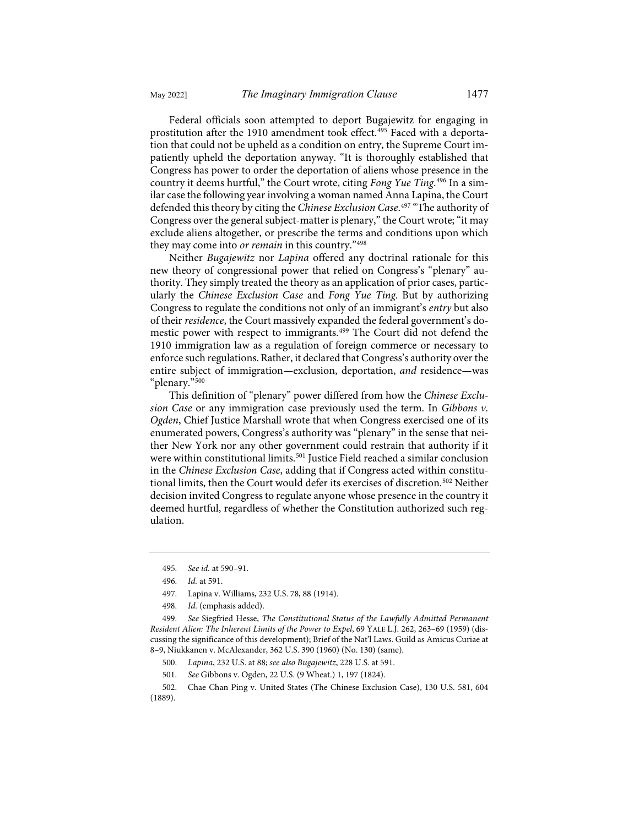Federal officials soon attempted to deport Bugajewitz for engaging in prostitution after the 1910 amendment took effect.<sup>[495](#page-58-0)</sup> Faced with a deportation that could not be upheld as a condition on entry, the Supreme Court impatiently upheld the deportation anyway. "It is thoroughly established that Congress has power to order the deportation of aliens whose presence in the country it deems hurtful," the Court wrote, citing *Fong Yue Ting*. [496](#page-58-1) In a similar case the following year involving a woman named Anna Lapina, the Court defended this theory by citing the *Chinese Exclusion Case*. [497](#page-58-2) "The authority of Congress over the general subject-matter is plenary," the Court wrote; "it may exclude aliens altogether, or prescribe the terms and conditions upon which they may come into *or remain* in this country."[498](#page-58-3)

Neither *Bugajewitz* nor *Lapina* offered any doctrinal rationale for this new theory of congressional power that relied on Congress's "plenary" authority. They simply treated the theory as an application of prior cases, particularly the *Chinese Exclusion Case* and *Fong Yue Ting*. But by authorizing Congress to regulate the conditions not only of an immigrant's *entry* but also of their *residence*, the Court massively expanded the federal government's do-mestic power with respect to immigrants.<sup>[499](#page-58-4)</sup> The Court did not defend the 1910 immigration law as a regulation of foreign commerce or necessary to enforce such regulations. Rather, it declared that Congress's authority over the entire subject of immigration—exclusion, deportation, *and* residence—was "plenary."[500](#page-58-5)

This definition of "plenary" power differed from how the *Chinese Exclusion Case* or any immigration case previously used the term. In *Gibbons v. Ogden*, Chief Justice Marshall wrote that when Congress exercised one of its enumerated powers, Congress's authority was "plenary" in the sense that neither New York nor any other government could restrain that authority if it were within constitutional limits.<sup>[501](#page-58-6)</sup> Justice Field reached a similar conclusion in the *Chinese Exclusion Case*, adding that if Congress acted within constitu-tional limits, then the Court would defer its exercises of discretion.<sup>[502](#page-58-7)</sup> Neither decision invited Congress to regulate anyone whose presence in the country it deemed hurtful, regardless of whether the Constitution authorized such regulation.

- 497. Lapina v. Williams, 232 U.S. 78, 88 (1914).
- 498. *Id.* (emphasis added).

- 500. *Lapina*, 232 U.S. at 88; *see also Bugajewitz*, 228 U.S. at 591.
- 501. *See* Gibbons v. Ogden, 22 U.S. (9 Wheat.) 1, 197 (1824).

<sup>495.</sup> *See id.* at 590–91.

<sup>496.</sup> *Id.* at 591.

<span id="page-58-4"></span><span id="page-58-3"></span><span id="page-58-2"></span><span id="page-58-1"></span><span id="page-58-0"></span><sup>499.</sup> *See* Siegfried Hesse, *The Constitutional Status of the Lawfully Admitted Permanent Resident Alien: The Inherent Limits of the Power to Expel*, 69 YALE L.J. 262, 263–69 (1959) (discussing the significance of this development); Brief of the Nat'l Laws. Guild as Amicus Curiae at 8–9, Niukkanen v. McAlexander, 362 U.S. 390 (1960) (No. 130) (same).

<span id="page-58-7"></span><span id="page-58-6"></span><span id="page-58-5"></span><sup>502.</sup> Chae Chan Ping v. United States (The Chinese Exclusion Case), 130 U.S. 581, 604 (1889).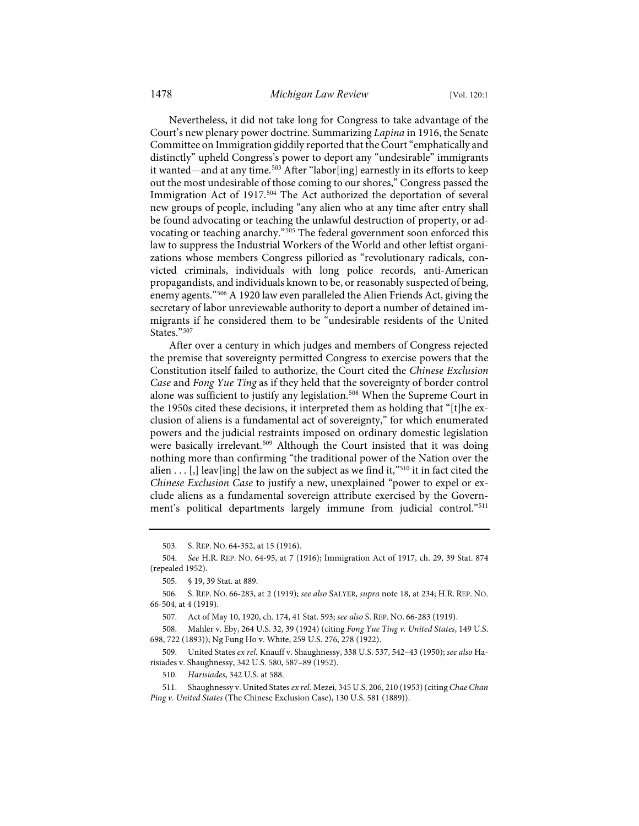Nevertheless, it did not take long for Congress to take advantage of the Court's new plenary power doctrine. Summarizing *Lapina* in 1916, the Senate Committee on Immigration giddily reported that the Court "emphatically and distinctly" upheld Congress's power to deport any "undesirable" immigrants it wanted—and at any time[.503](#page-59-0) After "labor[ing] earnestly in its efforts to keep out the most undesirable of those coming to our shores," Congress passed the Immigration Act of 1917.<sup>[504](#page-59-1)</sup> The Act authorized the deportation of several new groups of people, including "any alien who at any time after entry shall be found advocating or teaching the unlawful destruction of property, or advocating or teaching anarchy."[505](#page-59-2) The federal government soon enforced this law to suppress the Industrial Workers of the World and other leftist organizations whose members Congress pilloried as "revolutionary radicals, convicted criminals, individuals with long police records, anti-American propagandists, and individuals known to be, or reasonably suspected of being, enemy agents."[506](#page-59-3) A 1920 law even paralleled the Alien Friends Act, giving the secretary of labor unreviewable authority to deport a number of detained immigrants if he considered them to be "undesirable residents of the United States."<sup>[507](#page-59-4)</sup>

After over a century in which judges and members of Congress rejected the premise that sovereignty permitted Congress to exercise powers that the Constitution itself failed to authorize, the Court cited the *Chinese Exclusion Case* and *Fong Yue Ting* as if they held that the sovereignty of border control alone was sufficient to justify any legislation.<sup>[508](#page-59-5)</sup> When the Supreme Court in the 1950s cited these decisions, it interpreted them as holding that "[t]he exclusion of aliens is a fundamental act of sovereignty," for which enumerated powers and the judicial restraints imposed on ordinary domestic legislation were basically irrelevant. [509](#page-59-6) Although the Court insisted that it was doing nothing more than confirming "the traditional power of the Nation over the alien  $\dots$  [,] leav[ing] the law on the subject as we find it,"<sup>[510](#page-59-7)</sup> it in fact cited the *Chinese Exclusion Case* to justify a new, unexplained "power to expel or exclude aliens as a fundamental sovereign attribute exercised by the Govern-ment's political departments largely immune from judicial control."<sup>[511](#page-59-8)</sup>

503. S. REP. NO. 64-352, at 15 (1916).

<span id="page-59-1"></span><span id="page-59-0"></span><sup>504.</sup> *See* H.R. REP. NO. 64-95, at 7 (1916); Immigration Act of 1917, ch. 29, 39 Stat. 874 (repealed 1952).

<sup>505. § 19, 39</sup> Stat. at 889.

<span id="page-59-3"></span><span id="page-59-2"></span><sup>506.</sup> S. REP. NO. 66-283, at 2 (1919); *see also* SALYER, *supra* not[e 18,](#page-4-0) at 234; H.R. REP. NO. 66-504, at 4 (1919).

<sup>507.</sup> Act of May 10, 1920, ch. 174, 41 Stat. 593; *see also* S. REP. NO. 66-283 (1919).

<span id="page-59-5"></span><span id="page-59-4"></span><sup>508.</sup> Mahler v. Eby, 264 U.S. 32, 39 (1924) (citing *Fong Yue Ting v. United States*, 149 U.S. 698, 722 (1893)); Ng Fung Ho v. White, 259 U.S. 276, 278 (1922).

<span id="page-59-6"></span><sup>509.</sup> United States *ex rel.* Knauff v. Shaughnessy, 338 U.S. 537, 542–43 (1950); *see also* Harisiades v. Shaughnessy, 342 U.S. 580, 587–89 (1952).

<sup>510.</sup> *Harisiades*, 342 U.S. at 588.

<span id="page-59-8"></span><span id="page-59-7"></span><sup>511.</sup> Shaughnessy v. United States *ex rel.* Mezei, 345 U.S. 206, 210 (1953) (citing *Chae Chan Ping v. United States* (The Chinese Exclusion Case), 130 U.S. 581 (1889)).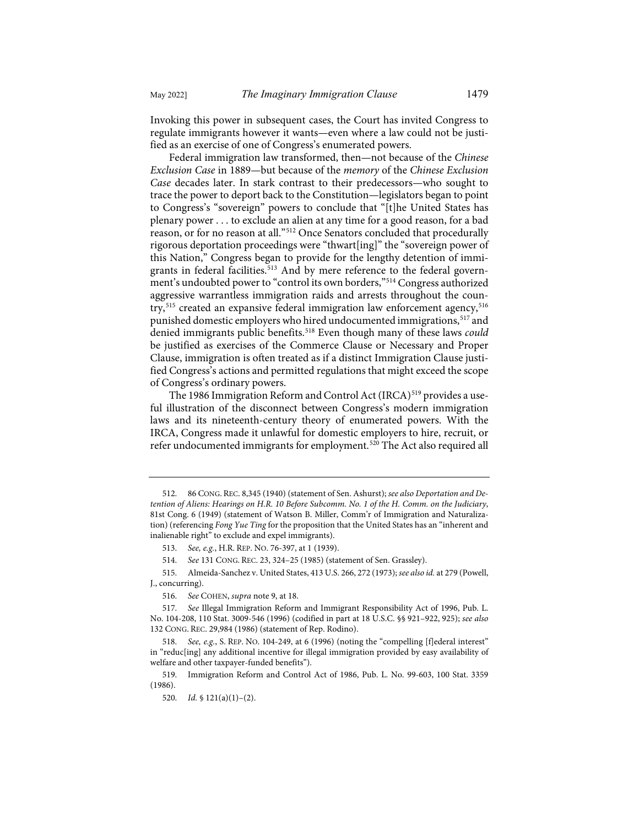Invoking this power in subsequent cases, the Court has invited Congress to regulate immigrants however it wants—even where a law could not be justified as an exercise of one of Congress's enumerated powers.

Federal immigration law transformed, then—not because of the *Chinese Exclusion Case* in 1889—but because of the *memory* of the *Chinese Exclusion Case* decades later. In stark contrast to their predecessors—who sought to trace the power to deport back to the Constitution—legislators began to point to Congress's "sovereign" powers to conclude that "[t]he United States has plenary power . . . to exclude an alien at any time for a good reason, for a bad reason, or for no reason at all."[512](#page-60-0) Once Senators concluded that procedurally rigorous deportation proceedings were "thwart[ing]" the "sovereign power of this Nation," Congress began to provide for the lengthy detention of immi-grants in federal facilities.<sup>[513](#page-60-1)</sup> And by mere reference to the federal government's undoubted power to "control its own borders,"[514](#page-60-2) Congress authorized aggressive warrantless immigration raids and arrests throughout the coun-try,<sup>[515](#page-60-3)</sup> created an expansive federal immigration law enforcement agency,<sup>[516](#page-60-4)</sup> punished domestic employers who hired undocumented immigrations,<sup>[517](#page-60-5)</sup> and denied immigrants public benefits[.518](#page-60-6) Even though many of these laws *could* be justified as exercises of the Commerce Clause or Necessary and Proper Clause, immigration is often treated as if a distinct Immigration Clause justified Congress's actions and permitted regulations that might exceed the scope of Congress's ordinary powers.

The 1986 Immigration Reform and Control Act (IRCA)<sup>519</sup> provides a useful illustration of the disconnect between Congress's modern immigration laws and its nineteenth-century theory of enumerated powers. With the IRCA, Congress made it unlawful for domestic employers to hire, recruit, or refer undocumented immigrants for employment.[520](#page-60-8) The Act also required all

<span id="page-60-0"></span><sup>512. 86</sup> CONG. REC. 8,345 (1940) (statement of Sen. Ashurst); *see also Deportation and Detention of Aliens: Hearings on H.R. 10 Before Subcomm. No. 1 of the H. Comm. on the Judiciary*, 81st Cong. 6 (1949) (statement of Watson B. Miller, Comm'r of Immigration and Naturalization) (referencing *Fong Yue Ting* for the proposition that the United States has an "inherent and inalienable right" to exclude and expel immigrants).

<sup>513.</sup> *See, e.g.*, H.R. REP. NO. 76-397, at 1 (1939).

<sup>514.</sup> *See* 131 CONG. REC. 23, 324–25 (1985) (statement of Sen. Grassley).

<span id="page-60-3"></span><span id="page-60-2"></span><span id="page-60-1"></span><sup>515.</sup> Almeida-Sanchez v. United States, 413 U.S. 266, 272 (1973); *see also id.* at 279 (Powell, J., concurring).

<sup>516.</sup> *See* COHEN, *supra* not[e 9,](#page-3-0) at 18.

<span id="page-60-5"></span><span id="page-60-4"></span><sup>517.</sup> *See* Illegal Immigration Reform and Immigrant Responsibility Act of 1996, Pub. L. No. 104-208, 110 Stat. 3009-546 (1996) (codified in part at 18 U.S.C. §§ 921–922, 925); *see also* 132 CONG. REC. 29,984 (1986) (statement of Rep. Rodino).

<span id="page-60-6"></span><sup>518.</sup> *See, e.g.*, S. REP. NO. 104-249, at 6 (1996) (noting the "compelling [f]ederal interest" in "reduc[ing] any additional incentive for illegal immigration provided by easy availability of welfare and other taxpayer-funded benefits").

<span id="page-60-8"></span><span id="page-60-7"></span><sup>519.</sup> Immigration Reform and Control Act of 1986, Pub. L. No. 99-603, 100 Stat. 3359 (1986).

<sup>520.</sup> *Id.* § 121(a)(1)–(2).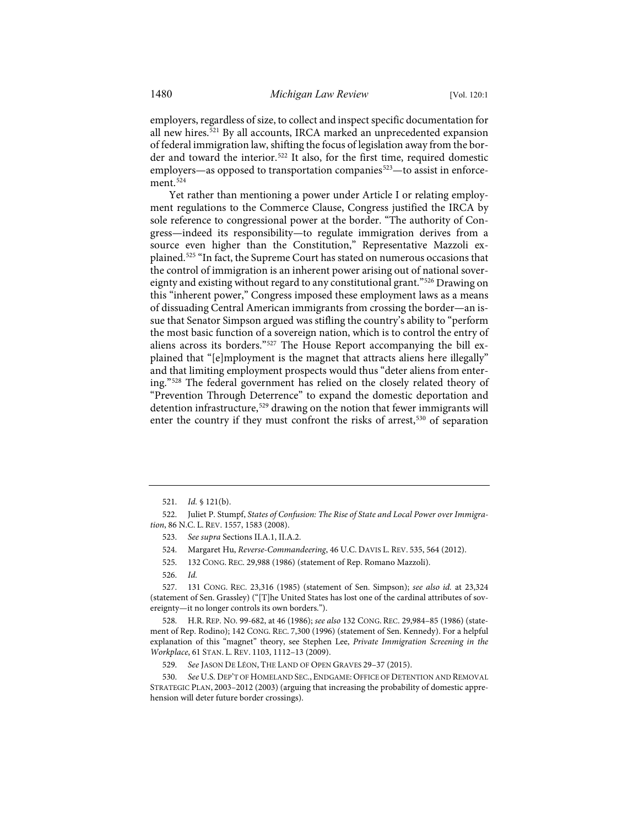<span id="page-61-11"></span>employers, regardless of size, to collect and inspect specific documentation for all new hires.[521](#page-61-0) By all accounts, IRCA marked an unprecedented expansion of federal immigration law, shifting the focus of legislation away from the bor-der and toward the interior.<sup>[522](#page-61-1)</sup> It also, for the first time, required domestic employers—as opposed to transportation companies<sup>[523](#page-61-2)</sup>—to assist in enforce-ment.<sup>[524](#page-61-3)</sup>

Yet rather than mentioning a power under Article I or relating employment regulations to the Commerce Clause, Congress justified the IRCA by sole reference to congressional power at the border. "The authority of Congress—indeed its responsibility—to regulate immigration derives from a source even higher than the Constitution," Representative Mazzoli explained.[525](#page-61-4) "In fact, the Supreme Court has stated on numerous occasions that the control of immigration is an inherent power arising out of national sovereignty and existing without regard to any constitutional grant."[526](#page-61-5) Drawing on this "inherent power," Congress imposed these employment laws as a means of dissuading Central American immigrants from crossing the border—an issue that Senator Simpson argued was stifling the country's ability to "perform the most basic function of a sovereign nation, which is to control the entry of aliens across its borders."[527](#page-61-6) The House Report accompanying the bill explained that "[e]mployment is the magnet that attracts aliens here illegally" and that limiting employment prospects would thus "deter aliens from entering."[528](#page-61-7) The federal government has relied on the closely related theory of "Prevention Through Deterrence" to expand the domestic deportation and detention infrastructure,<sup>[529](#page-61-8)</sup> drawing on the notion that fewer immigrants will enter the country if they must confront the risks of arrest,<sup>[530](#page-61-9)</sup> of separation

- 523. *See supra* Sections II.A.1, II.A.2.
- 524. Margaret Hu, *Reverse-Commandeering*, 46 U.C. DAVIS L. REV. 535, 564 (2012).
- 525. 132 CONG. REC. 29,988 (1986) (statement of Rep. Romano Mazzoli).
- 526. *Id.*

<span id="page-61-6"></span><span id="page-61-5"></span><span id="page-61-4"></span>527. 131 CONG. REC. 23,316 (1985) (statement of Sen. Simpson); *see also id.* at 23,324 (statement of Sen. Grassley) ("[T]he United States has lost one of the cardinal attributes of sovereignty—it no longer controls its own borders.").

<span id="page-61-7"></span>528. H.R. REP. NO. 99-682, at 46 (1986); *see also* 132 CONG. REC. 29,984–85 (1986) (statement of Rep. Rodino); 142 CONG. REC. 7,300 (1996) (statement of Sen. Kennedy). For a helpful explanation of this "magnet" theory, see Stephen Lee, *Private Immigration Screening in the Workplace*, 61 STAN. L. REV. 1103, 1112–13 (2009).

<span id="page-61-9"></span><span id="page-61-8"></span>530. *See* U.S. DEP'T OF HOMELAND SEC., ENDGAME: OFFICE OF DETENTION AND REMOVAL STRATEGIC PLAN, 2003–2012 (2003) (arguing that increasing the probability of domestic apprehension will deter future border crossings).

<span id="page-61-10"></span><sup>521.</sup> *Id.* § 121(b).

<span id="page-61-3"></span><span id="page-61-2"></span><span id="page-61-1"></span><span id="page-61-0"></span><sup>522.</sup> Juliet P. Stumpf, *States of Confusion: The Rise of State and Local Power over Immigration*, 86 N.C. L. REV. 1557, 1583 (2008).

<sup>529.</sup> *See* JASON DE LÉON, THE LAND OF OPEN GRAVES 29–37 (2015).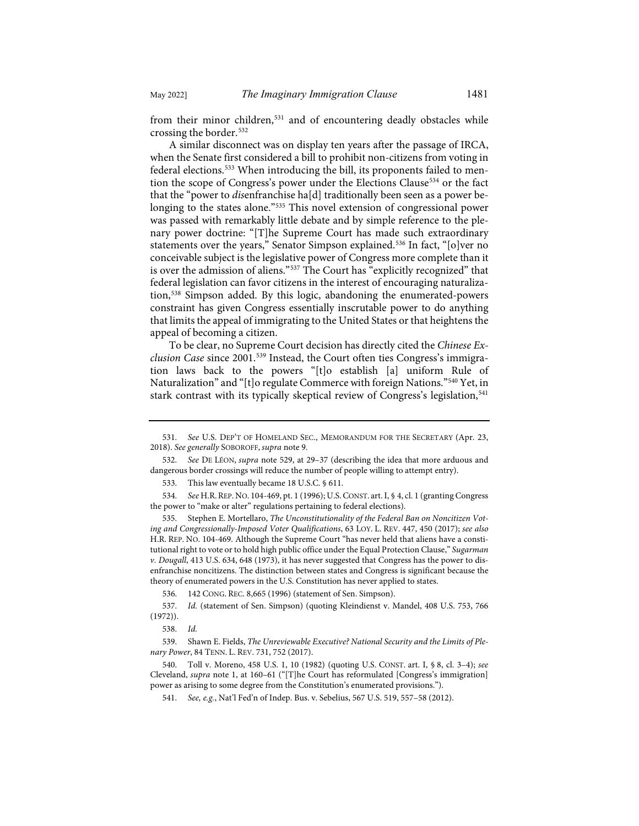from their minor children,<sup>[531](#page-62-0)</sup> and of encountering deadly obstacles while crossing the border.[532](#page-62-1)

A similar disconnect was on display ten years after the passage of IRCA, when the Senate first considered a bill to prohibit non-citizens from voting in federal elections.<sup>533</sup> When introducing the bill, its proponents failed to mention the scope of Congress's power under the Elections Clause<sup>534</sup> or the fact that the "power to *dis*enfranchise ha[d] traditionally been seen as a power belonging to the states alone."[535](#page-62-4) This novel extension of congressional power was passed with remarkably little debate and by simple reference to the plenary power doctrine: "[T]he Supreme Court has made such extraordinary statements over the years," Senator Simpson explained.<sup>[536](#page-62-5)</sup> In fact, "[o]ver no conceivable subject is the legislative power of Congress more complete than it is over the admission of aliens."[537](#page-62-6) The Court has "explicitly recognized" that federal legislation can favor citizens in the interest of encouraging naturalization,[538](#page-62-7) Simpson added. By this logic, abandoning the enumerated-powers constraint has given Congress essentially inscrutable power to do anything that limits the appeal of immigrating to the United States or that heightens the appeal of becoming a citizen.

<span id="page-62-11"></span>To be clear, no Supreme Court decision has directly cited the *Chinese Exclusion Case* since 2001.[539](#page-62-8) Instead, the Court often ties Congress's immigration laws back to the powers "[t]o establish [a] uniform Rule of Naturalization" and "[t]o regulate Commerce with foreign Nations.["540](#page-62-9) Yet, in stark contrast with its typically skeptical review of Congress's legislation, [541](#page-62-10)

533. This law eventually became 18 U.S.C. § 611.

<span id="page-62-3"></span><span id="page-62-2"></span>534. *See* H.R.REP. NO. 104-469, pt. 1 (1996); U.S.CONST. art. I, § 4, cl. 1 (granting Congress the power to "make or alter" regulations pertaining to federal elections).

<span id="page-62-4"></span>535. Stephen E. Mortellaro, *The Unconstitutionality of the Federal Ban on Noncitizen Voting and Congressionally-Imposed Voter Qualifications*, 63 LOY. L. REV. 447, 450 (2017); *see also* H.R. REP. NO. 104-469. Although the Supreme Court "has never held that aliens have a constitutional right to vote or to hold high public office under the Equal Protection Clause," *Sugarman v. Dougall*, 413 U.S. 634, 648 (1973), it has never suggested that Congress has the power to disenfranchise noncitizens. The distinction between states and Congress is significant because the theory of enumerated powers in the U.S. Constitution has never applied to states.

536. 142 CONG. REC. 8,665 (1996) (statement of Sen. Simpson).

<span id="page-62-6"></span><span id="page-62-5"></span>537. *Id.* (statement of Sen. Simpson) (quoting Kleindienst v. Mandel, 408 U.S. 753, 766 (1972)).

538. *Id.*

<span id="page-62-8"></span><span id="page-62-7"></span>539. Shawn E. Fields, *The Unreviewable Executive? National Security and the Limits of Plenary Power*, 84 TENN. L. REV. 731, 752 (2017).

<span id="page-62-10"></span><span id="page-62-9"></span>540. Toll v. Moreno, 458 U.S. 1, 10 (1982) (quoting U.S. CONST. art. I, § 8, cl. 3–4); *see* Cleveland, *supra* note [1,](#page-2-0) at 160–61 ("[T]he Court has reformulated [Congress's immigration] power as arising to some degree from the Constitution's enumerated provisions.").

541. *See, e.g.*, Nat'l Fed'n of Indep. Bus. v. Sebelius, 567 U.S. 519, 557–58 (2012).

<span id="page-62-0"></span><sup>531.</sup> *See* U.S. DEP'T OF HOMELAND SEC., MEMORANDUM FOR THE SECRETARY (Apr. 23, 2018). *See generally* SOBOROFF, *supra* not[e 9.](#page-3-0) 

<span id="page-62-1"></span><sup>532.</sup> *See* DE LÉON, *supra* note [529,](#page-61-10) at 29–37 (describing the idea that more arduous and dangerous border crossings will reduce the number of people willing to attempt entry).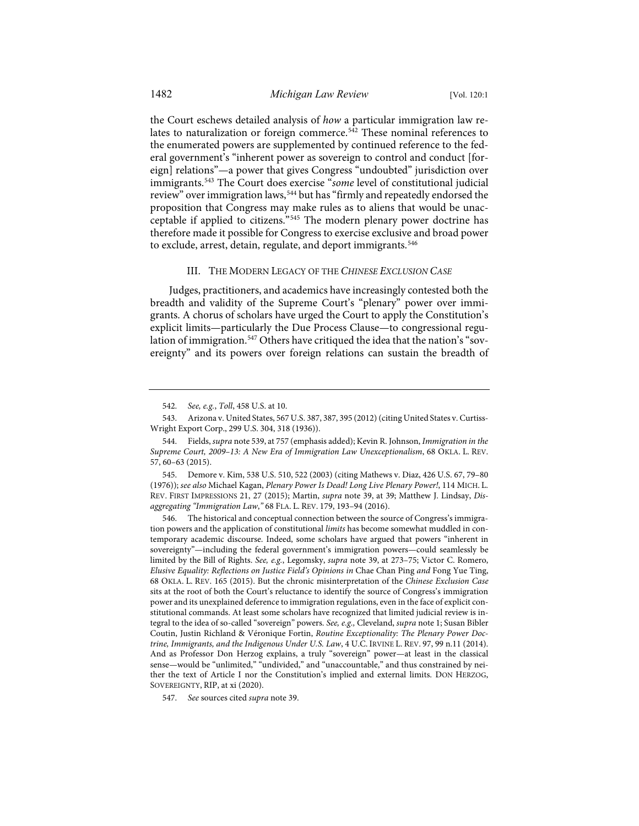the Court eschews detailed analysis of *how* a particular immigration law re-lates to naturalization or foreign commerce.<sup>[542](#page-63-0)</sup> These nominal references to the enumerated powers are supplemented by continued reference to the federal government's "inherent power as sovereign to control and conduct [foreign] relations"—a power that gives Congress "undoubted" jurisdiction over immigrants.[543](#page-63-1) The Court does exercise "*some* level of constitutional judicial review" over immigration laws,<sup>[544](#page-63-2)</sup> but has "firmly and repeatedly endorsed the proposition that Congress may make rules as to aliens that would be unacceptable if applied to citizens."[545](#page-63-3) The modern plenary power doctrine has therefore made it possible for Congress to exercise exclusive and broad power to exclude, arrest, detain, regulate, and deport immigrants.<sup>[546](#page-63-4)</sup>

### <span id="page-63-6"></span>III. THE MODERN LEGACY OF THE *CHINESE EXCLUSION CASE*

Judges, practitioners, and academics have increasingly contested both the breadth and validity of the Supreme Court's "plenary" power over immigrants. A chorus of scholars have urged the Court to apply the Constitution's explicit limits—particularly the Due Process Clause—to congressional regu-lation of immigration.<sup>[547](#page-63-5)</sup> Others have critiqued the idea that the nation's "sovereignty" and its powers over foreign relations can sustain the breadth of

<sup>542.</sup> *See, e.g.*, *Toll*, 458 U.S. at 10.

<span id="page-63-1"></span><span id="page-63-0"></span><sup>543.</sup> Arizona v. United States, 567 U.S. 387, 387, 395 (2012) (citing United States v. Curtiss-Wright Export Corp., 299 U.S. 304, 318 (1936)).

<span id="page-63-2"></span><sup>544.</sup> Fields, *supra* not[e 539,](#page-62-11) at 757 (emphasis added); Kevin R. Johnson, *Immigration in the Supreme Court, 2009–13: A New Era of Immigration Law Unexceptionalism*, 68 OKLA. L. REV. 57, 60–63 (2015).

<span id="page-63-3"></span><sup>545.</sup> Demore v. Kim, 538 U.S. 510, 522 (2003) (citing Mathews v. Diaz, 426 U.S. 67, 79–80 (1976)); *see also* Michael Kagan, *Plenary Power Is Dead! Long Live Plenary Power!*, 114 MICH. L. REV. FIRST IMPRESSIONS 21, 27 (2015); Martin, *supra* note [39,](#page-7-0) at 39; Matthew J. Lindsay, *Disaggregating "Immigration Law*,*"* 68 FLA. L. REV. 179, 193–94 (2016).

<span id="page-63-4"></span><sup>546.</sup> The historical and conceptual connection between the source of Congress's immigration powers and the application of constitutional *limits* has become somewhat muddled in contemporary academic discourse. Indeed, some scholars have argued that powers "inherent in sovereignty"—including the federal government's immigration powers—could seamlessly be limited by the Bill of Rights. *See, e.g.*, Legomsky, *supra* note [39,](#page-7-0) at 273–75; Victor C. Romero, *Elusive Equality: Reflections on Justice Field's Opinions in* Chae Chan Ping *and* Fong Yue Ting, 68 OKLA. L. REV. 165 (2015). But the chronic misinterpretation of the *Chinese Exclusion Case* sits at the root of both the Court's reluctance to identify the source of Congress's immigration power and its unexplained deference to immigration regulations, even in the face of explicit constitutional commands. At least some scholars have recognized that limited judicial review is integral to the idea of so-called "sovereign" powers. *See, e.g.,* Cleveland, *supra* not[e 1;](#page-2-0) Susan Bibler Coutin, Justin Richland & Véronique Fortin, *Routine Exceptionality: The Plenary Power Doctrine, Immigrants, and the Indigenous Under U.S. Law*, 4 U.C. IRVINE L. REV. 97, 99 n.11 (2014). And as Professor Don Herzog explains, a truly "sovereign" power—at least in the classical sense—would be "unlimited," "undivided," and "unaccountable," and thus constrained by neither the text of Article I nor the Constitution's implied and external limits. DON HERZOG, SOVEREIGNTY, RIP, at xi (2020).

<span id="page-63-5"></span><sup>547.</sup> *See* sources cited *supra* not[e 39.](#page-7-0)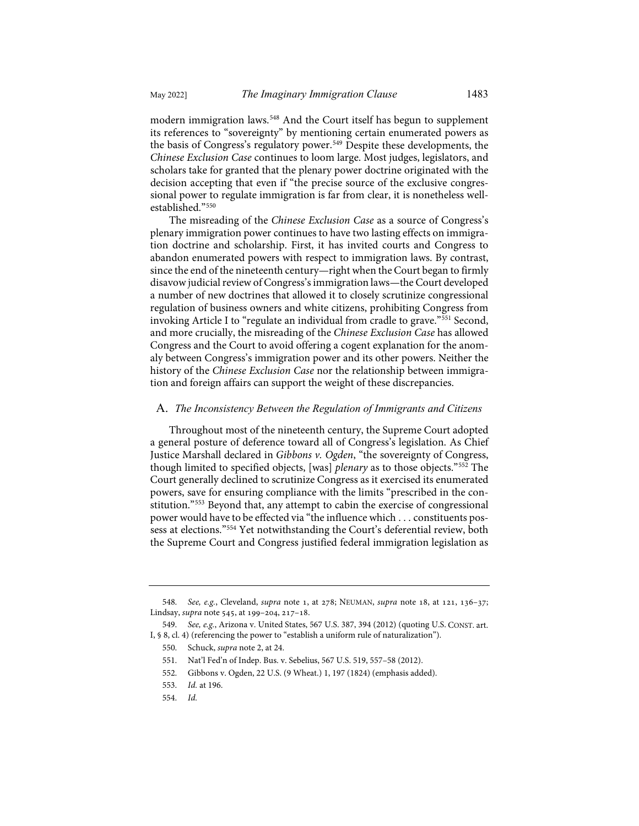modern immigration laws[.548](#page-64-0) And the Court itself has begun to supplement its references to "sovereignty" by mentioning certain enumerated powers as the basis of Congress's regulatory power.<sup>[549](#page-64-1)</sup> Despite these developments, the *Chinese Exclusion Case* continues to loom large. Most judges, legislators, and scholars take for granted that the plenary power doctrine originated with the decision accepting that even if "the precise source of the exclusive congressional power to regulate immigration is far from clear, it is nonetheless wellestablished."[550](#page-64-2)

The misreading of the *Chinese Exclusion Case* as a source of Congress's plenary immigration power continues to have two lasting effects on immigration doctrine and scholarship. First, it has invited courts and Congress to abandon enumerated powers with respect to immigration laws. By contrast, since the end of the nineteenth century—right when the Court began to firmly disavow judicial review of Congress's immigration laws—the Court developed a number of new doctrines that allowed it to closely scrutinize congressional regulation of business owners and white citizens, prohibiting Congress from invoking Article I to "regulate an individual from cradle to grave."[551](#page-64-3) Second, and more crucially, the misreading of the *Chinese Exclusion Case* has allowed Congress and the Court to avoid offering a cogent explanation for the anomaly between Congress's immigration power and its other powers. Neither the history of the *Chinese Exclusion Case* nor the relationship between immigration and foreign affairs can support the weight of these discrepancies.

### A. *The Inconsistency Between the Regulation of Immigrants and Citizens*

Throughout most of the nineteenth century, the Supreme Court adopted a general posture of deference toward all of Congress's legislation. As Chief Justice Marshall declared in *Gibbons v. Ogden*, "the sovereignty of Congress, though limited to specified objects, [was] *plenary* as to those objects."[552](#page-64-4) The Court generally declined to scrutinize Congress as it exercised its enumerated powers, save for ensuring compliance with the limits "prescribed in the constitution."[553](#page-64-5) Beyond that, any attempt to cabin the exercise of congressional power would have to be effected via "the influence which . . . constituents possess at elections."[554](#page-64-6) Yet notwithstanding the Court's deferential review, both the Supreme Court and Congress justified federal immigration legislation as

<span id="page-64-0"></span><sup>548.</sup> *See, e.g.*, Cleveland, *supra* note 1, at 278; NEUMAN, *supra* note 18, at 121, 136-37; Lindsay, *supra* note 545, at 199-204, 217-18.

<span id="page-64-5"></span><span id="page-64-4"></span><span id="page-64-3"></span><span id="page-64-2"></span><span id="page-64-1"></span><sup>549.</sup> *See, e.g.*, Arizona v. United States, 567 U.S. 387, 394 (2012) (quoting U.S. CONST. art. I, § 8, cl. 4) (referencing the power to "establish a uniform rule of naturalization").

<sup>550.</sup> Schuck, *supra* not[e 2,](#page-2-1) at 24.

<sup>551.</sup> Nat'l Fed'n of Indep. Bus. v. Sebelius, 567 U.S. 519, 557–58 (2012).

<sup>552.</sup> Gibbons v. Ogden, 22 U.S. (9 Wheat.) 1, 197 (1824) (emphasis added).

<sup>553.</sup> *Id.* at 196.

<span id="page-64-6"></span><sup>554.</sup> *Id.*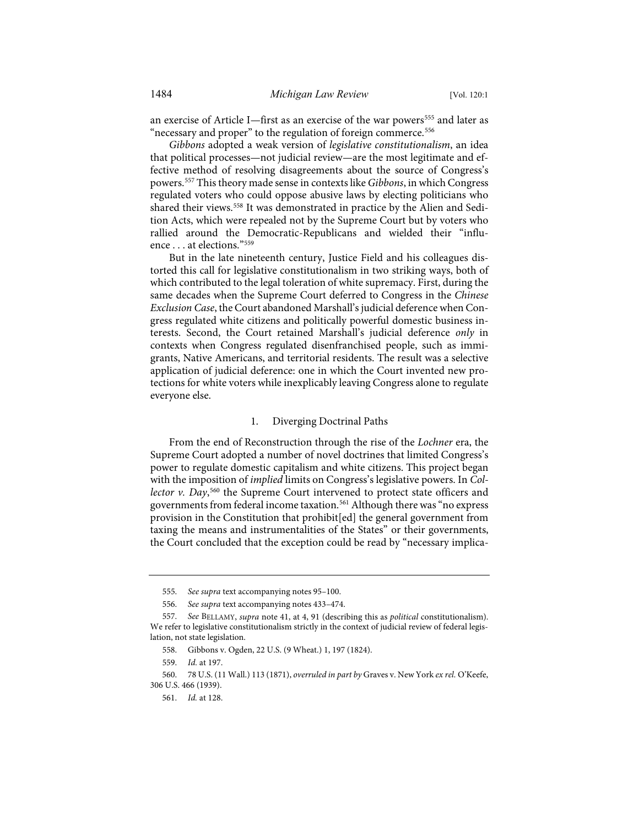an exercise of Article I—first as an exercise of the war powers<sup>[555](#page-65-0)</sup> and later as "necessary and proper" to the regulation of foreign commerce.<sup>[556](#page-65-1)</sup>

*Gibbons* adopted a weak version of *legislative constitutionalism*, an idea that political processes—not judicial review—are the most legitimate and effective method of resolving disagreements about the source of Congress's powers.[557](#page-65-2) This theory made sense in contexts like *Gibbons*, in which Congress regulated voters who could oppose abusive laws by electing politicians who shared their views.[558](#page-65-3) It was demonstrated in practice by the Alien and Sedition Acts, which were repealed not by the Supreme Court but by voters who rallied around the Democratic-Republicans and wielded their "influence . . . at elections."[559](#page-65-4)

But in the late nineteenth century, Justice Field and his colleagues distorted this call for legislative constitutionalism in two striking ways, both of which contributed to the legal toleration of white supremacy. First, during the same decades when the Supreme Court deferred to Congress in the *Chinese Exclusion Case*, the Court abandoned Marshall's judicial deference when Congress regulated white citizens and politically powerful domestic business interests. Second, the Court retained Marshall's judicial deference *only* in contexts when Congress regulated disenfranchised people, such as immigrants, Native Americans, and territorial residents. The result was a selective application of judicial deference: one in which the Court invented new protections for white voters while inexplicably leaving Congress alone to regulate everyone else.

### 1. Diverging Doctrinal Paths

From the end of Reconstruction through the rise of the *Lochner* era, the Supreme Court adopted a number of novel doctrines that limited Congress's power to regulate domestic capitalism and white citizens. This project began with the imposition of *implied* limits on Congress's legislative powers. In *Col-*lector v. Day,<sup>[560](#page-65-5)</sup> the Supreme Court intervened to protect state officers and governments from federal income taxation.<sup>[561](#page-65-6)</sup> Although there was "no express provision in the Constitution that prohibit[ed] the general government from taxing the means and instrumentalities of the States" or their governments, the Court concluded that the exception could be read by "necessary implica-

<sup>555.</sup> *See supra* text accompanying note[s 95–](#page-14-0)[100.](#page-14-1) 

<sup>556.</sup> *See supra* text accompanying note[s 433–](#page-51-8)[474.](#page-55-11)

<span id="page-65-2"></span><span id="page-65-1"></span><span id="page-65-0"></span><sup>557.</sup> *See* BELLAMY, *supra* not[e 41,](#page-8-0) at 4, 91 (describing this as *political* constitutionalism). We refer to legislative constitutionalism strictly in the context of judicial review of federal legislation, not state legislation.

<sup>558.</sup> Gibbons v. Ogden, 22 U.S. (9 Wheat.) 1, 197 (1824).

<sup>559.</sup> *Id.* at 197.

<span id="page-65-6"></span><span id="page-65-5"></span><span id="page-65-4"></span><span id="page-65-3"></span><sup>560. 78</sup> U.S. (11 Wall.) 113 (1871), *overruled in part by* Graves v. New York *ex rel.* O'Keefe, 306 U.S. 466 (1939).

<sup>561.</sup> *Id.* at 128.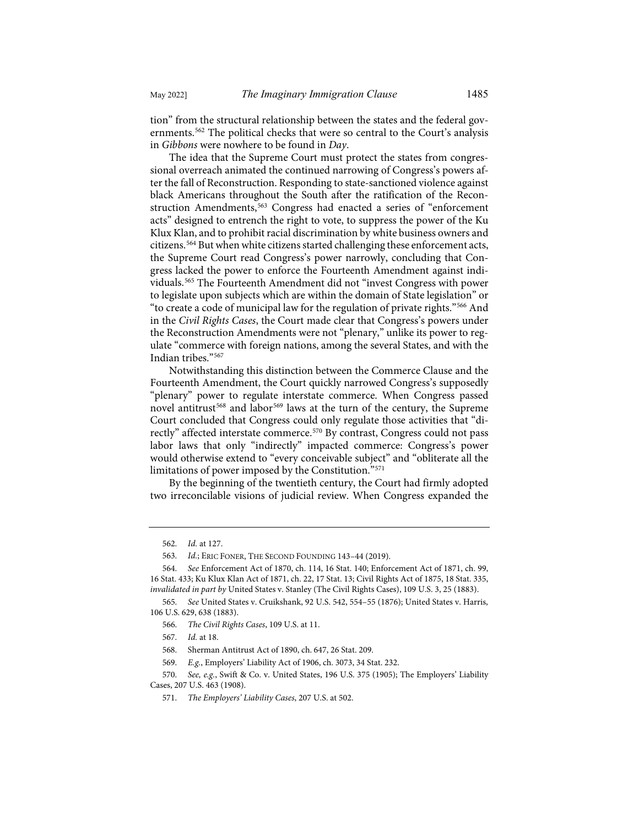tion" from the structural relationship between the states and the federal governments.[562](#page-66-0) The political checks that were so central to the Court's analysis in *Gibbons* were nowhere to be found in *Day*.

The idea that the Supreme Court must protect the states from congressional overreach animated the continued narrowing of Congress's powers after the fall of Reconstruction. Responding to state-sanctioned violence against black Americans throughout the South after the ratification of the Recon-struction Amendments,<sup>[563](#page-66-1)</sup> Congress had enacted a series of "enforcement acts" designed to entrench the right to vote, to suppress the power of the Ku Klux Klan, and to prohibit racial discrimination by white business owners and citizens.[564](#page-66-2) But when white citizens started challenging these enforcement acts, the Supreme Court read Congress's power narrowly, concluding that Congress lacked the power to enforce the Fourteenth Amendment against individuals.[565](#page-66-3) The Fourteenth Amendment did not "invest Congress with power to legislate upon subjects which are within the domain of State legislation" or "to create a code of municipal law for the regulation of private rights."[566](#page-66-4) And in the *Civil Rights Cases*, the Court made clear that Congress's powers under the Reconstruction Amendments were not "plenary," unlike its power to regulate "commerce with foreign nations, among the several States, and with the Indian tribes."[567](#page-66-5)

Notwithstanding this distinction between the Commerce Clause and the Fourteenth Amendment, the Court quickly narrowed Congress's supposedly "plenary" power to regulate interstate commerce. When Congress passed novel antitrust<sup>[568](#page-66-6)</sup> and labor<sup>[569](#page-66-7)</sup> laws at the turn of the century, the Supreme Court concluded that Congress could only regulate those activities that "di-rectly" affected interstate commerce.<sup>[570](#page-66-8)</sup> By contrast, Congress could not pass labor laws that only "indirectly" impacted commerce: Congress's power would otherwise extend to "every conceivable subject" and "obliterate all the limitations of power imposed by the Constitution.["571](#page-66-9)

By the beginning of the twentieth century, the Court had firmly adopted two irreconcilable visions of judicial review. When Congress expanded the

<span id="page-66-9"></span><span id="page-66-8"></span><span id="page-66-7"></span><span id="page-66-6"></span><span id="page-66-5"></span>570. *See, e.g.*, Swift & Co. v. United States, 196 U.S. 375 (1905); The Employers' Liability Cases, 207 U.S. 463 (1908).

<sup>562.</sup> *Id.* at 127.

<sup>563.</sup> *Id.*; ERIC FONER, THE SECOND FOUNDING 143–44 (2019).

<span id="page-66-2"></span><span id="page-66-1"></span><span id="page-66-0"></span><sup>564.</sup> *See* Enforcement Act of 1870, ch. 114, 16 Stat. 140; Enforcement Act of 1871, ch. 99, 16 Stat. 433; Ku Klux Klan Act of 1871, ch. 22, 17 Stat. 13; Civil Rights Act of 1875, 18 Stat. 335, *invalidated in part by* United States v. Stanley (The Civil Rights Cases), 109 U.S. 3, 25 (1883).

<span id="page-66-4"></span><span id="page-66-3"></span><sup>565.</sup> *See* United States v. Cruikshank, 92 U.S. 542, 554–55 (1876); United States v. Harris, 106 U.S. 629, 638 (1883).

<sup>566.</sup> *The Civil Rights Cases*, 109 U.S. at 11.

<sup>567.</sup> *Id.* at 18.

<sup>568.</sup> Sherman Antitrust Act of 1890, ch. 647, 26 Stat. 209.

<sup>569.</sup> *E.g.*, Employers' Liability Act of 1906, ch. 3073, 34 Stat. 232.

<sup>571.</sup> *The Employers' Liability Cases*, 207 U.S. at 502.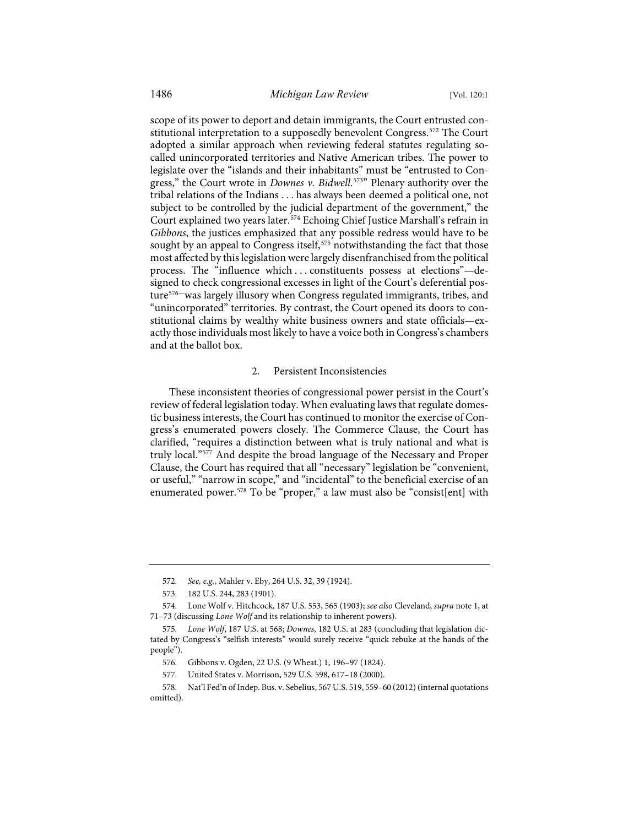scope of its power to deport and detain immigrants, the Court entrusted con-stitutional interpretation to a supposedly benevolent Congress.<sup>[572](#page-67-0)</sup> The Court adopted a similar approach when reviewing federal statutes regulating socalled unincorporated territories and Native American tribes. The power to legislate over the "islands and their inhabitants" must be "entrusted to Congress," the Court wrote in *Downes v. Bidwell*. [573](#page-67-1)" Plenary authority over the tribal relations of the Indians . . . has always been deemed a political one, not subject to be controlled by the judicial department of the government," the Court explained two years later.[574](#page-67-2) Echoing Chief Justice Marshall's refrain in *Gibbons*, the justices emphasized that any possible redress would have to be sought by an appeal to Congress itself,<sup>[575](#page-67-3)</sup> notwithstanding the fact that those most affected by this legislation were largely disenfranchised from the political process. The "influence which . . . constituents possess at elections"—designed to check congressional excesses in light of the Court's deferential posture[576—](#page-67-4)was largely illusory when Congress regulated immigrants, tribes, and "unincorporated" territories. By contrast, the Court opened its doors to constitutional claims by wealthy white business owners and state officials—exactly those individuals most likely to have a voice both in Congress's chambers and at the ballot box.

#### 2. Persistent Inconsistencies

These inconsistent theories of congressional power persist in the Court's review of federal legislation today. When evaluating laws that regulate domestic business interests, the Court has continued to monitor the exercise of Congress's enumerated powers closely. The Commerce Clause, the Court has clarified, "requires a distinction between what is truly national and what is truly local."[577](#page-67-5) And despite the broad language of the Necessary and Proper Clause, the Court has required that all "necessary" legislation be "convenient, or useful," "narrow in scope," and "incidental" to the beneficial exercise of an enumerated power.<sup>[578](#page-67-6)</sup> To be "proper," a law must also be "consist[ent] with

<sup>572.</sup> *See, e.g.*, Mahler v. Eby, 264 U.S. 32, 39 (1924).

<sup>573. 182</sup> U.S. 244, 283 (1901).

<span id="page-67-2"></span><span id="page-67-1"></span><span id="page-67-0"></span><sup>574.</sup> Lone Wolf v. Hitchcock, 187 U.S. 553, 565 (1903); *see also* Cleveland, *supra* not[e 1,](#page-2-0) at 71–73 (discussing *Lone Wolf* and its relationship to inherent powers).

<span id="page-67-3"></span><sup>575.</sup> *Lone Wolf*, 187 U.S. at 568; *Downes*, 182 U.S. at 283 (concluding that legislation dictated by Congress's "selfish interests" would surely receive "quick rebuke at the hands of the people").

<sup>576.</sup> Gibbons v. Ogden, 22 U.S. (9 Wheat.) 1, 196–97 (1824).

<sup>577.</sup> United States v. Morrison, 529 U.S. 598, 617–18 (2000).

<span id="page-67-6"></span><span id="page-67-5"></span><span id="page-67-4"></span><sup>578.</sup> Nat'l Fed'n of Indep. Bus. v. Sebelius, 567 U.S. 519, 559–60 (2012) (internal quotations omitted).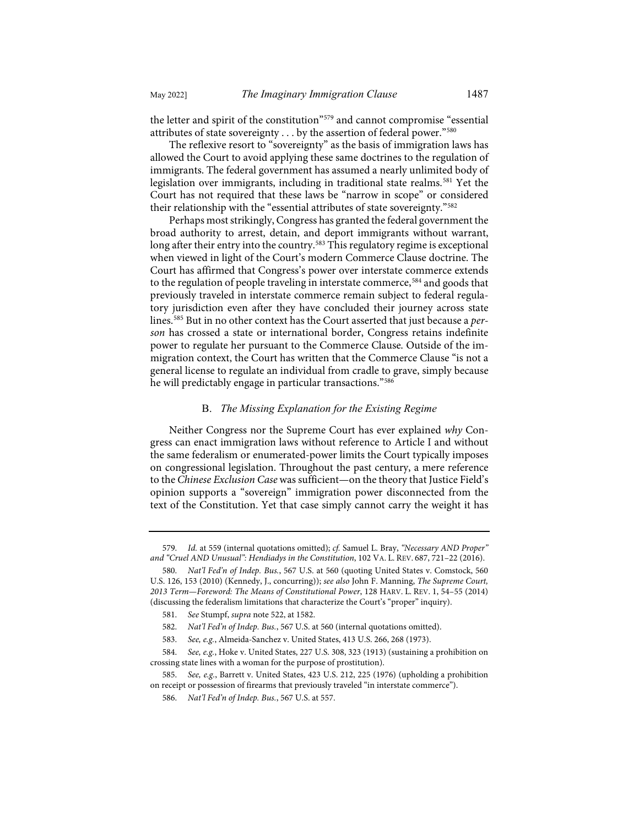the letter and spirit of the constitution["579](#page-68-0) and cannot compromise "essential attributes of state sovereignty . . . by the assertion of federal power."[580](#page-68-1)

The reflexive resort to "sovereignty" as the basis of immigration laws has allowed the Court to avoid applying these same doctrines to the regulation of immigrants. The federal government has assumed a nearly unlimited body of legislation over immigrants, including in traditional state realms.<sup>[581](#page-68-2)</sup> Yet the Court has not required that these laws be "narrow in scope" or considered their relationship with the "essential attributes of state sovereignty."<sup>[582](#page-68-3)</sup>

Perhaps most strikingly, Congress has granted the federal government the broad authority to arrest, detain, and deport immigrants without warrant, long after their entry into the country.<sup>583</sup> This regulatory regime is exceptional when viewed in light of the Court's modern Commerce Clause doctrine. The Court has affirmed that Congress's power over interstate commerce extends to the regulation of people traveling in interstate commerce,<sup>[584](#page-68-5)</sup> and goods that previously traveled in interstate commerce remain subject to federal regulatory jurisdiction even after they have concluded their journey across state lines.[585](#page-68-6) But in no other context has the Court asserted that just because a *person* has crossed a state or international border, Congress retains indefinite power to regulate her pursuant to the Commerce Clause. Outside of the immigration context, the Court has written that the Commerce Clause "is not a general license to regulate an individual from cradle to grave, simply because he will predictably engage in particular transactions."[586](#page-68-7)

### B. *The Missing Explanation for the Existing Regime*

Neither Congress nor the Supreme Court has ever explained *why* Congress can enact immigration laws without reference to Article I and without the same federalism or enumerated-power limits the Court typically imposes on congressional legislation. Throughout the past century, a mere reference to the *Chinese Exclusion Case* was sufficient—on the theory that Justice Field's opinion supports a "sovereign" immigration power disconnected from the text of the Constitution. Yet that case simply cannot carry the weight it has

<span id="page-68-0"></span><sup>579.</sup> *Id.* at 559 (internal quotations omitted); *cf.* Samuel L. Bray, *"Necessary AND Proper" and "Cruel AND Unusual": Hendiadys in the Constitution*, 102 VA. L. REV. 687, 721–22 (2016).

<span id="page-68-1"></span><sup>580.</sup> *Nat'l Fed'n of Indep. Bus.*, 567 U.S. at 560 (quoting United States v. Comstock, 560 U.S. 126, 153 (2010) (Kennedy, J., concurring)); *see also* John F. Manning, *The Supreme Court, 2013 Term—Foreword: The Means of Constitutional Power*, 128 HARV. L. REV. 1, 54–55 (2014) (discussing the federalism limitations that characterize the Court's "proper" inquiry).

<sup>581.</sup> *See* Stumpf, *supra* not[e 522,](#page-61-11) at 1582.

<sup>582.</sup> *Nat'l Fed'n of Indep. Bus.*, 567 U.S. at 560 (internal quotations omitted).

<sup>583.</sup> *See, e.g.*, Almeida-Sanchez v. United States, 413 U.S. 266, 268 (1973).

<span id="page-68-5"></span><span id="page-68-4"></span><span id="page-68-3"></span><span id="page-68-2"></span><sup>584.</sup> *See, e.g.*, Hoke v. United States, 227 U.S. 308, 323 (1913) (sustaining a prohibition on crossing state lines with a woman for the purpose of prostitution).

<span id="page-68-7"></span><span id="page-68-6"></span><sup>585.</sup> *See, e.g.*, Barrett v. United States, 423 U.S. 212, 225 (1976) (upholding a prohibition on receipt or possession of firearms that previously traveled "in interstate commerce").

<sup>586.</sup> *Nat'l Fed'n of Indep. Bus.*, 567 U.S. at 557.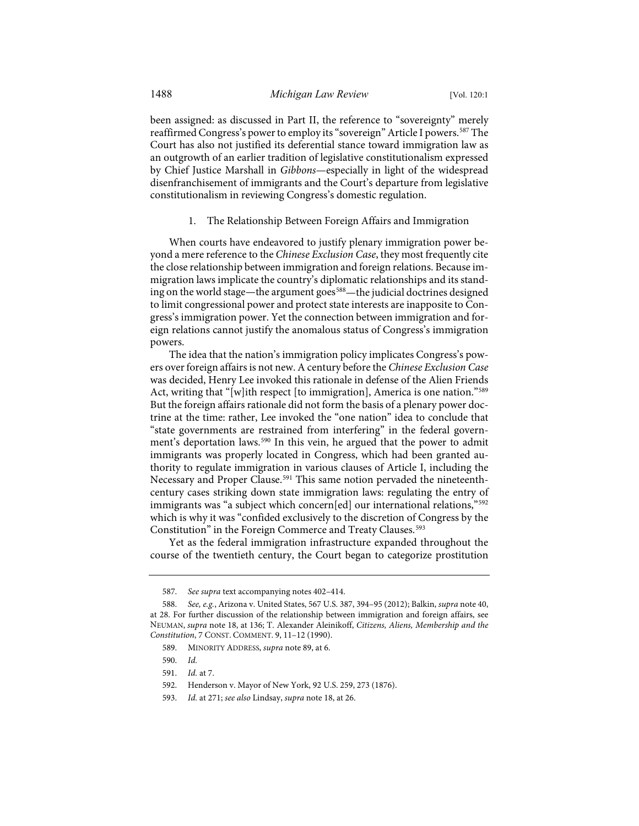been assigned: as discussed in Part II, the reference to "sovereignty" merely reaffirmed Congress's power to employ its "sovereign" Article I powers.<sup>587</sup> The Court has also not justified its deferential stance toward immigration law as an outgrowth of an earlier tradition of legislative constitutionalism expressed by Chief Justice Marshall in *Gibbons*—especially in light of the widespread disenfranchisement of immigrants and the Court's departure from legislative constitutionalism in reviewing Congress's domestic regulation.

1. The Relationship Between Foreign Affairs and Immigration

When courts have endeavored to justify plenary immigration power beyond a mere reference to the *Chinese Exclusion Case*, they most frequently cite the close relationship between immigration and foreign relations. Because immigration laws implicate the country's diplomatic relationships and its stand-ing on the world stage—the argument goes<sup>[588](#page-69-1)</sup>—the judicial doctrines designed to limit congressional power and protect state interests are inapposite to Congress's immigration power. Yet the connection between immigration and foreign relations cannot justify the anomalous status of Congress's immigration powers.

The idea that the nation's immigration policy implicates Congress's powers over foreign affairs is not new. A century before the *Chinese Exclusion Case* was decided, Henry Lee invoked this rationale in defense of the Alien Friends Act, writing that "[w]ith respect [to immigration], America is one nation."<sup>[589](#page-69-2)</sup> But the foreign affairs rationale did not form the basis of a plenary power doctrine at the time: rather, Lee invoked the "one nation" idea to conclude that "state governments are restrained from interfering" in the federal government's deportation laws.[590](#page-69-3) In this vein, he argued that the power to admit immigrants was properly located in Congress, which had been granted authority to regulate immigration in various clauses of Article I, including the Necessary and Proper Clause.<sup>[591](#page-69-4)</sup> This same notion pervaded the nineteenthcentury cases striking down state immigration laws: regulating the entry of immigrants was "a subject which concern[ed] our international relations,"<sup>[592](#page-69-5)</sup> which is why it was "confided exclusively to the discretion of Congress by the Constitution" in the Foreign Commerce and Treaty Clauses.<sup>[593](#page-69-6)</sup>

Yet as the federal immigration infrastructure expanded throughout the course of the twentieth century, the Court began to categorize prostitution

<sup>587.</sup> *See supra* text accompanying note[s 402–](#page-47-10)[414.](#page-48-7)

<span id="page-69-3"></span><span id="page-69-2"></span><span id="page-69-1"></span><span id="page-69-0"></span><sup>588.</sup> *See, e.g.*, Arizona v. United States, 567 U.S. 387, 394–95 (2012); Balkin, *supra* not[e 40,](#page-7-1)  at 28. For further discussion of the relationship between immigration and foreign affairs, see NEUMAN, *supra* not[e 18,](#page-4-0) at 136; T. Alexander Aleinikoff, *Citizens, Aliens, Membership and the Constitution*, 7 CONST. COMMENT. 9, 11–12 (1990).

<sup>589.</sup> MINORITY ADDRESS, *supra* not[e 89,](#page-13-0) at 6.

<sup>590.</sup> *Id.*

<span id="page-69-4"></span><sup>591.</sup> *Id.* at 7.

<sup>592.</sup> Henderson v. Mayor of New York, 92 U.S. 259, 273 (1876).

<span id="page-69-6"></span><span id="page-69-5"></span><sup>593.</sup> *Id.* at 271; *see also* Lindsay, *supra* not[e 18,](#page-4-0) at 26.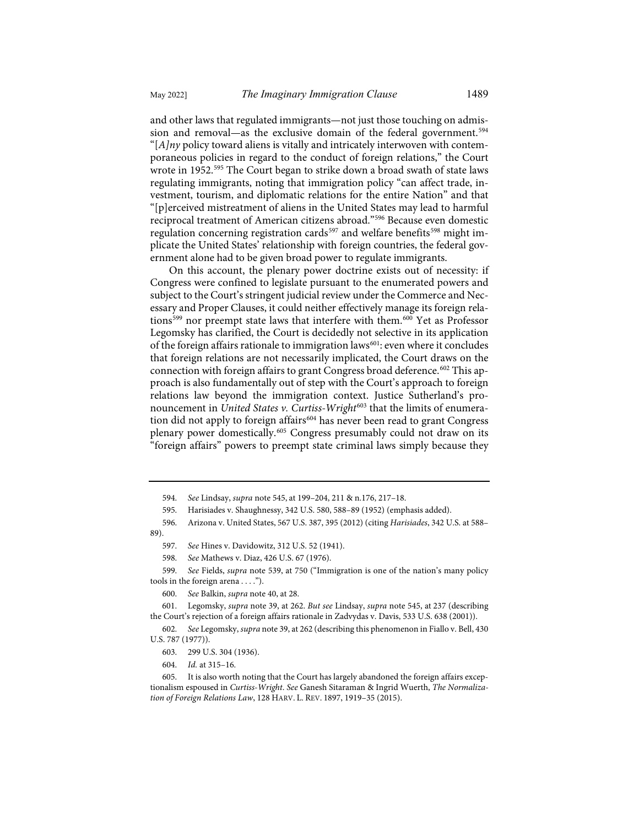and other laws that regulated immigrants—not just those touching on admis-sion and removal—as the exclusive domain of the federal government.<sup>[594](#page-70-0)</sup> "[*A]ny* policy toward aliens is vitally and intricately interwoven with contemporaneous policies in regard to the conduct of foreign relations," the Court wrote in 1952.[595](#page-70-1) The Court began to strike down a broad swath of state laws regulating immigrants, noting that immigration policy "can affect trade, investment, tourism, and diplomatic relations for the entire Nation" and that "[p]erceived mistreatment of aliens in the United States may lead to harmful reciprocal treatment of American citizens abroad."[596](#page-70-2) Because even domestic regulation concerning registration cards<sup>[597](#page-70-3)</sup> and welfare benefits<sup>[598](#page-70-4)</sup> might implicate the United States' relationship with foreign countries, the federal government alone had to be given broad power to regulate immigrants.

On this account, the plenary power doctrine exists out of necessity: if Congress were confined to legislate pursuant to the enumerated powers and subject to the Court's stringent judicial review under the Commerce and Necessary and Proper Clauses, it could neither effectively manage its foreign rela-tions<sup>599</sup> nor preempt state laws that interfere with them.<sup>[600](#page-70-6)</sup> Yet as Professor Legomsky has clarified, the Court is decidedly not selective in its application of the foreign affairs rationale to immigration laws<sup>[601](#page-70-7)</sup>: even where it concludes that foreign relations are not necessarily implicated, the Court draws on the connection with foreign affairs to grant Congress broad deference.<sup>[602](#page-70-8)</sup> This approach is also fundamentally out of step with the Court's approach to foreign relations law beyond the immigration context. Justice Sutherland's pronouncement in *United States v. Curtiss-Wright<sup>[603](#page-70-9)</sup>* that the limits of enumera-tion did not apply to foreign affairs<sup>[604](#page-70-10)</sup> has never been read to grant Congress plenary power domestically.<sup>[605](#page-70-11)</sup> Congress presumably could not draw on its "foreign affairs" powers to preempt state criminal laws simply because they

<span id="page-70-5"></span><span id="page-70-4"></span>599. *See* Fields, *supra* note [539,](#page-62-11) at 750 ("Immigration is one of the nation's many policy tools in the foreign arena . . . .").

600. *See* Balkin, *supra* not[e 40,](#page-7-1) at 28.

<span id="page-70-7"></span><span id="page-70-6"></span>601. Legomsky, *supra* not[e 39,](#page-7-0) at 262. *But see* Lindsay, *supra* not[e 545,](#page-63-6) at 237 (describing the Court's rejection of a foreign affairs rationale in Zadvydas v. Davis, 533 U.S. 638 (2001)).

<span id="page-70-9"></span><span id="page-70-8"></span>602. *See* Legomsky, *supra* not[e 39,](#page-7-0) at 262 (describing this phenomenon in Fiallo v. Bell, 430 U.S. 787 (1977)).

604. *Id.* at 315–16.

<sup>594.</sup> *See* Lindsay, *supra* not[e 545,](#page-63-6) at 199–204, 211 & n.176, 217–18.

<sup>595.</sup> Harisiades v. Shaughnessy, 342 U.S. 580, 588–89 (1952) (emphasis added).

<span id="page-70-3"></span><span id="page-70-2"></span><span id="page-70-1"></span><span id="page-70-0"></span><sup>596.</sup> Arizona v. United States, 567 U.S. 387, 395 (2012) (citing *Harisiades*, 342 U.S. at 588– 89).

<sup>597.</sup> *See* Hines v. Davidowitz, 312 U.S. 52 (1941).

<sup>598.</sup> *See* Mathews v. Diaz, 426 U.S. 67 (1976).

<sup>603. 299</sup> U.S. 304 (1936).

<span id="page-70-11"></span><span id="page-70-10"></span><sup>605.</sup> It is also worth noting that the Court has largely abandoned the foreign affairs exceptionalism espoused in *Curtiss-Wright*. *See* Ganesh Sitaraman & Ingrid Wuerth, *The Normalization of Foreign Relations Law*, 128 HARV. L. REV. 1897, 1919–35 (2015).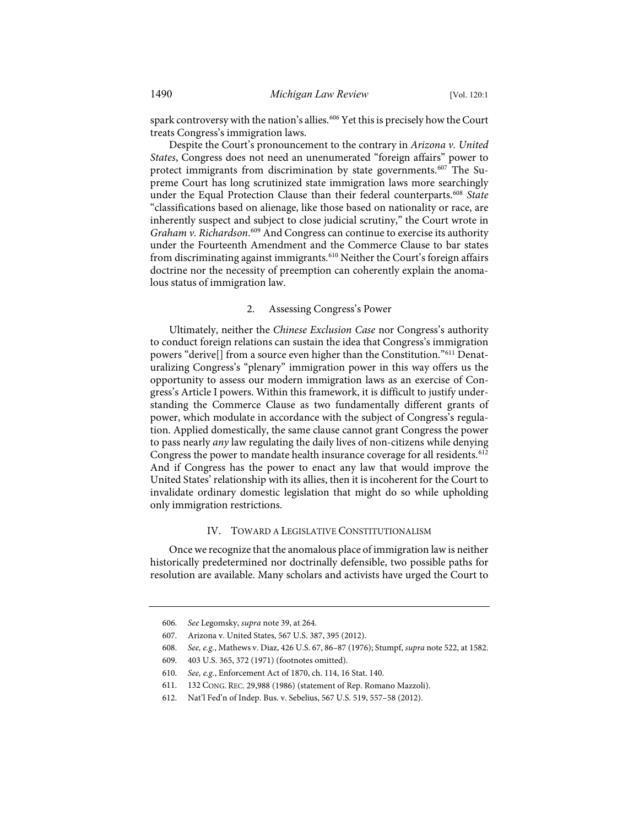spark controversy with the nation's allies.[606](#page-71-0) Yet this is precisely how the Court treats Congress's immigration laws.

Despite the Court's pronouncement to the contrary in *Arizona v. United States*, Congress does not need an unenumerated "foreign affairs" power to protect immigrants from discrimination by state governments.<sup>[607](#page-71-1)</sup> The Supreme Court has long scrutinized state immigration laws more searchingly under the Equal Protection Clause than their federal counterparts.[608](#page-71-2) *State* "classifications based on alienage, like those based on nationality or race, are inherently suspect and subject to close judicial scrutiny," the Court wrote in Graham v. Richardson.<sup>[609](#page-71-3)</sup> And Congress can continue to exercise its authority under the Fourteenth Amendment and the Commerce Clause to bar states from discriminating against immigrants.<sup>[610](#page-71-4)</sup> Neither the Court's foreign affairs doctrine nor the necessity of preemption can coherently explain the anomalous status of immigration law.

# 2. Assessing Congress's Power

Ultimately, neither the *Chinese Exclusion Case* nor Congress's authority to conduct foreign relations can sustain the idea that Congress's immigration powers "derive[] from a source even higher than the Constitution."<sup>[611](#page-71-5)</sup> Denaturalizing Congress's "plenary" immigration power in this way offers us the opportunity to assess our modern immigration laws as an exercise of Congress's Article I powers. Within this framework, it is difficult to justify understanding the Commerce Clause as two fundamentally different grants of power, which modulate in accordance with the subject of Congress's regulation. Applied domestically, the same clause cannot grant Congress the power to pass nearly *any* law regulating the daily lives of non-citizens while denying Congress the power to mandate health insurance coverage for all residents.<sup>[612](#page-71-6)</sup> And if Congress has the power to enact any law that would improve the United States' relationship with its allies, then it is incoherent for the Court to invalidate ordinary domestic legislation that might do so while upholding only immigration restrictions.

#### IV. TOWARD A LEGISLATIVE CONSTITUTIONALISM

Once we recognize that the anomalous place of immigration law is neither historically predetermined nor doctrinally defensible, two possible paths for resolution are available. Many scholars and activists have urged the Court to

<sup>606.</sup> *See* Legomsky, *supra* not[e 39,](#page-7-0) at 264.

<span id="page-71-2"></span><span id="page-71-1"></span><span id="page-71-0"></span><sup>607.</sup> Arizona v. United States, 567 U.S. 387, 395 (2012).

<sup>608.</sup> *See, e.g.*, Mathews v. Diaz, 426 U.S. 67, 86–87 (1976); Stumpf, *supra* not[e 522,](#page-61-11) at 1582.

<span id="page-71-3"></span><sup>609. 403</sup> U.S. 365, 372 (1971) (footnotes omitted).

<sup>610.</sup> *See, e.g.*, Enforcement Act of 1870, ch. 114, 16 Stat. 140.

<span id="page-71-6"></span><span id="page-71-5"></span><span id="page-71-4"></span><sup>611. 132</sup> CONG. REC. 29,988 (1986) (statement of Rep. Romano Mazzoli).

<sup>612.</sup> Nat'l Fed'n of Indep. Bus. v. Sebelius, 567 U.S. 519, 557–58 (2012).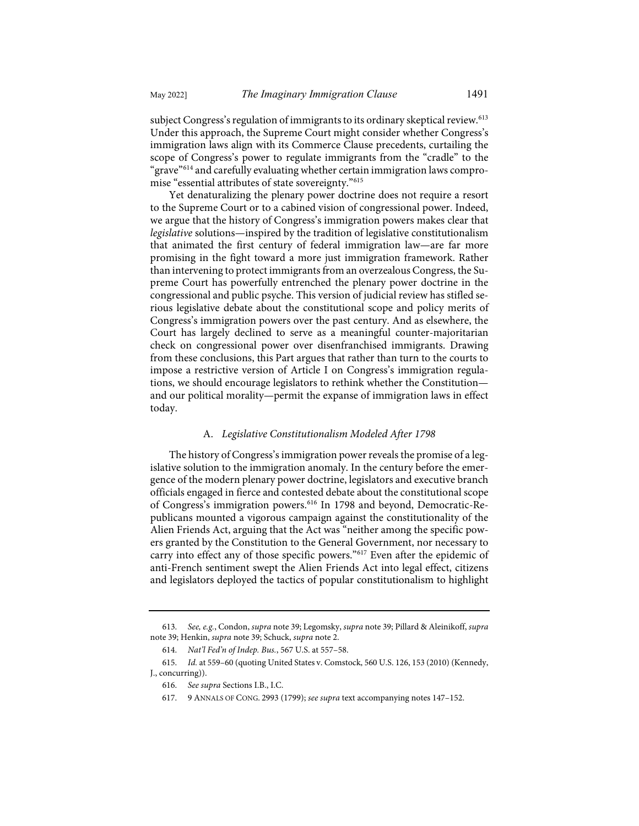subject Congress's regulation of immigrants to its ordinary skeptical review.<sup>[613](#page-72-0)</sup> Under this approach, the Supreme Court might consider whether Congress's immigration laws align with its Commerce Clause precedents, curtailing the scope of Congress's power to regulate immigrants from the "cradle" to the "grave"[614](#page-72-1) and carefully evaluating whether certain immigration laws compromise "essential attributes of state sovereignty."[615](#page-72-2)

Yet denaturalizing the plenary power doctrine does not require a resort to the Supreme Court or to a cabined vision of congressional power. Indeed, we argue that the history of Congress's immigration powers makes clear that *legislative* solutions—inspired by the tradition of legislative constitutionalism that animated the first century of federal immigration law—are far more promising in the fight toward a more just immigration framework. Rather than intervening to protect immigrants from an overzealous Congress, the Supreme Court has powerfully entrenched the plenary power doctrine in the congressional and public psyche. This version of judicial review has stifled serious legislative debate about the constitutional scope and policy merits of Congress's immigration powers over the past century. And as elsewhere, the Court has largely declined to serve as a meaningful counter-majoritarian check on congressional power over disenfranchised immigrants. Drawing from these conclusions, this Part argues that rather than turn to the courts to impose a restrictive version of Article I on Congress's immigration regulations, we should encourage legislators to rethink whether the Constitution and our political morality—permit the expanse of immigration laws in effect today.

## A. *Legislative Constitutionalism Modeled After 1798*

The history of Congress's immigration power reveals the promise of a legislative solution to the immigration anomaly. In the century before the emergence of the modern plenary power doctrine, legislators and executive branch officials engaged in fierce and contested debate about the constitutional scope of Congress's immigration powers[.616](#page-72-3) In 1798 and beyond, Democratic-Republicans mounted a vigorous campaign against the constitutionality of the Alien Friends Act, arguing that the Act was "neither among the specific powers granted by the Constitution to the General Government, nor necessary to carry into effect any of those specific powers."[617](#page-72-4) Even after the epidemic of anti-French sentiment swept the Alien Friends Act into legal effect, citizens and legislators deployed the tactics of popular constitutionalism to highlight

<span id="page-72-0"></span><sup>613.</sup> *See, e.g.*, Condon, *supra* not[e 39;](#page-7-0) Legomsky, *supra* not[e 39;](#page-7-0) Pillard & Aleinikoff, *supra* not[e 39;](#page-7-0) Henkin, *supra* note [39;](#page-7-0) Schuck, *supra* not[e 2.](#page-2-0)

<sup>614.</sup> *Nat'l Fed'n of Indep. Bus.*, 567 U.S. at 557–58.

<span id="page-72-4"></span><span id="page-72-3"></span><span id="page-72-2"></span><span id="page-72-1"></span><sup>615.</sup> *Id.* at 559–60 (quoting United States v. Comstock, 560 U.S. 126, 153 (2010) (Kennedy, J., concurring)).

<sup>616.</sup> *See supra* Sections I.B., I.C.

<sup>617. 9</sup> ANNALS OF CONG. 2993 (1799); *see supra* text accompanying note[s 147–](#page-20-0)[152.](#page-20-1)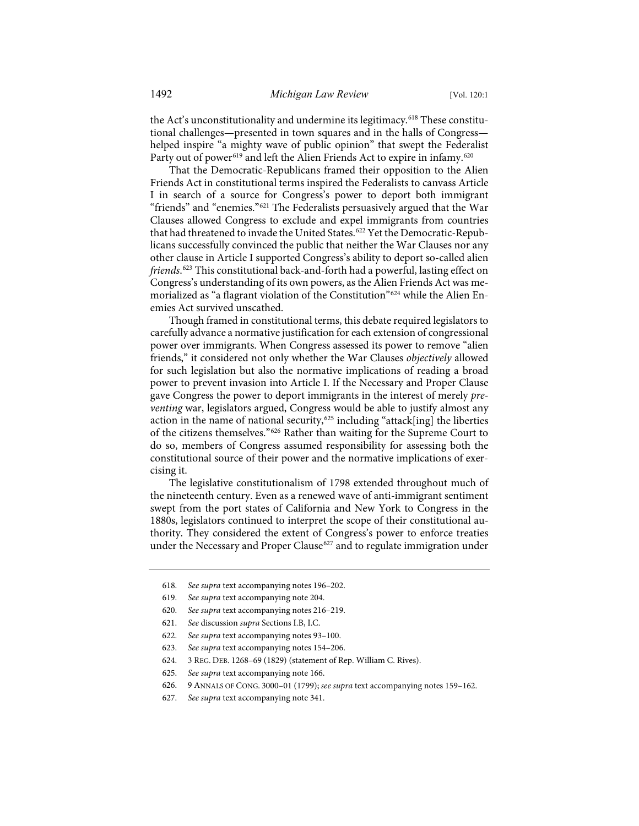the Act's unconstitutionality and undermine its legitimacy.<sup>[618](#page-73-0)</sup> These constitutional challenges—presented in town squares and in the halls of Congress helped inspire "a mighty wave of public opinion" that swept the Federalist Party out of power<sup>[619](#page-73-1)</sup> and left the Alien Friends Act to expire in infamy.<sup>620</sup>

That the Democratic-Republicans framed their opposition to the Alien Friends Act in constitutional terms inspired the Federalists to canvass Article I in search of a source for Congress's power to deport both immigrant "friends" and "enemies."[621](#page-73-3) The Federalists persuasively argued that the War Clauses allowed Congress to exclude and expel immigrants from countries that had threatened to invade the United States.<sup>[622](#page-73-4)</sup> Yet the Democratic-Republicans successfully convinced the public that neither the War Clauses nor any other clause in Article I supported Congress's ability to deport so-called alien *friends*. [623](#page-73-5) This constitutional back-and-forth had a powerful, lasting effect on Congress's understanding of its own powers, as the Alien Friends Act was me-morialized as "a flagrant violation of the Constitution"<sup>[624](#page-73-6)</sup> while the Alien Enemies Act survived unscathed.

Though framed in constitutional terms, this debate required legislators to carefully advance a normative justification for each extension of congressional power over immigrants. When Congress assessed its power to remove "alien friends," it considered not only whether the War Clauses *objectively* allowed for such legislation but also the normative implications of reading a broad power to prevent invasion into Article I. If the Necessary and Proper Clause gave Congress the power to deport immigrants in the interest of merely *preventing* war, legislators argued, Congress would be able to justify almost any action in the name of national security,<sup>[625](#page-73-7)</sup> including "attack[ing] the liberties of the citizens themselves."[626](#page-73-8) Rather than waiting for the Supreme Court to do so, members of Congress assumed responsibility for assessing both the constitutional source of their power and the normative implications of exercising it.

The legislative constitutionalism of 1798 extended throughout much of the nineteenth century. Even as a renewed wave of anti-immigrant sentiment swept from the port states of California and New York to Congress in the 1880s, legislators continued to interpret the scope of their constitutional authority. They considered the extent of Congress's power to enforce treaties under the Necessary and Proper Clause<sup>[627](#page-73-9)</sup> and to regulate immigration under

<span id="page-73-0"></span><sup>618.</sup> *See supra* text accompanying note[s 196–](#page-25-0)[202.](#page-25-1)

<span id="page-73-2"></span><span id="page-73-1"></span><sup>619.</sup> *See supra* text accompanying not[e 204.](#page-26-0) 

<sup>620.</sup> *See supra* text accompanying note[s 216–](#page-27-0)[219.](#page-27-1)

<span id="page-73-4"></span><span id="page-73-3"></span><sup>621.</sup> *See* discussion *supra* Sections I.B, I.C.

<sup>622.</sup> *See supra* text accompanying note[s 93–](#page-14-0)[100.](#page-14-1) 

<span id="page-73-5"></span><sup>623.</sup> *See supra* text accompanying note[s 154–](#page-20-2)[206.](#page-26-1)

<sup>624. 3</sup> REG. DEB. 1268–69 (1829) (statement of Rep. William C. Rives).

<span id="page-73-8"></span><span id="page-73-7"></span><span id="page-73-6"></span><sup>625.</sup> *See supra* text accompanying not[e 166.](#page-21-0) 

<sup>626. 9</sup> ANNALS OF CONG. 3000–01 (1799); *see supra* text accompanying note[s 159](#page-21-1)[–162.](#page-21-2) 

<span id="page-73-9"></span><sup>627.</sup> *See supra* text accompanying not[e 341.](#page-41-0)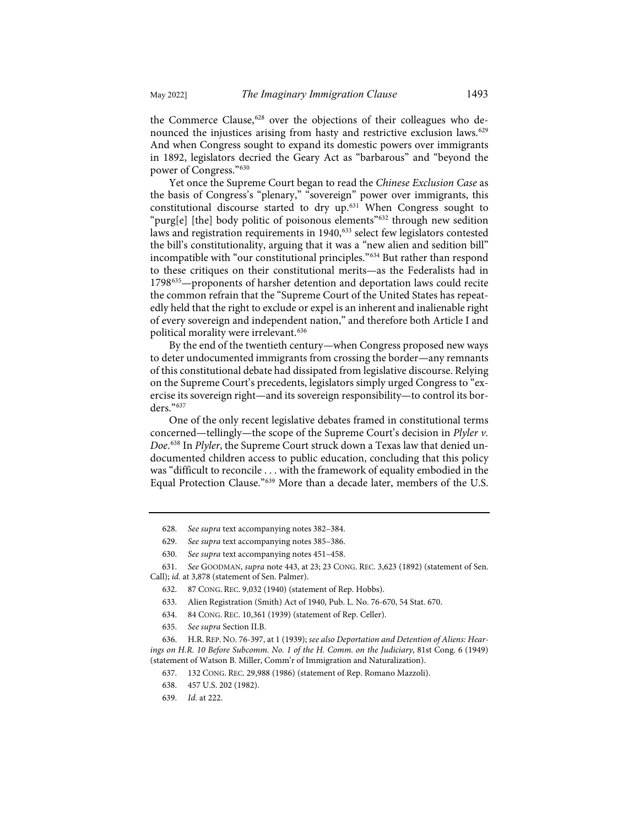the Commerce Clause,<sup>[628](#page-74-0)</sup> over the objections of their colleagues who de-nounced the injustices arising from hasty and restrictive exclusion laws.<sup>[629](#page-74-1)</sup> And when Congress sought to expand its domestic powers over immigrants in 1892, legislators decried the Geary Act as "barbarous" and "beyond the power of Congress."[630](#page-74-2)

Yet once the Supreme Court began to read the *Chinese Exclusion Case* as the basis of Congress's "plenary," "sovereign" power over immigrants, this constitutional discourse started to dry up.[631](#page-74-3) When Congress sought to "purg[e] [the] body politic of poisonous elements"<sup>[632](#page-74-4)</sup> through new sedition laws and registration requirements in 1940,<sup>[633](#page-74-5)</sup> select few legislators contested the bill's constitutionality, arguing that it was a "new alien and sedition bill" incompatible with "our constitutional principles."[634](#page-74-6) But rather than respond to these critiques on their constitutional merits—as the Federalists had in 1798[635](#page-74-7)—proponents of harsher detention and deportation laws could recite the common refrain that the "Supreme Court of the United States has repeatedly held that the right to exclude or expel is an inherent and inalienable right of every sovereign and independent nation," and therefore both Article I and political morality were irrelevant.[636](#page-74-8)

By the end of the twentieth century—when Congress proposed new ways to deter undocumented immigrants from crossing the border—any remnants of this constitutional debate had dissipated from legislative discourse. Relying on the Supreme Court's precedents, legislators simply urged Congress to "exercise its sovereign right—and its sovereign responsibility—to control its borders."[637](#page-74-9)

One of the only recent legislative debates framed in constitutional terms concerned—tellingly—the scope of the Supreme Court's decision in *Plyler v. Doe*. [638](#page-74-10) In *Plyler*, the Supreme Court struck down a Texas law that denied undocumented children access to public education, concluding that this policy was "difficult to reconcile . . . with the framework of equality embodied in the Equal Protection Clause."[639](#page-74-11) More than a decade later, members of the U.S.

<span id="page-74-5"></span><span id="page-74-4"></span><span id="page-74-3"></span><span id="page-74-2"></span><span id="page-74-1"></span><span id="page-74-0"></span>631. *See* GOODMAN, *supra* not[e 443,](#page-52-0) at 23; 23 CONG. REC. 3,623 (1892) (statement of Sen. Call); *id.* at 3,878 (statement of Sen. Palmer).

- 633. Alien Registration (Smith) Act of 1940, Pub. L. No. 76-670, 54 Stat. 670.
- 634. 84 CONG. REC. 10,361 (1939) (statement of Rep. Celler).
- 635. *See supra* Section II.B.

<span id="page-74-11"></span><span id="page-74-10"></span><span id="page-74-9"></span><span id="page-74-8"></span><span id="page-74-7"></span><span id="page-74-6"></span>636. H.R. REP. NO. 76-397, at 1 (1939); *see also Deportation and Detention of Aliens: Hearings on H.R. 10 Before Subcomm. No. 1 of the H. Comm. on the Judiciary*, 81st Cong. 6 (1949) (statement of Watson B. Miller, Comm'r of Immigration and Naturalization).

<sup>628.</sup> *See supra* text accompanying note[s 382–](#page-45-0)[384.](#page-45-1)

<sup>629.</sup> *See supra* text accompanying note[s 385–](#page-45-2)[386.](#page-45-3)

<sup>630.</sup> *See supra* text accompanying note[s 451–](#page-53-0)[458.](#page-53-1)

<sup>632. 87</sup> CONG. REC. 9,032 (1940) (statement of Rep. Hobbs).

<sup>637. 132</sup> CONG. REC. 29,988 (1986) (statement of Rep. Romano Mazzoli).

<sup>638. 457</sup> U.S. 202 (1982).

<sup>639.</sup> *Id.* at 222.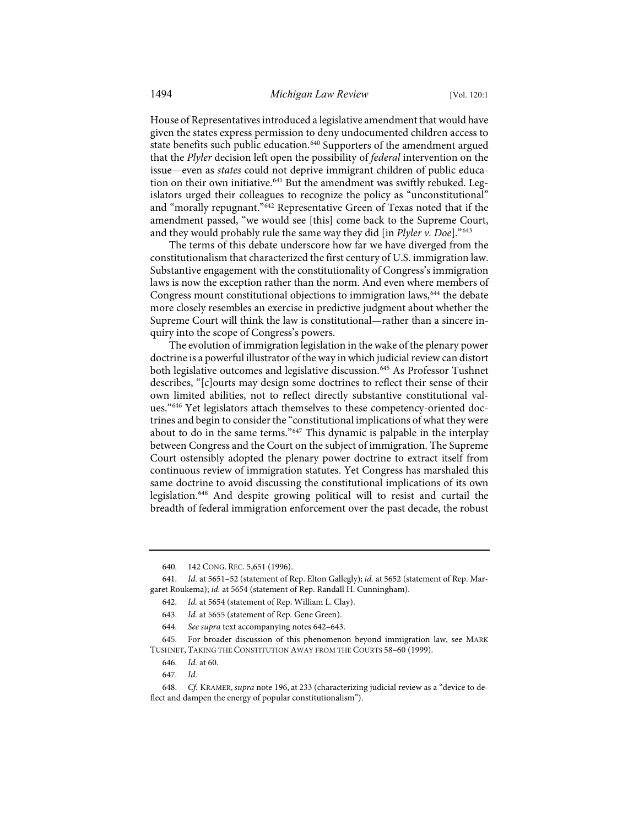House of Representatives introduced a legislative amendment that would have given the states express permission to deny undocumented children access to state benefits such public education.<sup>[640](#page-75-2)</sup> Supporters of the amendment argued that the *Plyler* decision left open the possibility of *federal* intervention on the issue—even as *states* could not deprive immigrant children of public educa-tion on their own initiative.<sup>[641](#page-75-3)</sup> But the amendment was swiftly rebuked. Legislators urged their colleagues to recognize the policy as "unconstitutional" and "morally repugnant.["642](#page-75-4) Representative Green of Texas noted that if the amendment passed, "we would see [this] come back to the Supreme Court, and they would probably rule the same way they did [in *Plyler v. Doe*]."[643](#page-75-5)

<span id="page-75-1"></span><span id="page-75-0"></span>The terms of this debate underscore how far we have diverged from the constitutionalism that characterized the first century of U.S. immigration law. Substantive engagement with the constitutionality of Congress's immigration laws is now the exception rather than the norm. And even where members of Congress mount constitutional objections to immigration laws,<sup>[644](#page-75-6)</sup> the debate more closely resembles an exercise in predictive judgment about whether the Supreme Court will think the law is constitutional—rather than a sincere inquiry into the scope of Congress's powers.

<span id="page-75-11"></span>The evolution of immigration legislation in the wake of the plenary power doctrine is a powerful illustrator of the way in which judicial review can distort both legislative outcomes and legislative discussion.<sup>[645](#page-75-7)</sup> As Professor Tushnet describes, "[c]ourts may design some doctrines to reflect their sense of their own limited abilities, not to reflect directly substantive constitutional values."[646](#page-75-8) Yet legislators attach themselves to these competency-oriented doctrines and begin to consider the "constitutional implications of what they were about to do in the same terms."[647](#page-75-9) This dynamic is palpable in the interplay between Congress and the Court on the subject of immigration. The Supreme Court ostensibly adopted the plenary power doctrine to extract itself from continuous review of immigration statutes. Yet Congress has marshaled this same doctrine to avoid discussing the constitutional implications of its own legislation.[648](#page-75-10) And despite growing political will to resist and curtail the breadth of federal immigration enforcement over the past decade, the robust

<sup>640. 142</sup> CONG. REC. 5,651 (1996).

<span id="page-75-4"></span><span id="page-75-3"></span><span id="page-75-2"></span><sup>641.</sup> *Id.* at 5651–52 (statement of Rep. Elton Gallegly); *id.* at 5652 (statement of Rep. Margaret Roukema); *id.* at 5654 (statement of Rep. Randall H. Cunningham).

<sup>642.</sup> *Id.* at 5654 (statement of Rep. William L. Clay).

<sup>643.</sup> *Id.* at 5655 (statement of Rep. Gene Green).

<sup>644.</sup> *See supra* text accompanying note[s 642–](#page-75-0)[643.](#page-75-1)

<span id="page-75-8"></span><span id="page-75-7"></span><span id="page-75-6"></span><span id="page-75-5"></span><sup>645.</sup> For broader discussion of this phenomenon beyond immigration law, see MARK TUSHNET, TAKING THE CONSTITUTION AWAY FROM THE COURTS 58–60 (1999).

<sup>646.</sup> *Id.* at 60.

<sup>647.</sup> *Id.*

<span id="page-75-10"></span><span id="page-75-9"></span><sup>648.</sup> *Cf.* KRAMER, *supra* not[e 196,](#page-25-0) at 233 (characterizing judicial review as a "device to deflect and dampen the energy of popular constitutionalism").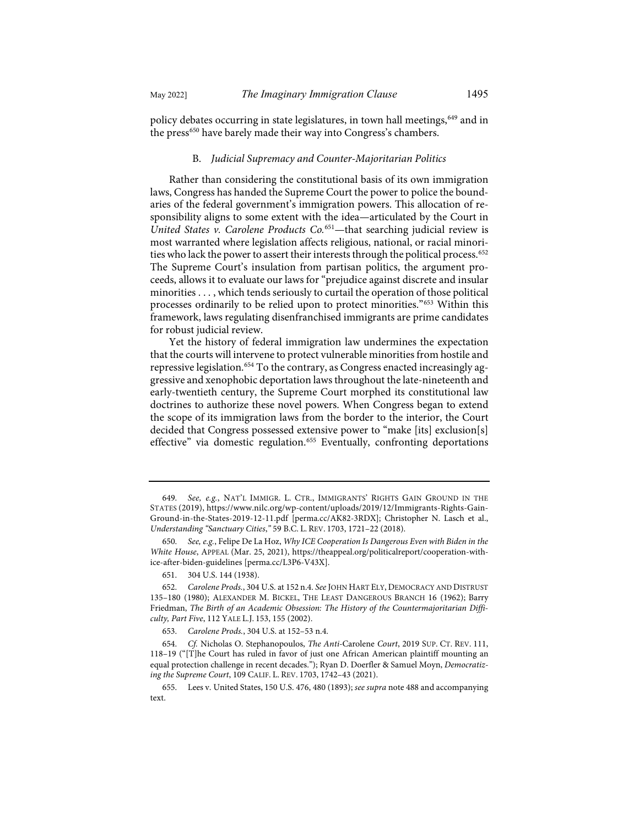policy debates occurring in state legislatures, in town hall meetings, <sup>[649](#page-76-0)</sup> and in the press<sup>[650](#page-76-1)</sup> have barely made their way into Congress's chambers.

## B. *Judicial Supremacy and Counter-Majoritarian Politics*

Rather than considering the constitutional basis of its own immigration laws, Congress has handed the Supreme Court the power to police the boundaries of the federal government's immigration powers. This allocation of responsibility aligns to some extent with the idea—articulated by the Court in *United States v. Carolene Products Co.*[651—](#page-76-2)that searching judicial review is most warranted where legislation affects religious, national, or racial minori-ties who lack the power to assert their interests through the political process.<sup>[652](#page-76-3)</sup> The Supreme Court's insulation from partisan politics, the argument proceeds, allows it to evaluate our laws for "prejudice against discrete and insular minorities . . . , which tends seriously to curtail the operation of those political processes ordinarily to be relied upon to protect minorities."[653](#page-76-4) Within this framework, laws regulating disenfranchised immigrants are prime candidates for robust judicial review.

<span id="page-76-7"></span>Yet the history of federal immigration law undermines the expectation that the courts will intervene to protect vulnerable minorities from hostile and repressive legislation.<sup>[654](#page-76-5)</sup> To the contrary, as Congress enacted increasingly aggressive and xenophobic deportation laws throughout the late-nineteenth and early-twentieth century, the Supreme Court morphed its constitutional law doctrines to authorize these novel powers. When Congress began to extend the scope of its immigration laws from the border to the interior, the Court decided that Congress possessed extensive power to "make [its] exclusion[s] effective" via domestic regulation.<sup>[655](#page-76-6)</sup> Eventually, confronting deportations

<span id="page-76-0"></span><sup>649.</sup> *See, e.g.*, NAT'L IMMIGR. L. CTR., IMMIGRANTS' RIGHTS GAIN GROUND IN THE STATES (2019), [https://www.nilc.org/wp-content/uploads/2019/12/Immigrants-Rights-Gain-](https://www.nilc.org/wp-content/uploads/2019/12/Immigrants-Rights-Gain-Ground-in-the-States-2019-12-11.pdf)[Ground-in-the-States-2019-12-11.pdf](https://www.nilc.org/wp-content/uploads/2019/12/Immigrants-Rights-Gain-Ground-in-the-States-2019-12-11.pdf) [\[perma.cc/AK82-3RDX\]](https://perma.cc/AK82-3RDX); Christopher N. Lasch et al., *Understanding "Sanctuary Cities*,*"* 59 B.C. L. REV. 1703, 1721–22 (2018).

<span id="page-76-1"></span><sup>650.</sup> *See, e.g.*, Felipe De La Hoz, *Why ICE Cooperation Is Dangerous Even with Biden in the White House*, APPEAL (Mar. 25, 2021), [https://theappeal.org/politicalreport/cooperation-with](https://theappeal.org/politicalreport/cooperation-with-ice-after-biden-guidelines)[ice-after-biden-guidelines](https://theappeal.org/politicalreport/cooperation-with-ice-after-biden-guidelines) [\[perma.cc/L3P6-V43X\]](https://perma.cc/L3P6-V43X).

<sup>651. 304</sup> U.S. 144 (1938).

<span id="page-76-3"></span><span id="page-76-2"></span><sup>652.</sup> *Carolene Prods.*, 304 U.S. at 152 n.4. *See* JOHN HART ELY, DEMOCRACY AND DISTRUST 135–180 (1980); ALEXANDER M. BICKEL, THE LEAST DANGEROUS BRANCH 16 (1962); Barry Friedman, *The Birth of an Academic Obsession: The History of the Countermajoritarian Difficulty, Part Five*, 112 YALE L.J. 153, 155 (2002).

<sup>653.</sup> *Carolene Prods.*, 304 U.S. at 152–53 n.4.

<span id="page-76-5"></span><span id="page-76-4"></span><sup>654.</sup> *Cf.* Nicholas O. Stephanopoulos, *The Anti-*Carolene *Court*, 2019 SUP. CT. REV. 111, 118–19 ("[T]he Court has ruled in favor of just one African American plaintiff mounting an equal protection challenge in recent decades."); Ryan D. Doerfler & Samuel Moyn, *Democratizing the Supreme Court*, 109 CALIF. L. REV. 1703, 1742–43 (2021).

<span id="page-76-6"></span><sup>655.</sup> Lees v. United States, 150 U.S. 476, 480 (1893); *see supra* not[e 488](#page-56-0) and accompanying text.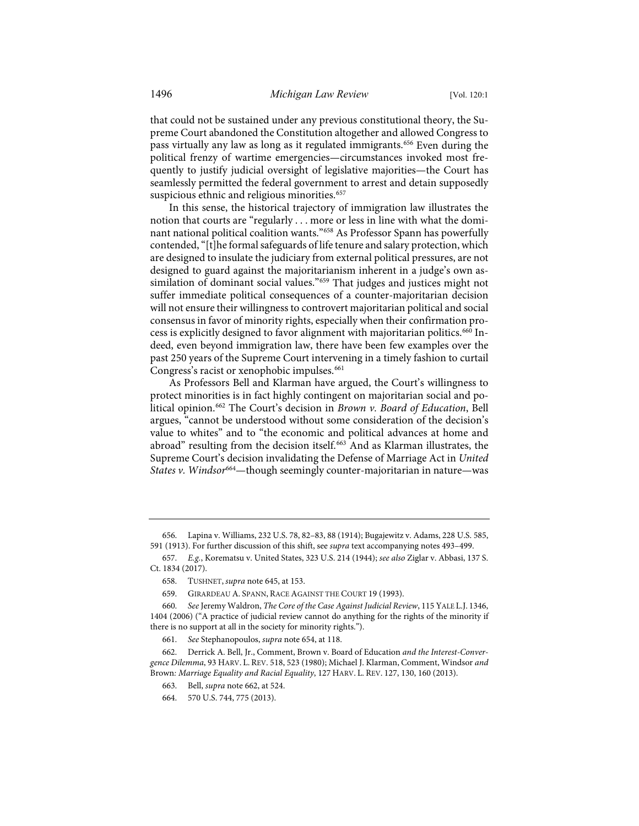that could not be sustained under any previous constitutional theory, the Supreme Court abandoned the Constitution altogether and allowed Congress to pass virtually any law as long as it regulated immigrants.[656](#page-77-1) Even during the political frenzy of wartime emergencies—circumstances invoked most frequently to justify judicial oversight of legislative majorities—the Court has seamlessly permitted the federal government to arrest and detain supposedly suspicious ethnic and religious minorities.<sup>[657](#page-77-2)</sup>

In this sense, the historical trajectory of immigration law illustrates the notion that courts are "regularly . . . more or less in line with what the dominant national political coalition wants."[658](#page-77-3) As Professor Spann has powerfully contended, "[t]he formal safeguards of life tenure and salary protection, which are designed to insulate the judiciary from external political pressures, are not designed to guard against the majoritarianism inherent in a judge's own assimilation of dominant social values."[659](#page-77-4) That judges and justices might not suffer immediate political consequences of a counter-majoritarian decision will not ensure their willingness to controvert majoritarian political and social consensus in favor of minority rights, especially when their confirmation pro-cess is explicitly designed to favor alignment with majoritarian politics.<sup>[660](#page-77-5)</sup> Indeed, even beyond immigration law, there have been few examples over the past 250 years of the Supreme Court intervening in a timely fashion to curtail Congress's racist or xenophobic impulses.<sup>[661](#page-77-6)</sup>

<span id="page-77-10"></span><span id="page-77-0"></span>As Professors Bell and Klarman have argued, the Court's willingness to protect minorities is in fact highly contingent on majoritarian social and political opinion.[662](#page-77-7) The Court's decision in *Brown v. Board of Education*, Bell argues, "cannot be understood without some consideration of the decision's value to whites" and to "the economic and political advances at home and abroad" resulting from the decision itself.<sup>[663](#page-77-8)</sup> And as Klarman illustrates, the Supreme Court's decision invalidating the Defense of Marriage Act in *United States v. Windsor*[664—](#page-77-9)though seemingly counter-majoritarian in nature—was

<span id="page-77-1"></span><sup>656.</sup> Lapina v. Williams, 232 U.S. 78, 82–83, 88 (1914); Bugajewitz v. Adams, 228 U.S. 585, 591 (1913). For further discussion of this shift, see *supra* text accompanying note[s 493](#page-57-0)[–499.](#page-58-0) 

<span id="page-77-3"></span><span id="page-77-2"></span><sup>657.</sup> *E.g.*, Korematsu v. United States, 323 U.S. 214 (1944); *see also* Ziglar v. Abbasi, 137 S. Ct. 1834 (2017).

<sup>658.</sup> TUSHNET, *supra* not[e 645,](#page-75-11) at 153.

<sup>659.</sup> GIRARDEAU A. SPANN, RACE AGAINST THE COURT 19 (1993).

<span id="page-77-5"></span><span id="page-77-4"></span><sup>660.</sup> *See* Jeremy Waldron, *The Core of the Case Against Judicial Review*, 115 YALE L.J. 1346, 1404 (2006) ("A practice of judicial review cannot do anything for the rights of the minority if there is no support at all in the society for minority rights.").

<sup>661.</sup> *See* Stephanopoulos, *supra* not[e 654,](#page-76-7) at 118.

<span id="page-77-9"></span><span id="page-77-8"></span><span id="page-77-7"></span><span id="page-77-6"></span><sup>662.</sup> Derrick A. Bell, Jr., Comment, Brown v. Board of Education *and the Interest-Convergence Dilemma*, 93 HARV. L. REV. 518, 523 (1980); Michael J. Klarman, Comment, Windsor *and*  Brown*: Marriage Equality and Racial Equality*, 127 HARV. L. REV. 127, 130, 160 (2013).

<sup>663.</sup> Bell, *supra* not[e 662,](#page-77-0) at 524.

<sup>664. 570</sup> U.S. 744, 775 (2013).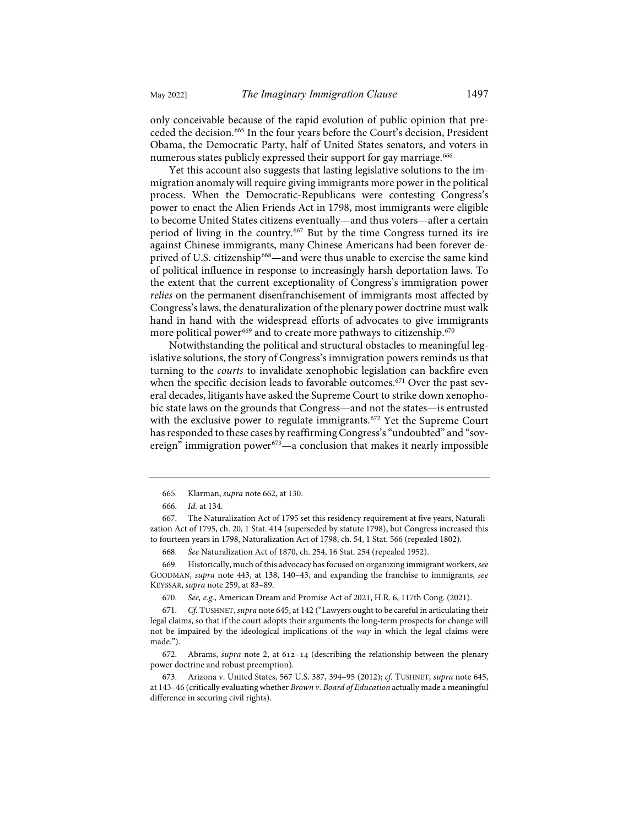only conceivable because of the rapid evolution of public opinion that pre-ceded the decision.<sup>[665](#page-78-0)</sup> In the four years before the Court's decision, President Obama, the Democratic Party, half of United States senators, and voters in numerous states publicly expressed their support for gay marriage.<sup>666</sup>

Yet this account also suggests that lasting legislative solutions to the immigration anomaly will require giving immigrants more power in the political process. When the Democratic-Republicans were contesting Congress's power to enact the Alien Friends Act in 1798, most immigrants were eligible to become United States citizens eventually—and thus voters—after a certain period of living in the country.[667](#page-78-2) But by the time Congress turned its ire against Chinese immigrants, many Chinese Americans had been forever de-prived of U.S. citizenship<sup>[668](#page-78-3)</sup>—and were thus unable to exercise the same kind of political influence in response to increasingly harsh deportation laws. To the extent that the current exceptionality of Congress's immigration power *relies* on the permanent disenfranchisement of immigrants most affected by Congress's laws, the denaturalization of the plenary power doctrine must walk hand in hand with the widespread efforts of advocates to give immigrants more political power<sup>[669](#page-78-4)</sup> and to create more pathways to citizenship.<sup>670</sup>

Notwithstanding the political and structural obstacles to meaningful legislative solutions, the story of Congress's immigration powers reminds us that turning to the *courts* to invalidate xenophobic legislation can backfire even when the specific decision leads to favorable outcomes.<sup>[671](#page-78-6)</sup> Over the past several decades, litigants have asked the Supreme Court to strike down xenophobic state laws on the grounds that Congress—and not the states—is entrusted with the exclusive power to regulate immigrants.<sup>[672](#page-78-7)</sup> Yet the Supreme Court has responded to these cases by reaffirming Congress's "undoubted" and "sovereign" immigration power $673$ —a conclusion that makes it nearly impossible

<sup>665.</sup> Klarman, *supra* note [662,](#page-77-0) at 130.

<sup>666.</sup> *Id.* at 134.

<span id="page-78-2"></span><span id="page-78-1"></span><span id="page-78-0"></span><sup>667.</sup> The Naturalization Act of 1795 set this residency requirement at five years, Naturalization Act of 1795, ch. 20, 1 Stat. 414 (superseded by statute 1798), but Congress increased this to fourteen years in 1798, Naturalization Act of 1798, ch. 54, 1 Stat. 566 (repealed 1802).

<sup>668.</sup> *See* Naturalization Act of 1870, ch. 254, 16 Stat. 254 (repealed 1952).

<span id="page-78-4"></span><span id="page-78-3"></span><sup>669.</sup> Historically, much of this advocacy has focused on organizing immigrant workers, *see* GOODMAN, *supra* note [443,](#page-52-0) at 138, 140–43, and expanding the franchise to immigrants, *see* KEYSSAR, *supra* not[e 259,](#page-32-0) at 83–89.

<sup>670.</sup> *See, e.g.*, American Dream and Promise Act of 2021, H.R. 6, 117th Cong. (2021).

<span id="page-78-6"></span><span id="page-78-5"></span><sup>671.</sup> *Cf.* TUSHNET, *supra* not[e 645,](#page-75-11) at 142 ("Lawyers ought to be careful in articulating their legal claims, so that if the court adopts their arguments the long-term prospects for change will not be impaired by the ideological implications of the *way* in which the legal claims were made.").

<span id="page-78-7"></span><sup>672.</sup> Abrams, *supra* note [2,](#page-2-0) at 612-14 (describing the relationship between the plenary power doctrine and robust preemption).

<span id="page-78-8"></span><sup>673.</sup> Arizona v. United States, 567 U.S. 387, 394–95 (2012); *cf.* TUSHNET, *supra* note [645,](#page-75-11)  at 143–46 (critically evaluating whether *Brown v. Board of Education* actually made a meaningful difference in securing civil rights).